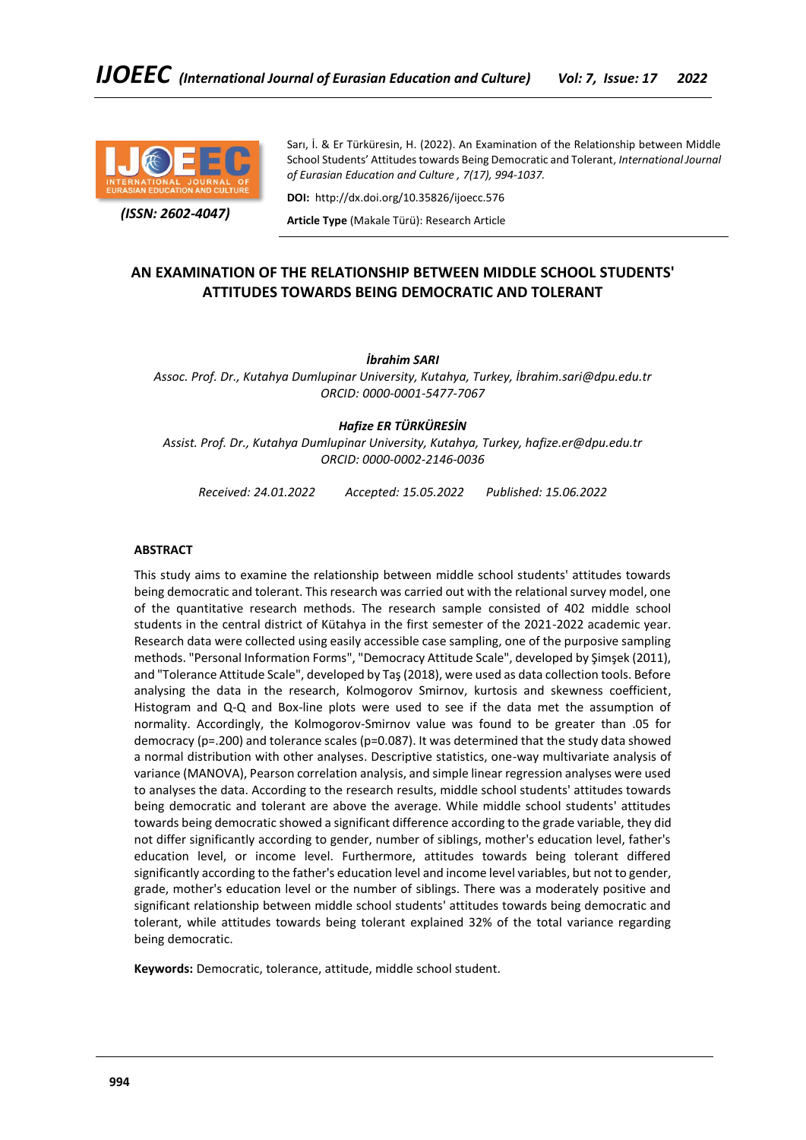

 *(ISSN: 2602-4047)*

Sarı, İ. & Er Türküresin, H. (2022). An Examination of the Relationship between Middle School Students' Attitudes towards Being Democratic and Tolerant, *International Journal of Eurasian Education and Culture , 7(17), 994-1037.*

**DOI:** http://dx.doi.org/10.35826/ijoecc.576

**Article Type** (Makale Türü): Research Article

## **AN EXAMINATION OF THE RELATIONSHIP BETWEEN MIDDLE SCHOOL STUDENTS' ATTITUDES TOWARDS BEING DEMOCRATIC AND TOLERANT**

*İbrahim SARI*

*Assoc. Prof. Dr., Kutahya Dumlupinar University, Kutahya, Turkey, İbrahim.sari@dpu.edu.tr ORCID: 0000-0001-5477-7067*

## *Hafize ER TÜRKÜRESİN*

*Assist. Prof. Dr., Kutahya Dumlupinar University, Kutahya, Turkey, hafize.er@dpu.edu.tr ORCID: 0000-0002-2146-0036*

*Received: 24.01.2022 Accepted: 15.05.2022 Published: 15.06.2022*

### **ABSTRACT**

This study aims to examine the relationship between middle school students' attitudes towards being democratic and tolerant. This research was carried out with the relational survey model, one of the quantitative research methods. The research sample consisted of 402 middle school students in the central district of Kütahya in the first semester of the 2021-2022 academic year. Research data were collected using easily accessible case sampling, one of the purposive sampling methods. "Personal Information Forms", "Democracy Attitude Scale", developed by Şimşek (2011), and "Tolerance Attitude Scale", developed by Taş (2018), were used as data collection tools. Before analysing the data in the research, Kolmogorov Smirnov, kurtosis and skewness coefficient, Histogram and Q-Q and Box-line plots were used to see if the data met the assumption of normality. Accordingly, the Kolmogorov-Smirnov value was found to be greater than .05 for democracy (p=.200) and tolerance scales (p=0.087). It was determined that the study data showed a normal distribution with other analyses. Descriptive statistics, one-way multivariate analysis of variance (MANOVA), Pearson correlation analysis, and simple linear regression analyses were used to analyses the data. According to the research results, middle school students' attitudes towards being democratic and tolerant are above the average. While middle school students' attitudes towards being democratic showed a significant difference according to the grade variable, they did not differ significantly according to gender, number of siblings, mother's education level, father's education level, or income level. Furthermore, attitudes towards being tolerant differed significantly according to the father's education level and income level variables, but not to gender, grade, mother's education level or the number of siblings. There was a moderately positive and significant relationship between middle school students' attitudes towards being democratic and tolerant, while attitudes towards being tolerant explained 32% of the total variance regarding being democratic.

**Keywords:** Democratic, tolerance, attitude, middle school student.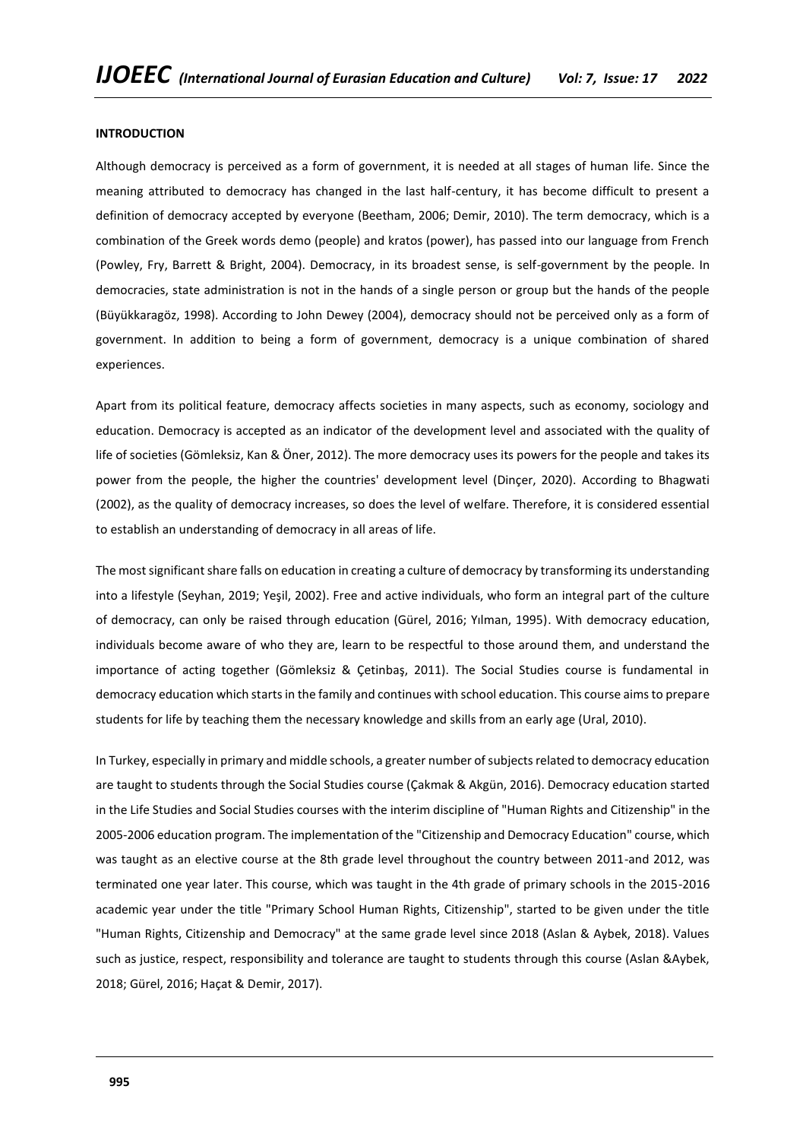### **INTRODUCTION**

Although democracy is perceived as a form of government, it is needed at all stages of human life. Since the meaning attributed to democracy has changed in the last half-century, it has become difficult to present a definition of democracy accepted by everyone (Beetham, 2006; Demir, 2010). The term democracy, which is a combination of the Greek words demo (people) and kratos (power), has passed into our language from French (Powley, Fry, Barrett & Bright, 2004). Democracy, in its broadest sense, is self-government by the people. In democracies, state administration is not in the hands of a single person or group but the hands of the people (Büyükkaragöz, 1998). According to John Dewey (2004), democracy should not be perceived only as a form of government. In addition to being a form of government, democracy is a unique combination of shared experiences.

Apart from its political feature, democracy affects societies in many aspects, such as economy, sociology and education. Democracy is accepted as an indicator of the development level and associated with the quality of life of societies (Gömleksiz, Kan & Öner, 2012). The more democracy uses its powers for the people and takes its power from the people, the higher the countries' development level (Dinçer, 2020). According to Bhagwati (2002), as the quality of democracy increases, so does the level of welfare. Therefore, it is considered essential to establish an understanding of democracy in all areas of life.

The most significant share falls on education in creating a culture of democracy by transforming its understanding into a lifestyle (Seyhan, 2019; Yeşil, 2002). Free and active individuals, who form an integral part of the culture of democracy, can only be raised through education (Gürel, 2016; Yılman, 1995). With democracy education, individuals become aware of who they are, learn to be respectful to those around them, and understand the importance of acting together (Gömleksiz & Çetinbaş, 2011). The Social Studies course is fundamental in democracy education which starts in the family and continues with school education. This course aims to prepare students for life by teaching them the necessary knowledge and skills from an early age (Ural, 2010).

In Turkey, especially in primary and middle schools, a greater number of subjects related to democracy education are taught to students through the Social Studies course (Çakmak & Akgün, 2016). Democracy education started in the Life Studies and Social Studies courses with the interim discipline of "Human Rights and Citizenship" in the 2005-2006 education program. The implementation of the "Citizenship and Democracy Education" course, which was taught as an elective course at the 8th grade level throughout the country between 2011-and 2012, was terminated one year later. This course, which was taught in the 4th grade of primary schools in the 2015-2016 academic year under the title "Primary School Human Rights, Citizenship", started to be given under the title "Human Rights, Citizenship and Democracy" at the same grade level since 2018 (Aslan & Aybek, 2018). Values such as justice, respect, responsibility and tolerance are taught to students through this course (Aslan &Aybek, 2018; Gürel, 2016; Haçat & Demir, 2017).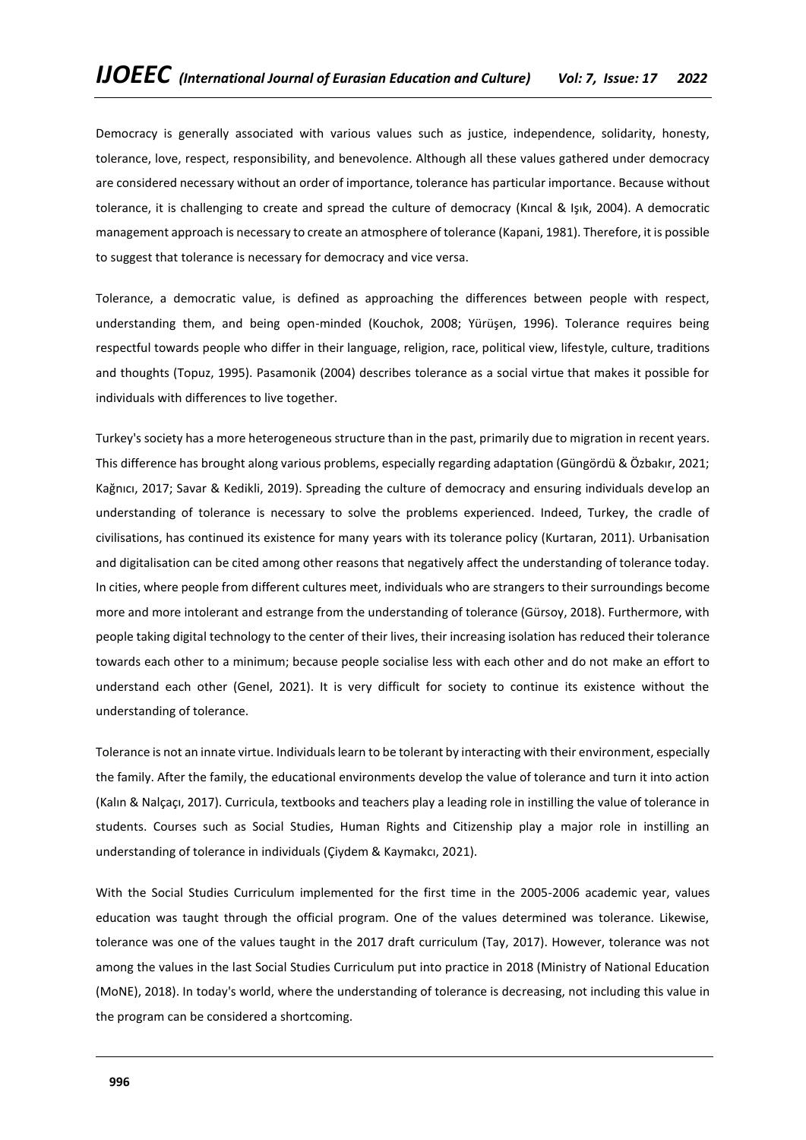Democracy is generally associated with various values such as justice, independence, solidarity, honesty, tolerance, love, respect, responsibility, and benevolence. Although all these values gathered under democracy are considered necessary without an order of importance, tolerance has particular importance. Because without tolerance, it is challenging to create and spread the culture of democracy (Kıncal & Işık, 2004). A democratic management approach is necessary to create an atmosphere of tolerance (Kapani, 1981). Therefore, it is possible to suggest that tolerance is necessary for democracy and vice versa.

Tolerance, a democratic value, is defined as approaching the differences between people with respect, understanding them, and being open-minded (Kouchok, 2008; Yürüşen, 1996). Tolerance requires being respectful towards people who differ in their language, religion, race, political view, lifestyle, culture, traditions and thoughts (Topuz, 1995). Pasamonik (2004) describes tolerance as a social virtue that makes it possible for individuals with differences to live together.

Turkey's society has a more heterogeneous structure than in the past, primarily due to migration in recent years. This difference has brought along various problems, especially regarding adaptation (Güngördü & Özbakır, 2021; Kağnıcı, 2017; Savar & Kedikli, 2019). Spreading the culture of democracy and ensuring individuals develop an understanding of tolerance is necessary to solve the problems experienced. Indeed, Turkey, the cradle of civilisations, has continued its existence for many years with its tolerance policy (Kurtaran, 2011). Urbanisation and digitalisation can be cited among other reasons that negatively affect the understanding of tolerance today. In cities, where people from different cultures meet, individuals who are strangers to their surroundings become more and more intolerant and estrange from the understanding of tolerance (Gürsoy, 2018). Furthermore, with people taking digital technology to the center of their lives, their increasing isolation has reduced their tolerance towards each other to a minimum; because people socialise less with each other and do not make an effort to understand each other (Genel, 2021). It is very difficult for society to continue its existence without the understanding of tolerance.

Tolerance is not an innate virtue. Individuals learn to be tolerant by interacting with their environment, especially the family. After the family, the educational environments develop the value of tolerance and turn it into action (Kalın & Nalçaçı, 2017). Curricula, textbooks and teachers play a leading role in instilling the value of tolerance in students. Courses such as Social Studies, Human Rights and Citizenship play a major role in instilling an understanding of tolerance in individuals (Çiydem & Kaymakcı, 2021).

With the Social Studies Curriculum implemented for the first time in the 2005-2006 academic year, values education was taught through the official program. One of the values determined was tolerance. Likewise, tolerance was one of the values taught in the 2017 draft curriculum (Tay, 2017). However, tolerance was not among the values in the last Social Studies Curriculum put into practice in 2018 (Ministry of National Education (MoNE), 2018). In today's world, where the understanding of tolerance is decreasing, not including this value in the program can be considered a shortcoming.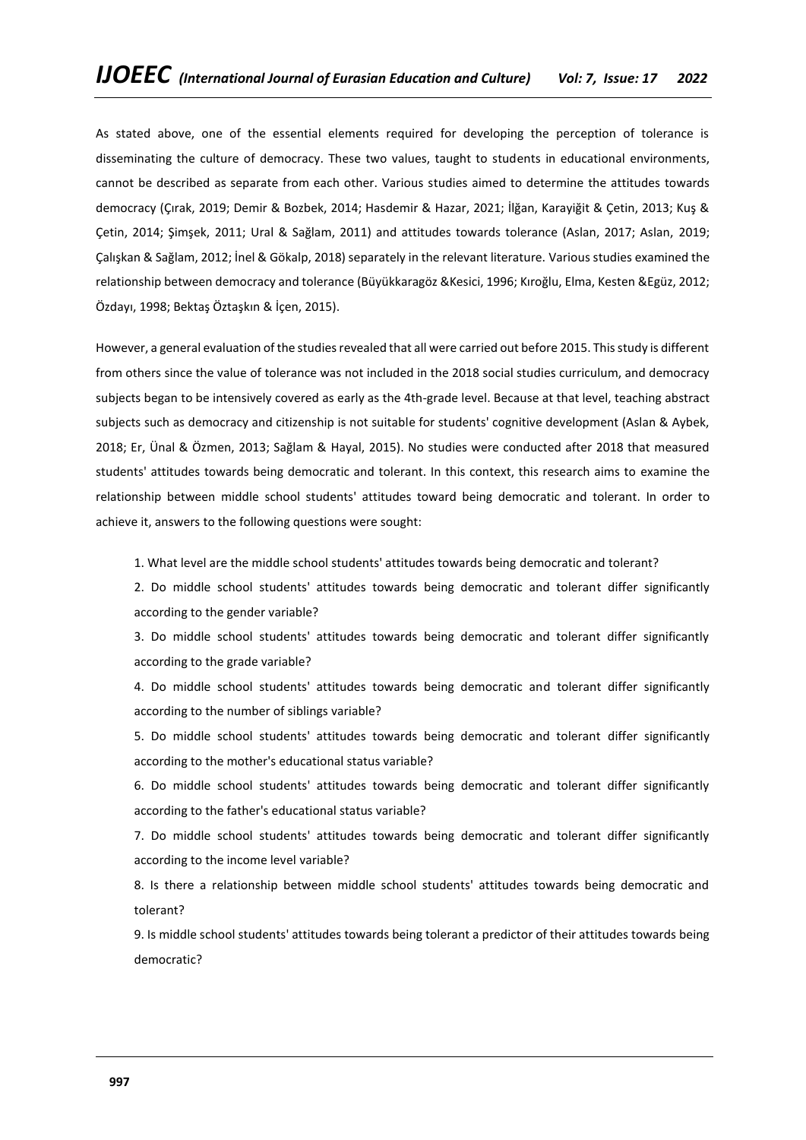As stated above, one of the essential elements required for developing the perception of tolerance is disseminating the culture of democracy. These two values, taught to students in educational environments, cannot be described as separate from each other. Various studies aimed to determine the attitudes towards democracy (Çırak, 2019; Demir & Bozbek, 2014; Hasdemir & Hazar, 2021; İlğan, Karayiğit & Çetin, 2013; Kuş & Çetin, 2014; Şimşek, 2011; Ural & Sağlam, 2011) and attitudes towards tolerance (Aslan, 2017; Aslan, 2019; Çalışkan & Sağlam, 2012; İnel & Gökalp, 2018) separately in the relevant literature. Various studies examined the relationship between democracy and tolerance (Büyükkaragöz &Kesici, 1996; Kıroğlu, Elma, Kesten &Egüz, 2012; Özdayı, 1998; Bektaş Öztaşkın & İçen, 2015).

However, a general evaluation of the studies revealed that all were carried out before 2015. This study is different from others since the value of tolerance was not included in the 2018 social studies curriculum, and democracy subjects began to be intensively covered as early as the 4th-grade level. Because at that level, teaching abstract subjects such as democracy and citizenship is not suitable for students' cognitive development (Aslan & Aybek, 2018; Er, Ünal & Özmen, 2013; Sağlam & Hayal, 2015). No studies were conducted after 2018 that measured students' attitudes towards being democratic and tolerant. In this context, this research aims to examine the relationship between middle school students' attitudes toward being democratic and tolerant. In order to achieve it, answers to the following questions were sought:

1. What level are the middle school students' attitudes towards being democratic and tolerant?

2. Do middle school students' attitudes towards being democratic and tolerant differ significantly according to the gender variable?

3. Do middle school students' attitudes towards being democratic and tolerant differ significantly according to the grade variable?

4. Do middle school students' attitudes towards being democratic and tolerant differ significantly according to the number of siblings variable?

5. Do middle school students' attitudes towards being democratic and tolerant differ significantly according to the mother's educational status variable?

6. Do middle school students' attitudes towards being democratic and tolerant differ significantly according to the father's educational status variable?

7. Do middle school students' attitudes towards being democratic and tolerant differ significantly according to the income level variable?

8. Is there a relationship between middle school students' attitudes towards being democratic and tolerant?

9. Is middle school students' attitudes towards being tolerant a predictor of their attitudes towards being democratic?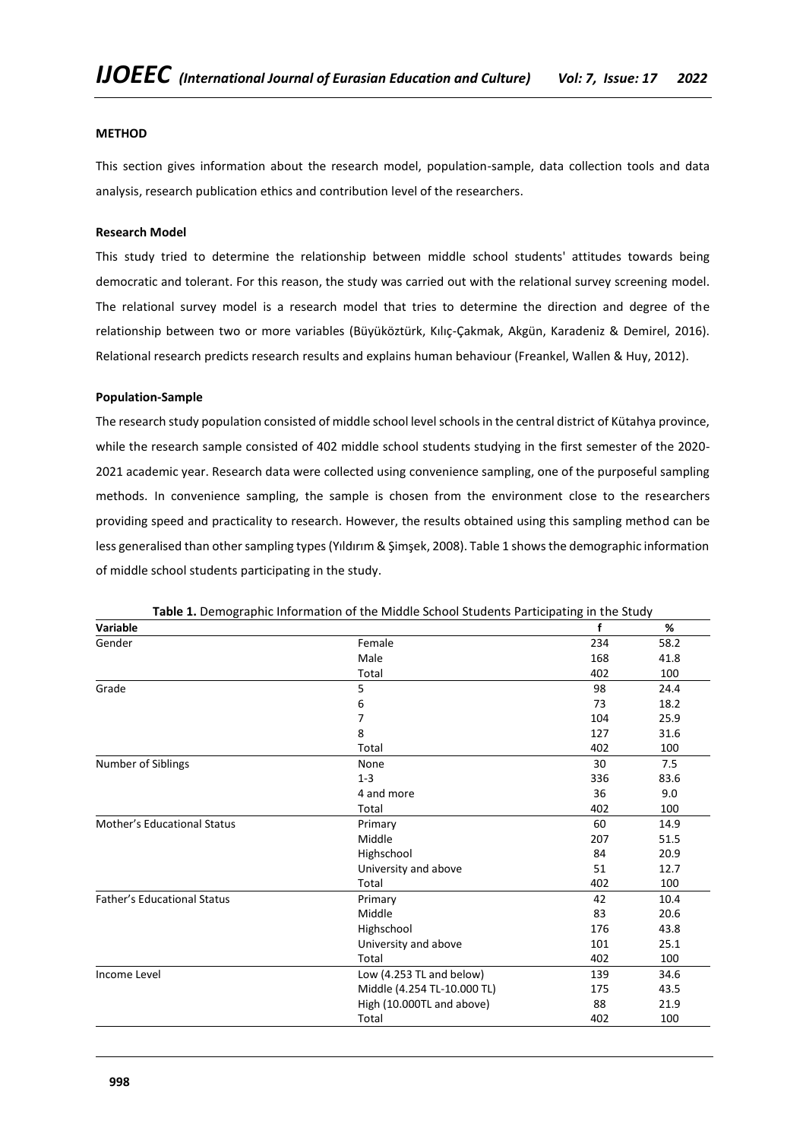## **METHOD**

This section gives information about the research model, population-sample, data collection tools and data analysis, research publication ethics and contribution level of the researchers.

## **Research Model**

This study tried to determine the relationship between middle school students' attitudes towards being democratic and tolerant. For this reason, the study was carried out with the relational survey screening model. The relational survey model is a research model that tries to determine the direction and degree of the relationship between two or more variables (Büyüköztürk, Kılıç-Çakmak, Akgün, Karadeniz & Demirel, 2016). Relational research predicts research results and explains human behaviour (Freankel, Wallen & Huy, 2012).

### **Population-Sample**

The research study population consisted of middle school level schools in the central district of Kütahya province, while the research sample consisted of 402 middle school students studying in the first semester of the 2020- 2021 academic year. Research data were collected using convenience sampling, one of the purposeful sampling methods. In convenience sampling, the sample is chosen from the environment close to the researchers providing speed and practicality to research. However, the results obtained using this sampling method can be less generalised than other sampling types (Yıldırım & Şimşek, 2008). Table 1 shows the demographic information of middle school students participating in the study.

| Variable                           |                             | f   | %    |
|------------------------------------|-----------------------------|-----|------|
| Gender                             | Female                      | 234 | 58.2 |
|                                    | Male                        | 168 | 41.8 |
|                                    | Total                       | 402 | 100  |
| Grade                              | 5                           | 98  | 24.4 |
|                                    | 6                           | 73  | 18.2 |
|                                    | 7                           | 104 | 25.9 |
|                                    | 8                           | 127 | 31.6 |
|                                    | Total                       | 402 | 100  |
| Number of Siblings                 | None                        | 30  | 7.5  |
|                                    | $1 - 3$                     | 336 | 83.6 |
|                                    | 4 and more                  | 36  | 9.0  |
|                                    | Total                       | 402 | 100  |
| <b>Mother's Educational Status</b> | Primary                     | 60  | 14.9 |
|                                    | Middle                      | 207 | 51.5 |
|                                    | Highschool                  | 84  | 20.9 |
|                                    | University and above        | 51  | 12.7 |
|                                    | Total                       | 402 | 100  |
| <b>Father's Educational Status</b> | Primary                     | 42  | 10.4 |
|                                    | Middle                      | 83  | 20.6 |
|                                    | Highschool                  | 176 | 43.8 |
|                                    | University and above        | 101 | 25.1 |
|                                    | Total                       | 402 | 100  |
| Income Level                       | Low (4.253 TL and below)    | 139 | 34.6 |
|                                    | Middle (4.254 TL-10.000 TL) | 175 | 43.5 |
|                                    | High (10.000TL and above)   | 88  | 21.9 |
|                                    | Total                       | 402 | 100  |

**Table 1.** Demographic Information of the Middle School Students Participating in the Study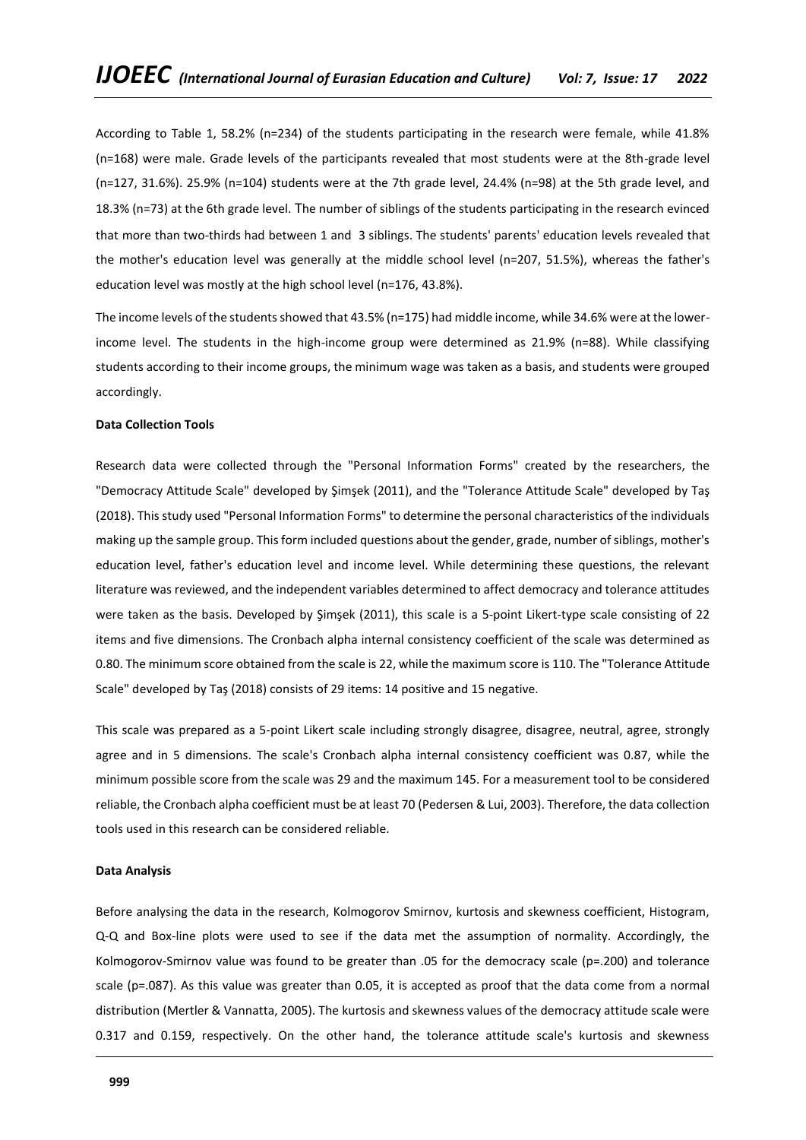According to Table 1, 58.2% (n=234) of the students participating in the research were female, while 41.8% (n=168) were male. Grade levels of the participants revealed that most students were at the 8th-grade level (n=127, 31.6%). 25.9% (n=104) students were at the 7th grade level, 24.4% (n=98) at the 5th grade level, and 18.3% (n=73) at the 6th grade level. The number of siblings of the students participating in the research evinced that more than two-thirds had between 1 and 3 siblings. The students' parents' education levels revealed that the mother's education level was generally at the middle school level (n=207, 51.5%), whereas the father's education level was mostly at the high school level (n=176, 43.8%).

The income levels of the students showed that 43.5% (n=175) had middle income, while 34.6% were at the lowerincome level. The students in the high-income group were determined as 21.9% (n=88). While classifying students according to their income groups, the minimum wage was taken as a basis, and students were grouped accordingly.

### **Data Collection Tools**

Research data were collected through the "Personal Information Forms" created by the researchers, the "Democracy Attitude Scale" developed by Şimşek (2011), and the "Tolerance Attitude Scale" developed by Taş (2018). This study used "Personal Information Forms" to determine the personal characteristics of the individuals making up the sample group. This form included questions about the gender, grade, number of siblings, mother's education level, father's education level and income level. While determining these questions, the relevant literature was reviewed, and the independent variables determined to affect democracy and tolerance attitudes were taken as the basis. Developed by Şimşek (2011), this scale is a 5-point Likert-type scale consisting of 22 items and five dimensions. The Cronbach alpha internal consistency coefficient of the scale was determined as 0.80. The minimum score obtained from the scale is 22, while the maximum score is 110. The "Tolerance Attitude Scale" developed by Taş (2018) consists of 29 items: 14 positive and 15 negative.

This scale was prepared as a 5-point Likert scale including strongly disagree, disagree, neutral, agree, strongly agree and in 5 dimensions. The scale's Cronbach alpha internal consistency coefficient was 0.87, while the minimum possible score from the scale was 29 and the maximum 145. For a measurement tool to be considered reliable, the Cronbach alpha coefficient must be at least 70 (Pedersen & Lui, 2003). Therefore, the data collection tools used in this research can be considered reliable.

### **Data Analysis**

Before analysing the data in the research, Kolmogorov Smirnov, kurtosis and skewness coefficient, Histogram, Q-Q and Box-line plots were used to see if the data met the assumption of normality. Accordingly, the Kolmogorov-Smirnov value was found to be greater than .05 for the democracy scale (p=.200) and tolerance scale (p=.087). As this value was greater than 0.05, it is accepted as proof that the data come from a normal distribution (Mertler & Vannatta, 2005). The kurtosis and skewness values of the democracy attitude scale were 0.317 and 0.159, respectively. On the other hand, the tolerance attitude scale's kurtosis and skewness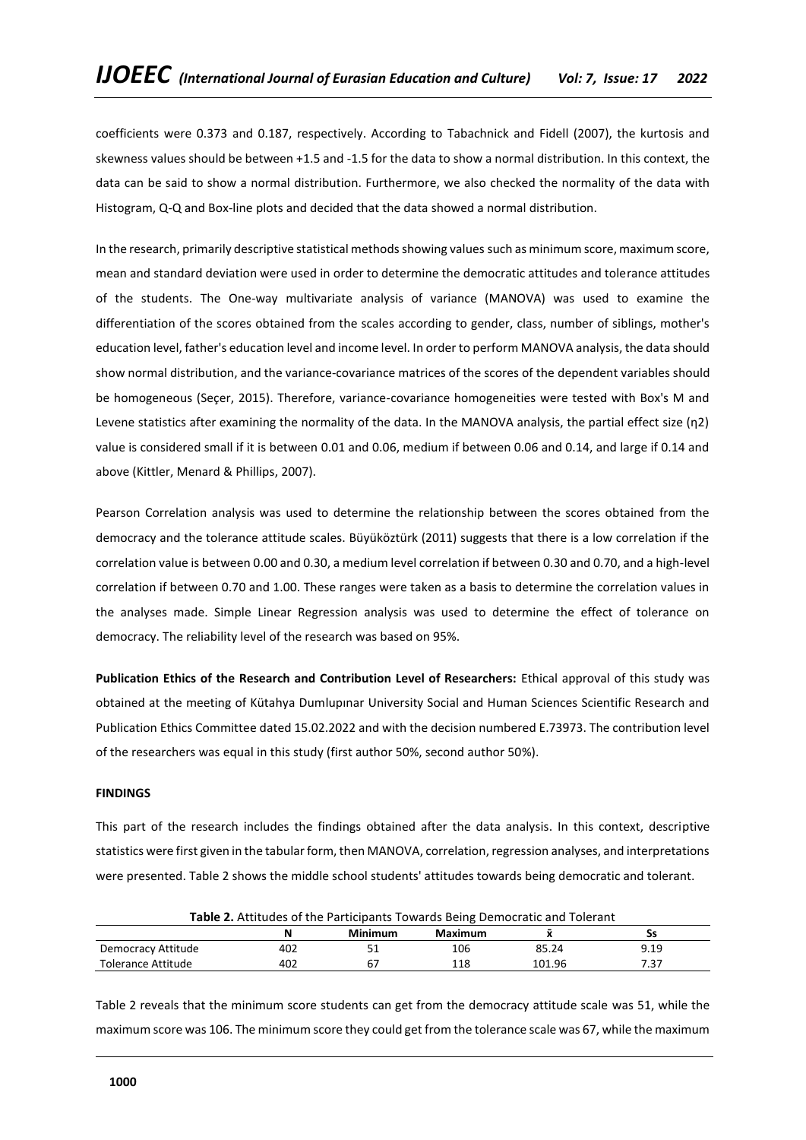coefficients were 0.373 and 0.187, respectively. According to Tabachnick and Fidell (2007), the kurtosis and skewness values should be between +1.5 and -1.5 for the data to show a normal distribution. In this context, the data can be said to show a normal distribution. Furthermore, we also checked the normality of the data with Histogram, Q-Q and Box-line plots and decided that the data showed a normal distribution.

In the research, primarily descriptive statistical methods showing values such as minimum score, maximum score, mean and standard deviation were used in order to determine the democratic attitudes and tolerance attitudes of the students. The One-way multivariate analysis of variance (MANOVA) was used to examine the differentiation of the scores obtained from the scales according to gender, class, number of siblings, mother's education level, father's education level and income level. In order to perform MANOVA analysis, the data should show normal distribution, and the variance-covariance matrices of the scores of the dependent variables should be homogeneous (Seçer, 2015). Therefore, variance-covariance homogeneities were tested with Box's M and Levene statistics after examining the normality of the data. In the MANOVA analysis, the partial effect size (n2) value is considered small if it is between 0.01 and 0.06, medium if between 0.06 and 0.14, and large if 0.14 and above (Kittler, Menard & Phillips, 2007).

Pearson Correlation analysis was used to determine the relationship between the scores obtained from the democracy and the tolerance attitude scales. Büyüköztürk (2011) suggests that there is a low correlation if the correlation value is between 0.00 and 0.30, a medium level correlation if between 0.30 and 0.70, and a high-level correlation if between 0.70 and 1.00. These ranges were taken as a basis to determine the correlation values in the analyses made. Simple Linear Regression analysis was used to determine the effect of tolerance on democracy. The reliability level of the research was based on 95%.

**Publication Ethics of the Research and Contribution Level of Researchers:** Ethical approval of this study was obtained at the meeting of Kütahya Dumlupınar University Social and Human Sciences Scientific Research and Publication Ethics Committee dated 15.02.2022 and with the decision numbered E.73973. The contribution level of the researchers was equal in this study (first author 50%, second author 50%).

### **FINDINGS**

This part of the research includes the findings obtained after the data analysis. In this context, descriptive statistics were first given in the tabular form, then MANOVA, correlation, regression analyses, and interpretations were presented. Table 2 shows the middle school students' attitudes towards being democratic and tolerant.

| <b>Table 2.</b> Attitudes of the Participants Towards Being Democratic and Tolerant |     |                |                |        |      |  |  |  |  |
|-------------------------------------------------------------------------------------|-----|----------------|----------------|--------|------|--|--|--|--|
|                                                                                     |     | <b>Minimum</b> | <b>Maximum</b> |        | SS   |  |  |  |  |
| Democracy Attitude                                                                  | 402 |                | 106            | 85.24  | 9.19 |  |  |  |  |
| Tolerance Attitude                                                                  | 402 |                | 118            | 101.96 | 7.37 |  |  |  |  |

**Table 2.** Attitudes of the Participants Towards Being Democratic and Tolerant

Table 2 reveals that the minimum score students can get from the democracy attitude scale was 51, while the maximum score was 106. The minimum score they could get from the tolerance scale was 67, while the maximum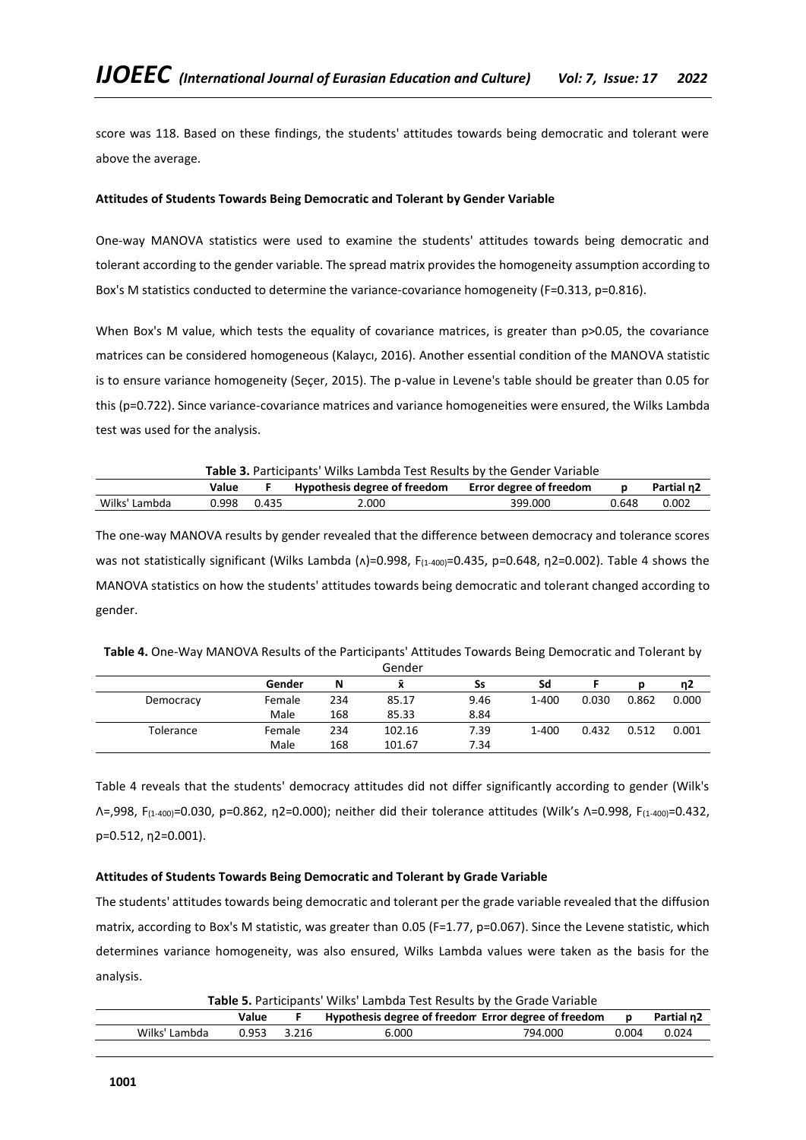score was 118. Based on these findings, the students' attitudes towards being democratic and tolerant were above the average.

## **Attitudes of Students Towards Being Democratic and Tolerant by Gender Variable**

One-way MANOVA statistics were used to examine the students' attitudes towards being democratic and tolerant according to the gender variable. The spread matrix provides the homogeneity assumption according to Box's M statistics conducted to determine the variance-covariance homogeneity (F=0.313, p=0.816).

When Box's M value, which tests the equality of covariance matrices, is greater than p>0.05, the covariance matrices can be considered homogeneous (Kalaycı, 2016). Another essential condition of the MANOVA statistic is to ensure variance homogeneity (Seçer, 2015). The p-value in Levene's table should be greater than 0.05 for this (p=0.722). Since variance-covariance matrices and variance homogeneities were ensured, the Wilks Lambda test was used for the analysis.

|               | <b>Table 3. Participants' Wilks Lambda Test Results by the Gender Variable</b> |             |                              |                                |       |            |  |
|---------------|--------------------------------------------------------------------------------|-------------|------------------------------|--------------------------------|-------|------------|--|
|               | Value                                                                          |             | Hypothesis degree of freedom | <b>Error degree of freedom</b> |       | Partial n2 |  |
| Wilks' Lambda |                                                                                | 0.998 0.435 | 2.000                        | 399.000                        | 0.648 | 0.002      |  |

The one-way MANOVA results by gender revealed that the difference between democracy and tolerance scores was not statistically significant (Wilks Lambda ( $\Lambda$ )=0.998, F(1-400)=0.435, p=0.648, η2=0.002). Table 4 shows the MANOVA statistics on how the students' attitudes towards being democratic and tolerant changed according to gender.

**Table 4.** One-Way MANOVA Results of the Participants' Attitudes Towards Being Democratic and Tolerant by

|           |        |     | Gender |      |           |       |       |       |
|-----------|--------|-----|--------|------|-----------|-------|-------|-------|
|           | Gender | N   | ū      | Ss   | Sd        |       |       | n2    |
| Democracy | Female | 234 | 85.17  | 9.46 | $1 - 400$ | 0.030 | 0.862 | 0.000 |
|           | Male   | 168 | 85.33  | 8.84 |           |       |       |       |
| Tolerance | Female | 234 | 102.16 | 7.39 | 1-400     | 0.432 | 0.512 | 0.001 |
|           | Male   | 168 | 101.67 | 7.34 |           |       |       |       |

Table 4 reveals that the students' democracy attitudes did not differ significantly according to gender (Wilk's Λ=,998, F(1-400)=0.030, p=0.862, η2=0.000); neither did their tolerance attitudes (Wilk's Λ=0.998, F(1-400)=0.432, p=0.512, η2=0.001).

### **Attitudes of Students Towards Being Democratic and Tolerant by Grade Variable**

The students' attitudes towards being democratic and tolerant per the grade variable revealed that the diffusion matrix, according to Box's M statistic, was greater than 0.05 (F=1.77, p=0.067). Since the Levene statistic, which determines variance homogeneity, was also ensured, Wilks Lambda values were taken as the basis for the analysis.

**Table 5.** Participants' Wilks' Lambda Test Results by the Grade Variable

|                    | Value |      | Hypothesis degree of freedom Error degree of freedom |         |        | Partial n <sub>4</sub> |
|--------------------|-------|------|------------------------------------------------------|---------|--------|------------------------|
| Wilks'<br>' Lambda | 957 ( | .216 | .000                                                 | 794.000 | 004. ل | .024                   |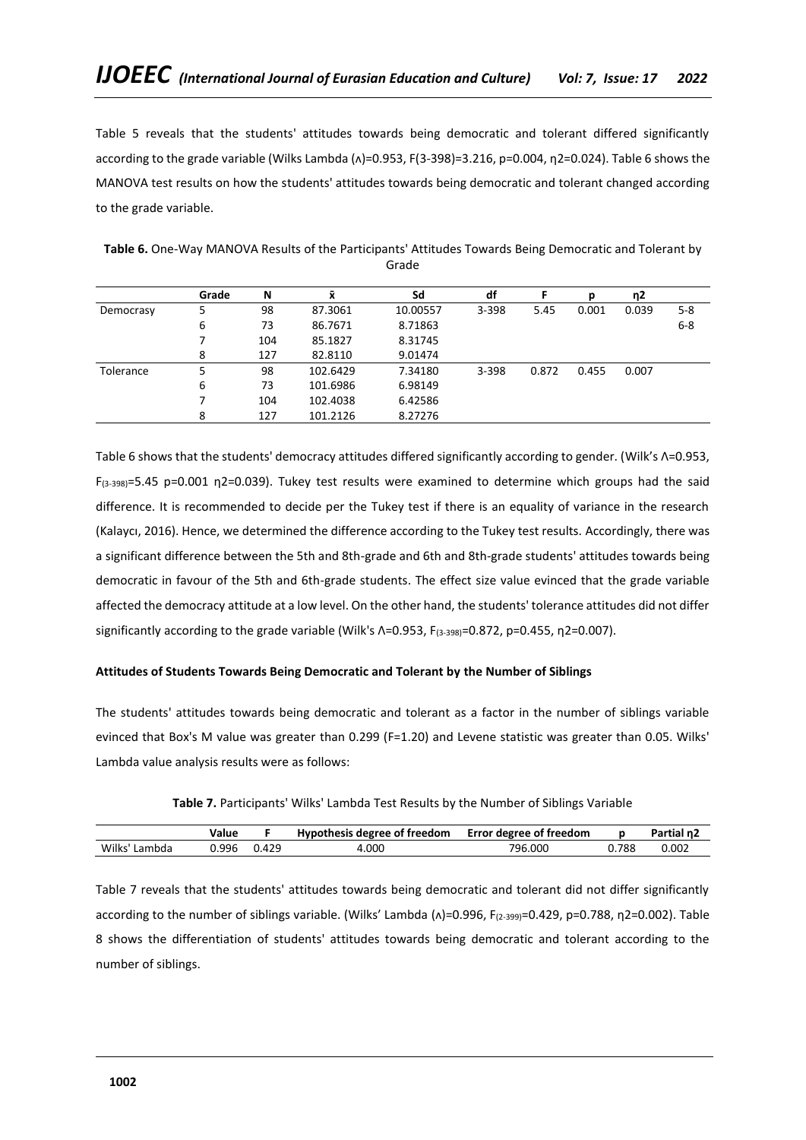Table 5 reveals that the students' attitudes towards being democratic and tolerant differed significantly according to the grade variable (Wilks Lambda (ʌ)=0.953, F(3-398)=3.216, p=0.004, η2=0.024). Table 6 shows the MANOVA test results on how the students' attitudes towards being democratic and tolerant changed according to the grade variable.

|           | Grade | N   | x        | Sd       | df        |       | р     | η2    |         |
|-----------|-------|-----|----------|----------|-----------|-------|-------|-------|---------|
| Democrasy | 5     | 98  | 87.3061  | 10.00557 | $3 - 398$ | 5.45  | 0.001 | 0.039 | $5 - 8$ |
|           | 6     | 73  | 86.7671  | 8.71863  |           |       |       |       | $6-8$   |
|           |       | 104 | 85.1827  | 8.31745  |           |       |       |       |         |
|           | 8     | 127 | 82.8110  | 9.01474  |           |       |       |       |         |
| Tolerance |       | 98  | 102.6429 | 7.34180  | $3 - 398$ | 0.872 | 0.455 | 0.007 |         |
|           | 6     | 73  | 101.6986 | 6.98149  |           |       |       |       |         |
|           |       | 104 | 102.4038 | 6.42586  |           |       |       |       |         |
|           | 8     | 127 | 101.2126 | 8.27276  |           |       |       |       |         |

**Table 6.** One-Way MANOVA Results of the Participants' Attitudes Towards Being Democratic and Tolerant by Grade

Table 6 shows that the students' democracy attitudes differed significantly according to gender. (Wilk's Λ=0.953, F(3-398)=5.45 p=0.001 η2=0.039). Tukey test results were examined to determine which groups had the said difference. It is recommended to decide per the Tukey test if there is an equality of variance in the research (Kalaycı, 2016). Hence, we determined the difference according to the Tukey test results. Accordingly, there was a significant difference between the 5th and 8th-grade and 6th and 8th-grade students' attitudes towards being democratic in favour of the 5th and 6th-grade students. The effect size value evinced that the grade variable affected the democracy attitude at a low level. On the other hand, the students' tolerance attitudes did not differ significantly according to the grade variable (Wilk's Λ=0.953, F(3-398)=0.872, p=0.455, η2=0.007).

## **Attitudes of Students Towards Being Democratic and Tolerant by the Number of Siblings**

The students' attitudes towards being democratic and tolerant as a factor in the number of siblings variable evinced that Box's M value was greater than 0.299 (F=1.20) and Levene statistic was greater than 0.05. Wilks' Lambda value analysis results were as follows:

|               | Value    |       | Hypothesis degree of freedom | Error degree of freedom |       | Partial nz |
|---------------|----------|-------|------------------------------|-------------------------|-------|------------|
| Wilks' Lambda | ـ 996. س | 0.429 | 4.000                        | 796.000                 | 0.788 | 0.002      |

Table 7 reveals that the students' attitudes towards being democratic and tolerant did not differ significantly according to the number of siblings variable. (Wilks' Lambda (ʌ)=0.996, F(2-399)=0.429, p=0.788, η2=0.002). Table 8 shows the differentiation of students' attitudes towards being democratic and tolerant according to the number of siblings.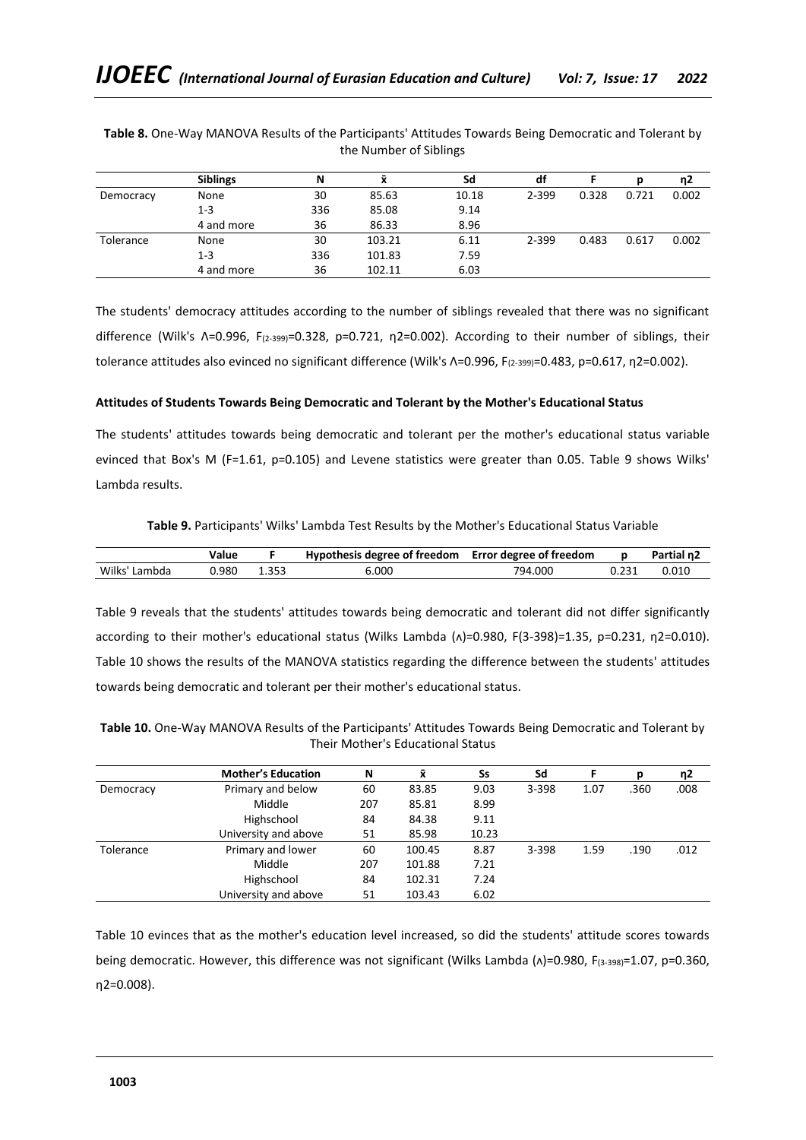|           | <b>Siblings</b> | N   | ū      | Sd    | df    |       | D     | η2    |
|-----------|-----------------|-----|--------|-------|-------|-------|-------|-------|
| Democracy | None            | 30  | 85.63  | 10.18 | 2-399 | 0.328 | 0.721 | 0.002 |
|           | $1 - 3$         | 336 | 85.08  | 9.14  |       |       |       |       |
|           | 4 and more      | 36  | 86.33  | 8.96  |       |       |       |       |
| Tolerance | None            | 30  | 103.21 | 6.11  | 2-399 | 0.483 | 0.617 | 0.002 |
|           | $1 - 3$         | 336 | 101.83 | 7.59  |       |       |       |       |
|           | 4 and more      | 36  | 102.11 | 6.03  |       |       |       |       |

**Table 8.** One-Way MANOVA Results of the Participants' Attitudes Towards Being Democratic and Tolerant by the Number of Siblings

The students' democracy attitudes according to the number of siblings revealed that there was no significant difference (Wilk's Λ=0.996, F<sub>(2-399)</sub>=0.328, p=0.721, η2=0.002). According to their number of siblings, their tolerance attitudes also evinced no significant difference (Wilk's Λ=0.996, F<sub>(2-399)</sub>=0.483, p=0.617, η2=0.002).

## **Attitudes of Students Towards Being Democratic and Tolerant by the Mother's Educational Status**

The students' attitudes towards being democratic and tolerant per the mother's educational status variable evinced that Box's M (F=1.61, p=0.105) and Levene statistics were greater than 0.05. Table 9 shows Wilks' Lambda results.

## **Table 9.** Participants' Wilks' Lambda Test Results by the Mother's Educational Status Variable

|               | Value |       | Hypothesis degree of freedom | <b>Error degree of freedom</b> | <b>Partial n</b> |
|---------------|-------|-------|------------------------------|--------------------------------|------------------|
| Wilks' Lambda | 0.980 | 1.353 | 6.000                        | 794.000                        | 0.010            |

Table 9 reveals that the students' attitudes towards being democratic and tolerant did not differ significantly according to their mother's educational status (Wilks Lambda ( $\Lambda$ )=0.980, F(3-398)=1.35, p=0.231, η2=0.010). Table 10 shows the results of the MANOVA statistics regarding the difference between the students' attitudes towards being democratic and tolerant per their mother's educational status.

| Table 10. One-Way MANOVA Results of the Participants' Attitudes Towards Being Democratic and Tolerant by |
|----------------------------------------------------------------------------------------------------------|
| Their Mother's Educational Status                                                                        |

|           | <b>Mother's Education</b> | N   | хī     | Ss    | Sd        |      | р    | η2   |
|-----------|---------------------------|-----|--------|-------|-----------|------|------|------|
| Democracy | Primary and below         | 60  | 83.85  | 9.03  | $3 - 398$ | 1.07 | .360 | .008 |
|           | Middle                    | 207 | 85.81  | 8.99  |           |      |      |      |
|           | Highschool                | 84  | 84.38  | 9.11  |           |      |      |      |
|           | University and above      | 51  | 85.98  | 10.23 |           |      |      |      |
| Tolerance | Primary and lower         | 60  | 100.45 | 8.87  | $3 - 398$ | 1.59 | .190 | .012 |
|           | Middle                    | 207 | 101.88 | 7.21  |           |      |      |      |
|           | Highschool                | 84  | 102.31 | 7.24  |           |      |      |      |
|           | University and above      | 51  | 103.43 | 6.02  |           |      |      |      |

Table 10 evinces that as the mother's education level increased, so did the students' attitude scores towards being democratic. However, this difference was not significant (Wilks Lambda ( $\Lambda$ )=0.980, F(3-398)=1.07, p=0.360, η2=0.008).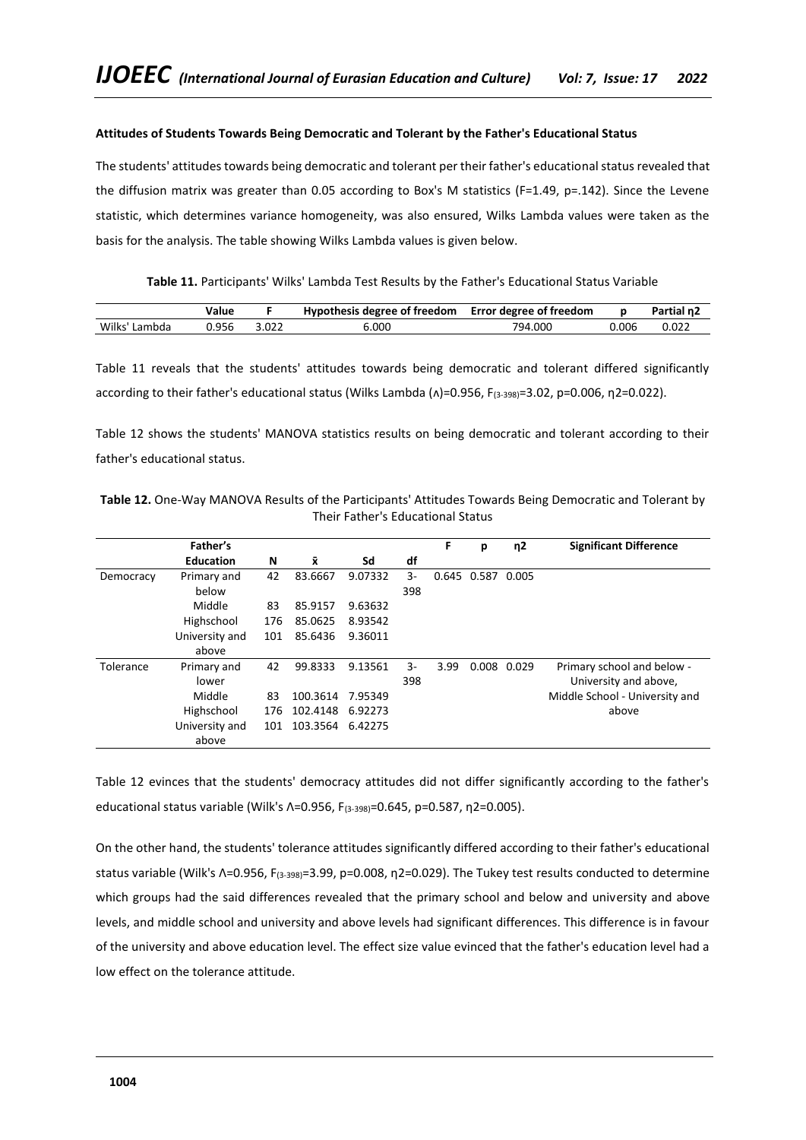### **Attitudes of Students Towards Being Democratic and Tolerant by the Father's Educational Status**

The students' attitudes towards being democratic and tolerant per their father's educational status revealed that the diffusion matrix was greater than 0.05 according to Box's M statistics (F=1.49, p=.142). Since the Levene statistic, which determines variance homogeneity, was also ensured, Wilks Lambda values were taken as the basis for the analysis. The table showing Wilks Lambda values is given below.

|                  | /alue |       | Hypothesis degree of freedom | Error degree of freedom |       | Partial n <sub>4</sub> |
|------------------|-------|-------|------------------------------|-------------------------|-------|------------------------|
| Wilks'<br>Lambda | 956.ر | 3.022 | 6.000                        | 794.000                 | 0.006 | 0.022                  |

Table 11 reveals that the students' attitudes towards being democratic and tolerant differed significantly according to their father's educational status (Wilks Lambda (ʌ)=0.956, F(3-398)=3.02, p=0.006, η2=0.022).

Table 12 shows the students' MANOVA statistics results on being democratic and tolerant according to their father's educational status.

**Table 12.** One-Way MANOVA Results of the Participants' Attitudes Towards Being Democratic and Tolerant by Their Father's Educational Status

|           | Father's                |     |          |         |           | F    | р                 | η2          | <b>Significant Difference</b>                       |
|-----------|-------------------------|-----|----------|---------|-----------|------|-------------------|-------------|-----------------------------------------------------|
|           | <b>Education</b>        | N   | хī       | Sd      | df        |      |                   |             |                                                     |
| Democracy | Primary and<br>below    | 42  | 83.6667  | 9.07332 | 3-<br>398 |      | 0.645 0.587 0.005 |             |                                                     |
|           | Middle                  | 83  | 85.9157  | 9.63632 |           |      |                   |             |                                                     |
|           | Highschool              | 176 | 85.0625  | 8.93542 |           |      |                   |             |                                                     |
|           | University and          | 101 | 85.6436  | 9.36011 |           |      |                   |             |                                                     |
|           | above                   |     |          |         |           |      |                   |             |                                                     |
| Tolerance | Primary and<br>lower    | 42  | 99.8333  | 9.13561 | 3-<br>398 | 3.99 |                   | 0.008 0.029 | Primary school and below -<br>University and above, |
|           | Middle                  | 83  | 100.3614 | 7.95349 |           |      |                   |             | Middle School - University and                      |
|           | Highschool              | 176 | 102.4148 | 6.92273 |           |      |                   |             | above                                               |
|           | University and<br>above | 101 | 103.3564 | 6.42275 |           |      |                   |             |                                                     |

Table 12 evinces that the students' democracy attitudes did not differ significantly according to the father's educational status variable (Wilk's Λ=0.956, F(3-398)=0.645, p=0.587, η2=0.005).

On the other hand, the students' tolerance attitudes significantly differed according to their father's educational status variable (Wilk's Λ=0.956, F(3-398)=3.99, p=0.008, η2=0.029). The Tukey test results conducted to determine which groups had the said differences revealed that the primary school and below and university and above levels, and middle school and university and above levels had significant differences. This difference is in favour of the university and above education level. The effect size value evinced that the father's education level had a low effect on the tolerance attitude.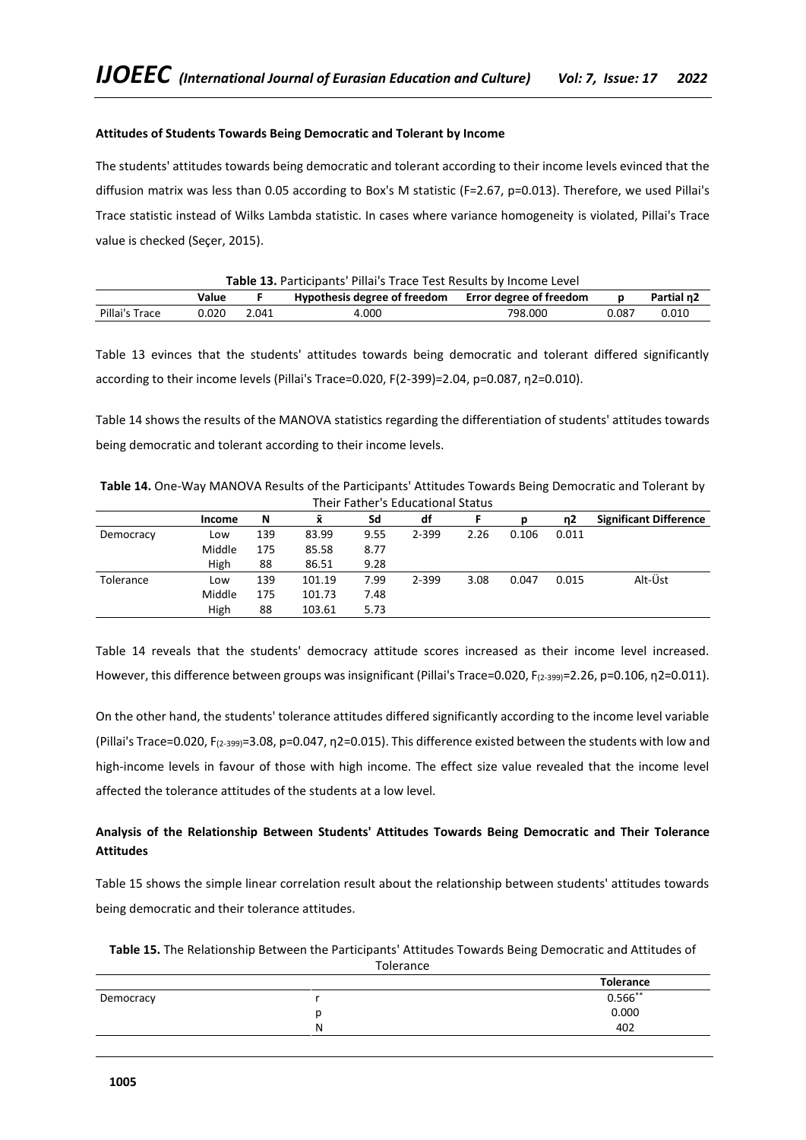## **Attitudes of Students Towards Being Democratic and Tolerant by Income**

The students' attitudes towards being democratic and tolerant according to their income levels evinced that the diffusion matrix was less than 0.05 according to Box's M statistic (F=2.67, p=0.013). Therefore, we used Pillai's Trace statistic instead of Wilks Lambda statistic. In cases where variance homogeneity is violated, Pillai's Trace value is checked (Seçer, 2015).

| Table 13. Participants' Pillai's Trace Test Results by Income Level |       |       |                                                      |         |       |            |  |  |
|---------------------------------------------------------------------|-------|-------|------------------------------------------------------|---------|-------|------------|--|--|
|                                                                     | Value |       | Hypothesis degree of freedom Error degree of freedom |         |       | Partial n2 |  |  |
| Pillai's Trace                                                      | 0.020 | 2.041 | 4.000                                                | 798.000 | 0.087 | 0.010      |  |  |

Table 13 evinces that the students' attitudes towards being democratic and tolerant differed significantly according to their income levels (Pillai's Trace=0.020, F(2-399)=2.04, p=0.087, η2=0.010).

Table 14 shows the results of the MANOVA statistics regarding the differentiation of students' attitudes towards being democratic and tolerant according to their income levels.

| Table 14. One-Way MANOVA Results of the Participants' Attitudes Towards Being Democratic and Tolerant by |
|----------------------------------------------------------------------------------------------------------|
| Their Father's Educational Status                                                                        |

|                  | Income | N   | x      | Sd   | df    |      | D     | η2    | <b>Significant Difference</b> |
|------------------|--------|-----|--------|------|-------|------|-------|-------|-------------------------------|
| Democracy        | Low    | 139 | 83.99  | 9.55 | 2-399 | 2.26 | 0.106 | 0.011 |                               |
|                  | Middle | 175 | 85.58  | 8.77 |       |      |       |       |                               |
|                  | High   | 88  | 86.51  | 9.28 |       |      |       |       |                               |
| <b>Tolerance</b> | Low    | 139 | 101.19 | 7.99 | 2-399 | 3.08 | 0.047 | 0.015 | Alt-Üst                       |
|                  | Middle | 175 | 101.73 | 7.48 |       |      |       |       |                               |
|                  | High   | 88  | 103.61 | 5.73 |       |      |       |       |                               |

Table 14 reveals that the students' democracy attitude scores increased as their income level increased. However, this difference between groups was insignificant (Pillai's Trace=0.020, F<sub>(2-399)</sub>=2.26, p=0.106, n2=0.011).

On the other hand, the students' tolerance attitudes differed significantly according to the income level variable (Pillai's Trace=0.020, F(2-399)=3.08, p=0.047, η2=0.015). This difference existed between the students with low and high-income levels in favour of those with high income. The effect size value revealed that the income level affected the tolerance attitudes of the students at a low level.

## **Analysis of the Relationship Between Students' Attitudes Towards Being Democratic and Their Tolerance Attitudes**

Table 15 shows the simple linear correlation result about the relationship between students' attitudes towards being democratic and their tolerance attitudes.

**Table 15.** The Relationship Between the Participants' Attitudes Towards Being Democratic and Attitudes of Tolerance

|           |   | Tolerance  |
|-----------|---|------------|
| Democracy |   | $0.566***$ |
|           |   | 0.000      |
|           | N | 402        |
|           |   |            |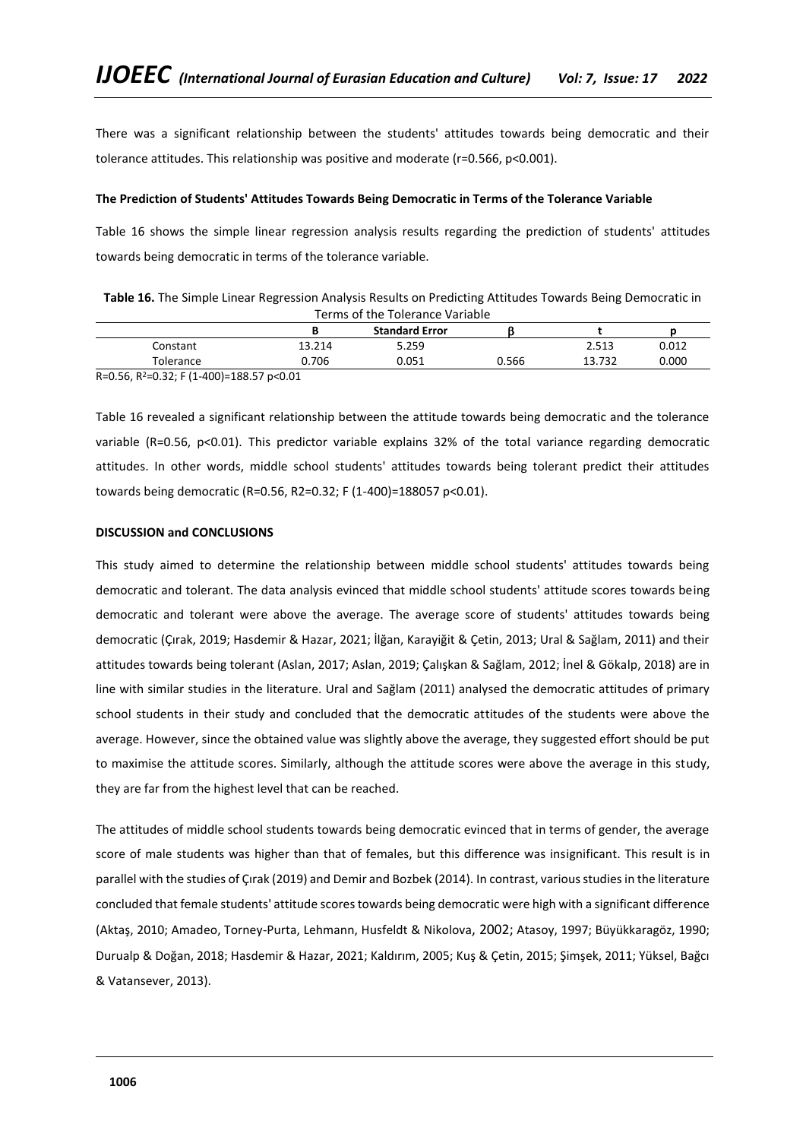There was a significant relationship between the students' attitudes towards being democratic and their tolerance attitudes. This relationship was positive and moderate (r=0.566, p<0.001).

## **The Prediction of Students' Attitudes Towards Being Democratic in Terms of the Tolerance Variable**

Table 16 shows the simple linear regression analysis results regarding the prediction of students' attitudes towards being democratic in terms of the tolerance variable.

| Table 16. The Simple Linear Regression Analysis Results on Predicting Attitudes Towards Being Democratic in |
|-------------------------------------------------------------------------------------------------------------|
| Terms of the Tolerance Variable                                                                             |

|                                             |        | <b>Standard Error</b> |       |        |       |  |  |  |  |
|---------------------------------------------|--------|-----------------------|-------|--------|-------|--|--|--|--|
| Constant                                    | -3.214 | 5.259                 |       | 2.513  | 0.012 |  |  |  |  |
| Tolerance                                   | J.706  | 0.051                 | 0.566 | 13.732 | 0.000 |  |  |  |  |
| <b>B 8 FC B3 8 33 F (4 488) 489 FT 8 84</b> |        |                       |       |        |       |  |  |  |  |

R=0.56, R<sup>2</sup>=0.32; F (1-400)=188.57 p<0.01

Table 16 revealed a significant relationship between the attitude towards being democratic and the tolerance variable (R=0.56, p<0.01). This predictor variable explains 32% of the total variance regarding democratic attitudes. In other words, middle school students' attitudes towards being tolerant predict their attitudes towards being democratic (R=0.56, R2=0.32; F (1-400)=188057 p<0.01).

## **DISCUSSION and CONCLUSIONS**

This study aimed to determine the relationship between middle school students' attitudes towards being democratic and tolerant. The data analysis evinced that middle school students' attitude scores towards being democratic and tolerant were above the average. The average score of students' attitudes towards being democratic (Çırak, 2019; Hasdemir & Hazar, 2021; İlğan, Karayiğit & Çetin, 2013; Ural & Sağlam, 2011) and their attitudes towards being tolerant (Aslan, 2017; Aslan, 2019; Çalışkan & Sağlam, 2012; İnel & Gökalp, 2018) are in line with similar studies in the literature. Ural and Sağlam (2011) analysed the democratic attitudes of primary school students in their study and concluded that the democratic attitudes of the students were above the average. However, since the obtained value was slightly above the average, they suggested effort should be put to maximise the attitude scores. Similarly, although the attitude scores were above the average in this study, they are far from the highest level that can be reached.

The attitudes of middle school students towards being democratic evinced that in terms of gender, the average score of male students was higher than that of females, but this difference was insignificant. This result is in parallel with the studies of Çırak (2019) and Demir and Bozbek (2014). In contrast, various studies in the literature concluded that female students' attitude scores towards being democratic were high with a significant difference (Aktaş, 2010; Amadeo, Torney-Purta, Lehmann, Husfeldt & Nikolova, 2002; Atasoy, 1997; Büyükkaragöz, 1990; Durualp & Doğan, 2018; Hasdemir & Hazar, 2021; Kaldırım, 2005; Kuş & Çetin, 2015; Şimşek, 2011; Yüksel, Bağcı & Vatansever, 2013).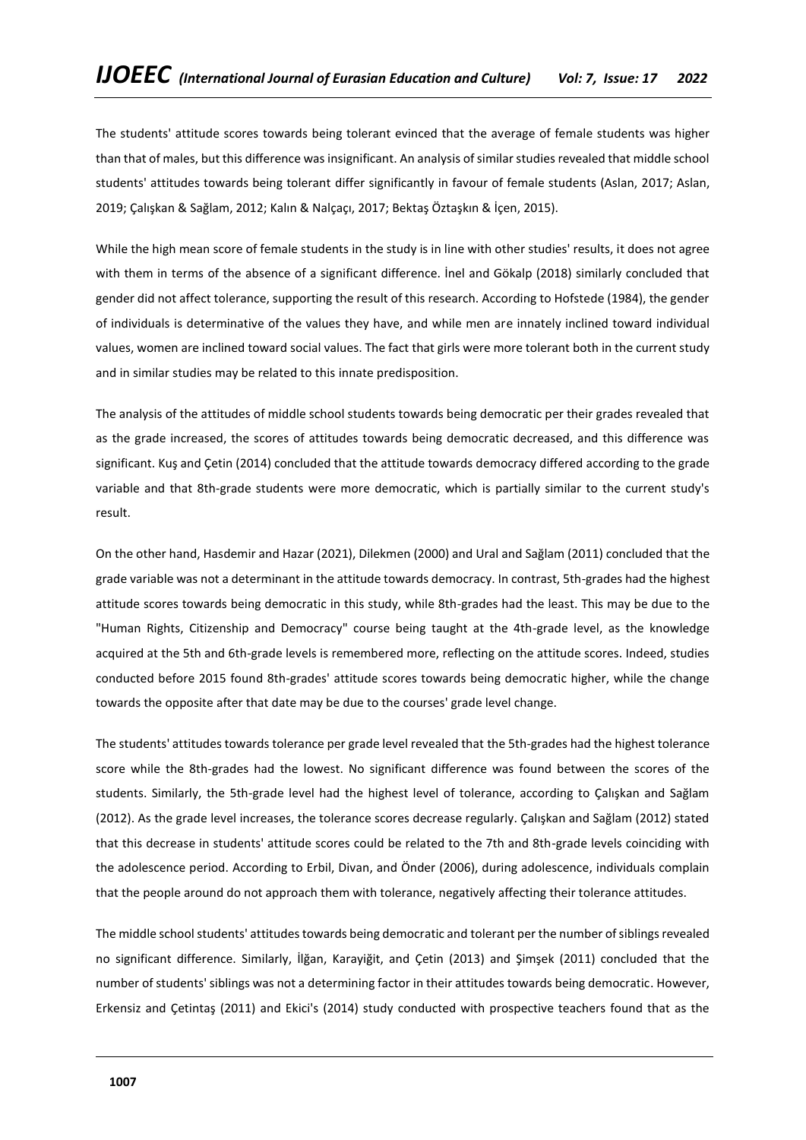The students' attitude scores towards being tolerant evinced that the average of female students was higher than that of males, but this difference was insignificant. An analysis of similar studies revealed that middle school students' attitudes towards being tolerant differ significantly in favour of female students (Aslan, 2017; Aslan, 2019; Çalışkan & Sağlam, 2012; Kalın & Nalçaçı, 2017; Bektaş Öztaşkın & İçen, 2015).

While the high mean score of female students in the study is in line with other studies' results, it does not agree with them in terms of the absence of a significant difference. İnel and Gökalp (2018) similarly concluded that gender did not affect tolerance, supporting the result of this research. According to Hofstede (1984), the gender of individuals is determinative of the values they have, and while men are innately inclined toward individual values, women are inclined toward social values. The fact that girls were more tolerant both in the current study and in similar studies may be related to this innate predisposition.

The analysis of the attitudes of middle school students towards being democratic per their grades revealed that as the grade increased, the scores of attitudes towards being democratic decreased, and this difference was significant. Kuş and Çetin (2014) concluded that the attitude towards democracy differed according to the grade variable and that 8th-grade students were more democratic, which is partially similar to the current study's result.

On the other hand, Hasdemir and Hazar (2021), Dilekmen (2000) and Ural and Sağlam (2011) concluded that the grade variable was not a determinant in the attitude towards democracy. In contrast, 5th-grades had the highest attitude scores towards being democratic in this study, while 8th-grades had the least. This may be due to the "Human Rights, Citizenship and Democracy" course being taught at the 4th-grade level, as the knowledge acquired at the 5th and 6th-grade levels is remembered more, reflecting on the attitude scores. Indeed, studies conducted before 2015 found 8th-grades' attitude scores towards being democratic higher, while the change towards the opposite after that date may be due to the courses' grade level change.

The students' attitudes towards tolerance per grade level revealed that the 5th-grades had the highest tolerance score while the 8th-grades had the lowest. No significant difference was found between the scores of the students. Similarly, the 5th-grade level had the highest level of tolerance, according to Çalışkan and Sağlam (2012). As the grade level increases, the tolerance scores decrease regularly. Çalışkan and Sağlam (2012) stated that this decrease in students' attitude scores could be related to the 7th and 8th-grade levels coinciding with the adolescence period. According to Erbil, Divan, and Önder (2006), during adolescence, individuals complain that the people around do not approach them with tolerance, negatively affecting their tolerance attitudes.

The middle school students' attitudes towards being democratic and tolerant per the number of siblings revealed no significant difference. Similarly, İlğan, Karayiğit, and Çetin (2013) and Şimşek (2011) concluded that the number of students' siblings was not a determining factor in their attitudes towards being democratic. However, Erkensiz and Çetintaş (2011) and Ekici's (2014) study conducted with prospective teachers found that as the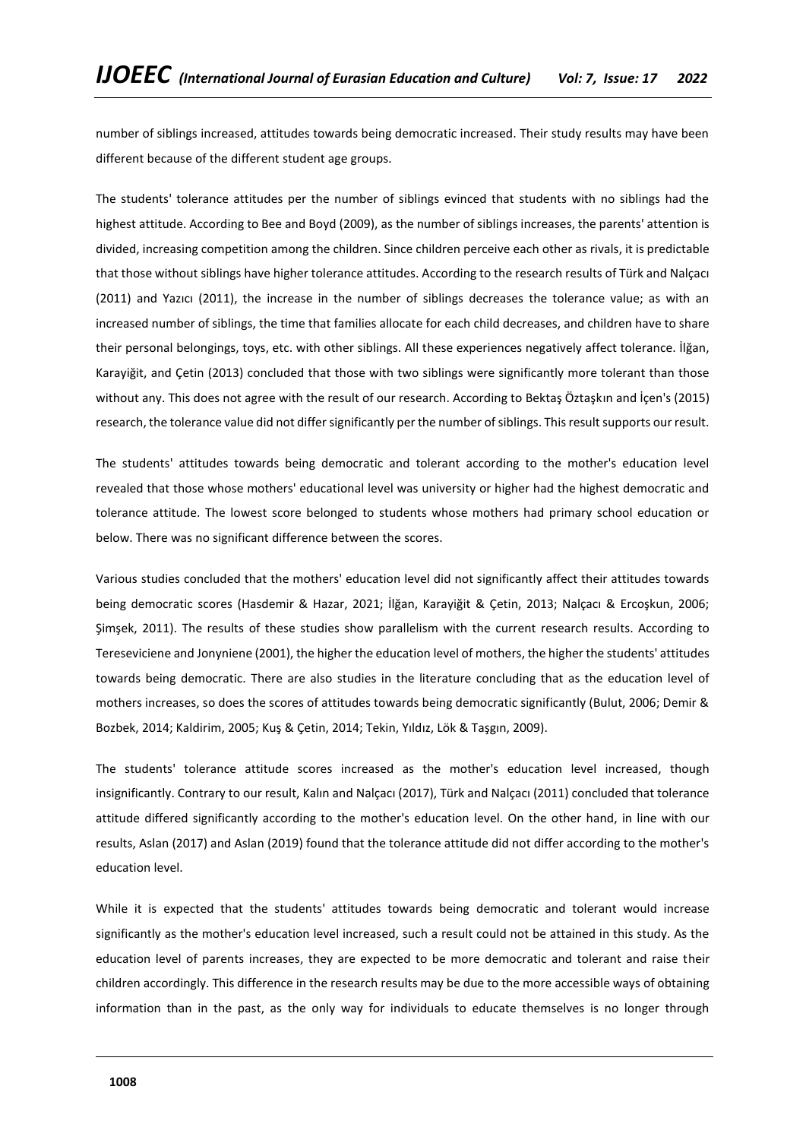number of siblings increased, attitudes towards being democratic increased. Their study results may have been different because of the different student age groups.

The students' tolerance attitudes per the number of siblings evinced that students with no siblings had the highest attitude. According to Bee and Boyd (2009), as the number of siblings increases, the parents' attention is divided, increasing competition among the children. Since children perceive each other as rivals, it is predictable that those without siblings have higher tolerance attitudes. According to the research results of Türk and Nalçacı (2011) and Yazıcı (2011), the increase in the number of siblings decreases the tolerance value; as with an increased number of siblings, the time that families allocate for each child decreases, and children have to share their personal belongings, toys, etc. with other siblings. All these experiences negatively affect tolerance. İlğan, Karayiğit, and Çetin (2013) concluded that those with two siblings were significantly more tolerant than those without any. This does not agree with the result of our research. According to Bektaş Öztaşkın and İçen's (2015) research, the tolerance value did not differ significantly per the number of siblings. This result supports our result.

The students' attitudes towards being democratic and tolerant according to the mother's education level revealed that those whose mothers' educational level was university or higher had the highest democratic and tolerance attitude. The lowest score belonged to students whose mothers had primary school education or below. There was no significant difference between the scores.

Various studies concluded that the mothers' education level did not significantly affect their attitudes towards being democratic scores (Hasdemir & Hazar, 2021; İlğan, Karayiğit & Çetin, 2013; Nalçacı & Ercoşkun, 2006; Şimşek, 2011). The results of these studies show parallelism with the current research results. According to Tereseviciene and Jonyniene (2001), the higher the education level of mothers, the higher the students' attitudes towards being democratic. There are also studies in the literature concluding that as the education level of mothers increases, so does the scores of attitudes towards being democratic significantly (Bulut, 2006; Demir & Bozbek, 2014; Kaldirim, 2005; Kuş & Çetin, 2014; Tekin, Yıldız, Lök & Taşgın, 2009).

The students' tolerance attitude scores increased as the mother's education level increased, though insignificantly. Contrary to our result, Kalın and Nalçacı (2017), Türk and Nalçacı (2011) concluded that tolerance attitude differed significantly according to the mother's education level. On the other hand, in line with our results, Aslan (2017) and Aslan (2019) found that the tolerance attitude did not differ according to the mother's education level.

While it is expected that the students' attitudes towards being democratic and tolerant would increase significantly as the mother's education level increased, such a result could not be attained in this study. As the education level of parents increases, they are expected to be more democratic and tolerant and raise their children accordingly. This difference in the research results may be due to the more accessible ways of obtaining information than in the past, as the only way for individuals to educate themselves is no longer through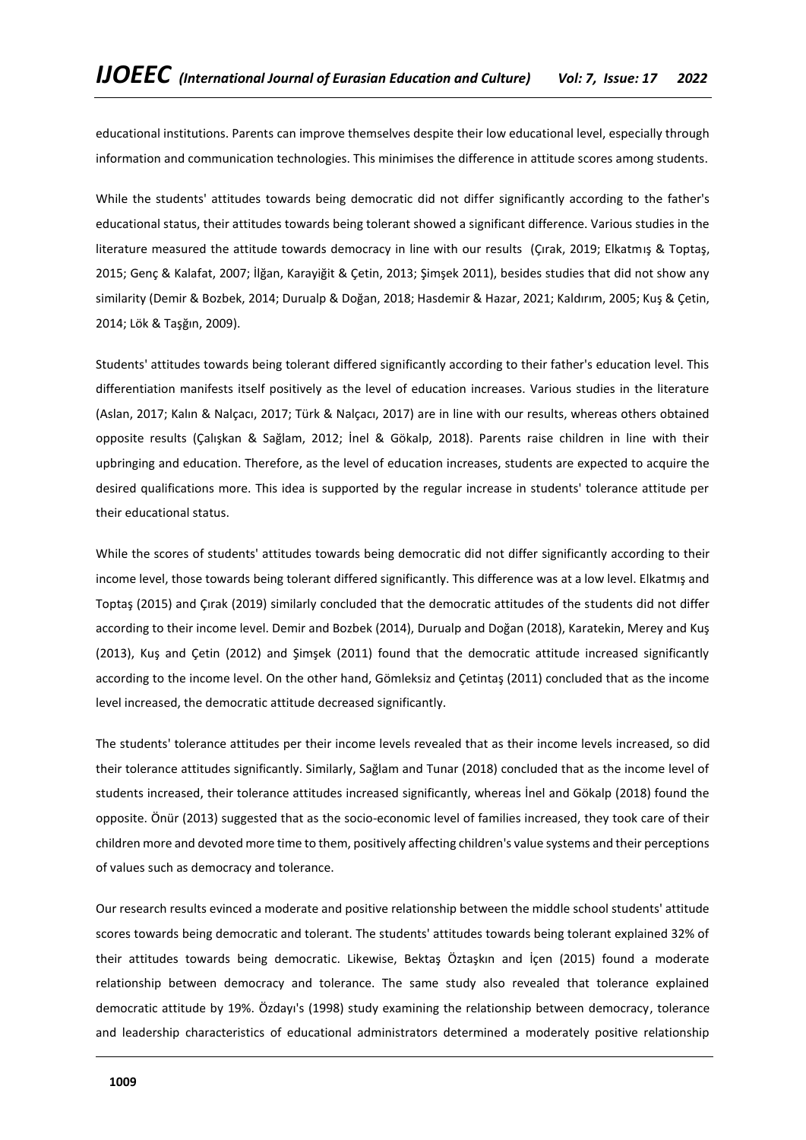educational institutions. Parents can improve themselves despite their low educational level, especially through information and communication technologies. This minimises the difference in attitude scores among students.

While the students' attitudes towards being democratic did not differ significantly according to the father's educational status, their attitudes towards being tolerant showed a significant difference. Various studies in the literature measured the attitude towards democracy in line with our results (Çırak, 2019; Elkatmış & Toptaş, 2015; Genç & Kalafat, 2007; İlğan, Karayiğit & Çetin, 2013; Şimşek 2011), besides studies that did not show any similarity (Demir & Bozbek, 2014; Durualp & Doğan, 2018; Hasdemir & Hazar, 2021; Kaldırım, 2005; Kuş & Çetin, 2014; Lök & Taşğın, 2009).

Students' attitudes towards being tolerant differed significantly according to their father's education level. This differentiation manifests itself positively as the level of education increases. Various studies in the literature (Aslan, 2017; Kalın & Nalçacı, 2017; Türk & Nalçacı, 2017) are in line with our results, whereas others obtained opposite results (Çalışkan & Sağlam, 2012; İnel & Gökalp, 2018). Parents raise children in line with their upbringing and education. Therefore, as the level of education increases, students are expected to acquire the desired qualifications more. This idea is supported by the regular increase in students' tolerance attitude per their educational status.

While the scores of students' attitudes towards being democratic did not differ significantly according to their income level, those towards being tolerant differed significantly. This difference was at a low level. Elkatmış and Toptaş (2015) and Çırak (2019) similarly concluded that the democratic attitudes of the students did not differ according to their income level. Demir and Bozbek (2014), Durualp and Doğan (2018), Karatekin, Merey and Kuş (2013), Kuş and Çetin (2012) and Şimşek (2011) found that the democratic attitude increased significantly according to the income level. On the other hand, Gömleksiz and Çetintaş (2011) concluded that as the income level increased, the democratic attitude decreased significantly.

The students' tolerance attitudes per their income levels revealed that as their income levels increased, so did their tolerance attitudes significantly. Similarly, Sağlam and Tunar (2018) concluded that as the income level of students increased, their tolerance attitudes increased significantly, whereas İnel and Gökalp (2018) found the opposite. Önür (2013) suggested that as the socio-economic level of families increased, they took care of their children more and devoted more time to them, positively affecting children's value systems and their perceptions of values such as democracy and tolerance.

Our research results evinced a moderate and positive relationship between the middle school students' attitude scores towards being democratic and tolerant. The students' attitudes towards being tolerant explained 32% of their attitudes towards being democratic. Likewise, Bektaş Öztaşkın and İçen (2015) found a moderate relationship between democracy and tolerance. The same study also revealed that tolerance explained democratic attitude by 19%. Özdayı's (1998) study examining the relationship between democracy, tolerance and leadership characteristics of educational administrators determined a moderately positive relationship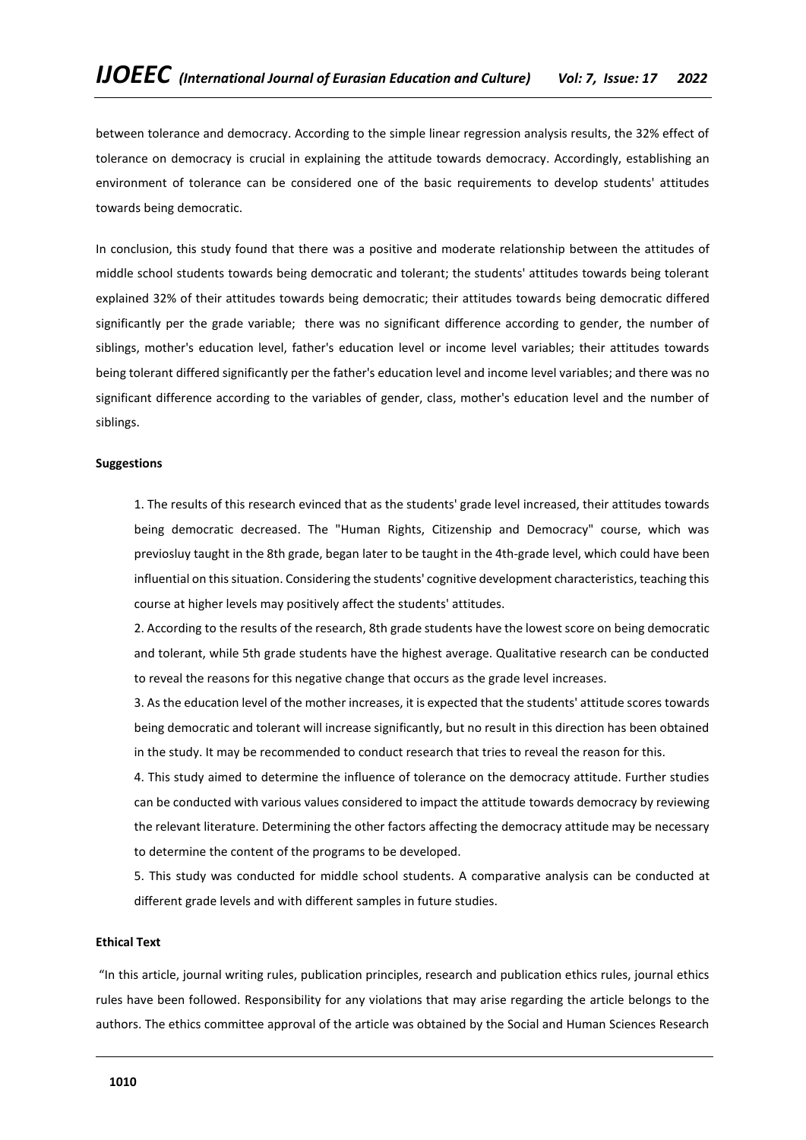between tolerance and democracy. According to the simple linear regression analysis results, the 32% effect of tolerance on democracy is crucial in explaining the attitude towards democracy. Accordingly, establishing an environment of tolerance can be considered one of the basic requirements to develop students' attitudes towards being democratic.

In conclusion, this study found that there was a positive and moderate relationship between the attitudes of middle school students towards being democratic and tolerant; the students' attitudes towards being tolerant explained 32% of their attitudes towards being democratic; their attitudes towards being democratic differed significantly per the grade variable; there was no significant difference according to gender, the number of siblings, mother's education level, father's education level or income level variables; their attitudes towards being tolerant differed significantly per the father's education level and income level variables; and there was no significant difference according to the variables of gender, class, mother's education level and the number of siblings.

### **Suggestions**

1. The results of this research evinced that as the students' grade level increased, their attitudes towards being democratic decreased. The "Human Rights, Citizenship and Democracy" course, which was previosluy taught in the 8th grade, began later to be taught in the 4th-grade level, which could have been influential on this situation. Considering the students' cognitive development characteristics, teaching this course at higher levels may positively affect the students' attitudes.

2. According to the results of the research, 8th grade students have the lowest score on being democratic and tolerant, while 5th grade students have the highest average. Qualitative research can be conducted to reveal the reasons for this negative change that occurs as the grade level increases.

3. As the education level of the mother increases, it is expected that the students' attitude scores towards being democratic and tolerant will increase significantly, but no result in this direction has been obtained in the study. It may be recommended to conduct research that tries to reveal the reason for this.

4. This study aimed to determine the influence of tolerance on the democracy attitude. Further studies can be conducted with various values considered to impact the attitude towards democracy by reviewing the relevant literature. Determining the other factors affecting the democracy attitude may be necessary to determine the content of the programs to be developed.

5. This study was conducted for middle school students. A comparative analysis can be conducted at different grade levels and with different samples in future studies.

## **Ethical Text**

"In this article, journal writing rules, publication principles, research and publication ethics rules, journal ethics rules have been followed. Responsibility for any violations that may arise regarding the article belongs to the authors. The ethics committee approval of the article was obtained by the Social and Human Sciences Research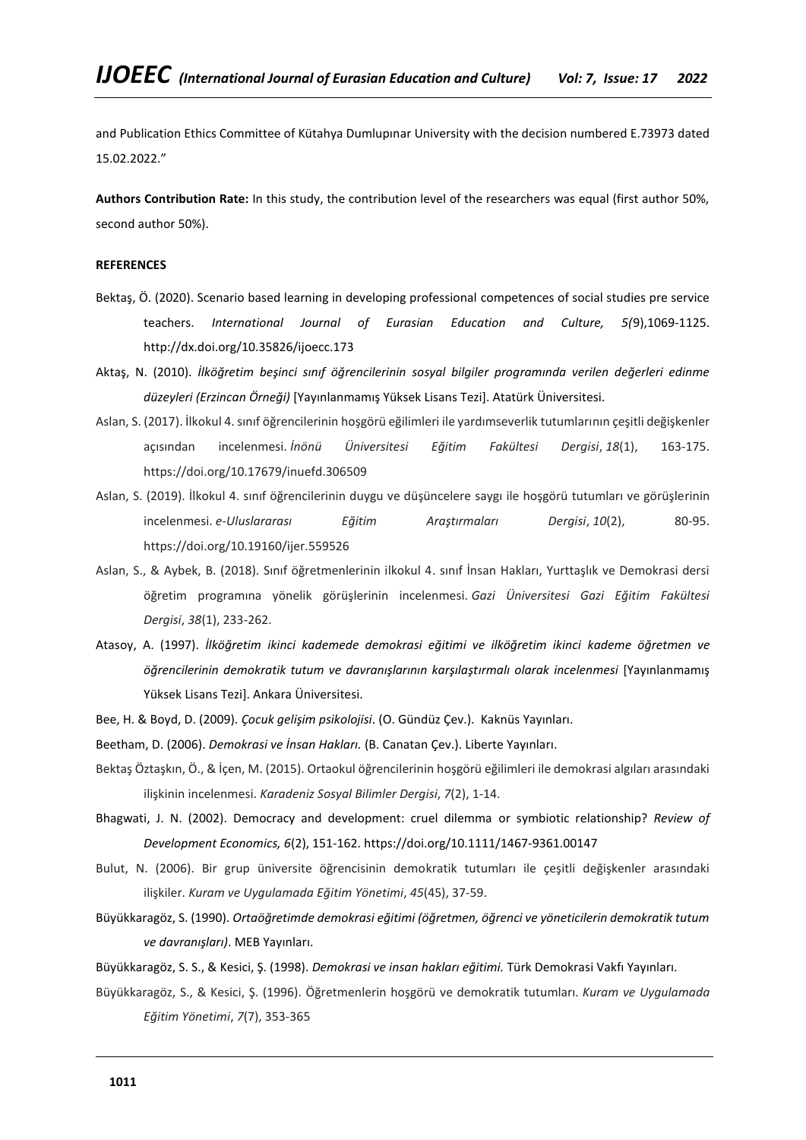and Publication Ethics Committee of Kütahya Dumlupınar University with the decision numbered E.73973 dated 15.02.2022."

**Authors Contribution Rate:** In this study, the contribution level of the researchers was equal (first author 50%, second author 50%).

## **REFERENCES**

- Bektaş, Ö. (2020). Scenario based learning in developing professional competences of social studies pre service teachers. *International Journal of Eurasian Education and Culture, 5(*9),1069-1125. <http://dx.doi.org/10.35826/ijoecc.173>
- Aktaş, N. (2010). *İlköğretim beşinci sınıf öğrencilerinin sosyal bilgiler programında verilen değerleri edinme düzeyleri (Erzincan Örneği)* [Yayınlanmamış Yüksek Lisans Tezi]. Atatürk Üniversitesi.
- Aslan, S. (2017). İlkokul 4. sınıf öğrencilerinin hoşgörü eğilimleri ile yardımseverlik tutumlarının çeşitli değişkenler açısından incelenmesi. *İnönü Üniversitesi Eğitim Fakültesi Dergisi*, *18*(1), 163-175. https://doi.org/10.17679/inuefd.306509
- Aslan, S. (2019). İlkokul 4. sınıf öğrencilerinin duygu ve düşüncelere saygı ile hoşgörü tutumları ve görüşlerinin incelenmesi. *e-Uluslararası Eğitim Araştırmaları Dergisi*, *10*(2), 80-95. https://doi.org/10.19160/ijer.559526
- Aslan, S., & Aybek, B. (2018). Sınıf öğretmenlerinin ilkokul 4. sınıf İnsan Hakları, Yurttaşlık ve Demokrasi dersi öğretim programına yönelik görüşlerinin incelenmesi. *Gazi Üniversitesi Gazi Eğitim Fakültesi Dergisi*, *38*(1), 233-262.
- Atasoy, A. (1997). *İlköğretim ikinci kademede demokrasi eğitimi ve ilköğretim ikinci kademe öğretmen ve öğrencilerinin demokratik tutum ve davranışlarının karşılaştırmalı olarak incelenmesi* [Yayınlanmamış Yüksek Lisans Tezi]. Ankara Üniversitesi.
- Bee, H. & Boyd, D. (2009). *Çocuk gelişim psikolojisi*. (O. Gündüz Çev.). Kaknüs Yayınları.
- Beetham, D. (2006). *Demokrasi ve İnsan Hakları.* (B. Canatan Çev.). Liberte Yayınları.
- Bektaş Öztaşkın, Ö., & İçen, M. (2015). Ortaokul öğrencilerinin hoşgörü eğilimleri ile demokrasi algıları arasındaki ilişkinin incelenmesi. *Karadeniz Sosyal Bilimler Dergisi*, *7*(2), 1-14.
- Bhagwati, J. N. (2002). Democracy and development: cruel dilemma or symbiotic relationship? *Review of Development Economics, 6*(2), 151-162. https://doi.org/10.1111/1467-9361.00147
- Bulut, N. (2006). Bir grup üniversite öğrencisinin demokratik tutumları ile çeşitli değişkenler arasındaki ilişkiler. *Kuram ve Uygulamada Eğitim Yönetimi*, *45*(45), 37-59.
- Büyükkaragöz, S. (1990). *Ortaöğretimde demokrasi eğitimi (öğretmen, öğrenci ve yöneticilerin demokratik tutum ve davranışları)*. MEB Yayınları.

Büyükkaragöz, S. S., & Kesici, Ş. (1998). *Demokrasi ve insan hakları eğitimi.* Türk Demokrasi Vakfı Yayınları.

Büyükkaragöz, S., & Kesici, Ş. (1996). Öğretmenlerin hoşgörü ve demokratik tutumları. *Kuram ve Uygulamada Eğitim Yönetimi*, *7*(7), 353-365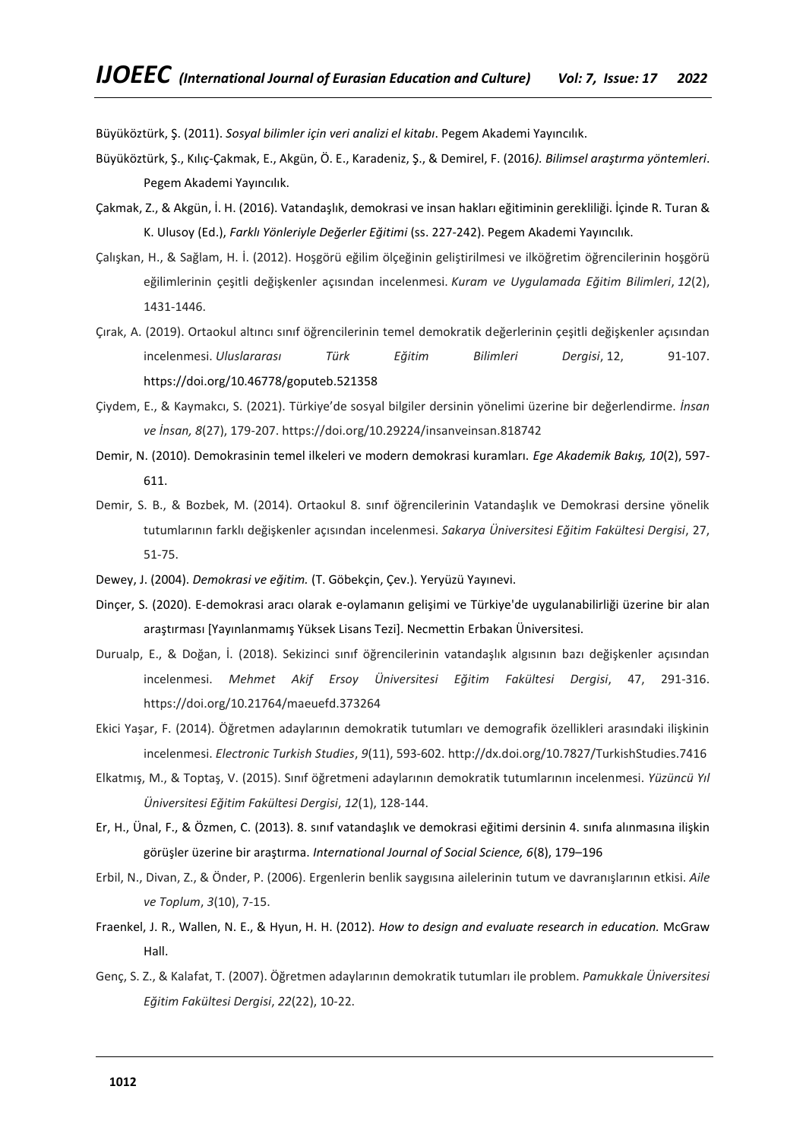Büyüköztürk, Ş. (2011). *Sosyal bilimler için veri analizi el kitabı*. Pegem Akademi Yayıncılık.

- Büyüköztürk, Ş., Kılıç-Çakmak, E., Akgün, Ö. E., Karadeniz, Ş., & Demirel, F. (2016*). Bilimsel araştırma yöntemleri*. Pegem Akademi Yayıncılık.
- Çakmak, Z., & Akgün, İ. H. (2016). Vatandaşlık, demokrasi ve insan hakları eğitiminin gerekliliği. İçinde R. Turan & K. Ulusoy (Ed.), *Farklı Yönleriyle Değerler Eğitimi* (ss. 227-242). Pegem Akademi Yayıncılık.
- Çalışkan, H., & Sağlam, H. İ. (2012). Hoşgörü eğilim ölçeğinin geliştirilmesi ve ilköğretim öğrencilerinin hoşgörü eğilimlerinin çeşitli değişkenler açısından incelenmesi. *Kuram ve Uygulamada Eğitim Bilimleri*, *12*(2), 1431-1446.
- Çırak, A. (2019). Ortaokul altıncı sınıf öğrencilerinin temel demokratik değerlerinin çeşitli değişkenler açısından incelenmesi. *Uluslararası Türk Eğitim Bilimleri Dergisi*, 12, 91-107. <https://doi.org/10.46778/goputeb.521358>
- Çiydem, E., & Kaymakcı, S. (2021). Türkiye'de sosyal bilgiler dersinin yönelimi üzerine bir değerlendirme. *İnsan ve İnsan, 8*(27), 179-207. https://doi.org/10.29224/insanveinsan.818742
- Demir, N. (2010). Demokrasinin temel ilkeleri ve modern demokrasi kuramları. *Ege Akademik Bakış, 10*(2), 597- 611.
- Demir, S. B., & Bozbek, M. (2014). Ortaokul 8. sınıf öğrencilerinin Vatandaşlık ve Demokrasi dersine yönelik tutumlarının farklı değişkenler açısından incelenmesi. *Sakarya Üniversitesi Eğitim Fakültesi Dergisi*, 27, 51-75.
- Dewey, J. (2004). *Demokrasi ve eğitim.* (T. Göbekçin, Çev.). Yeryüzü Yayınevi.
- Dinçer, S. (2020). E-demokrasi aracı olarak e-oylamanın gelişimi ve Türkiye'de uygulanabilirliği üzerine bir alan araştırması [Yayınlanmamış Yüksek Lisans Tezi]. Necmettin Erbakan Üniversitesi.
- Durualp, E., & Doğan, İ. (2018). Sekizinci sınıf öğrencilerinin vatandaşlık algısının bazı değişkenler açısından incelenmesi. *Mehmet Akif Ersoy Üniversitesi Eğitim Fakültesi Dergisi*, 47, 291-316. https://doi.org/10.21764/maeuefd.373264
- Ekici Yaşar, F. (2014). Öğretmen adaylarının demokratik tutumları ve demografik özellikleri arasındaki ilişkinin incelenmesi. *Electronic Turkish Studies*, *9*(11), 593-602. http://dx.doi.org/10.7827/TurkishStudies.7416
- Elkatmış, M., & Toptaş, V. (2015). Sınıf öğretmeni adaylarının demokratik tutumlarının incelenmesi. *Yüzüncü Yıl Üniversitesi Eğitim Fakültesi Dergisi*, *12*(1), 128-144.
- Er, H., Ünal, F., & Özmen, C. (2013). 8. sınıf vatandaşlık ve demokrasi eğitimi dersinin 4. sınıfa alınmasına ilişkin görüşler üzerine bir araştırma. *International Journal of Social Science, 6*(8), 179–196
- Erbil, N., Divan, Z., & Önder, P. (2006). Ergenlerin benlik saygısına ailelerinin tutum ve davranışlarının etkisi. *Aile ve Toplum*, *3*(10), 7-15.
- Fraenkel, J. R., Wallen, N. E., & Hyun, H. H. (2012). *How to design and evaluate research in education.* McGraw Hall.
- Genç, S. Z., & Kalafat, T. (2007). Öğretmen adaylarının demokratik tutumları ile problem. *Pamukkale Üniversitesi Eğitim Fakültesi Dergisi*, *22*(22), 10-22.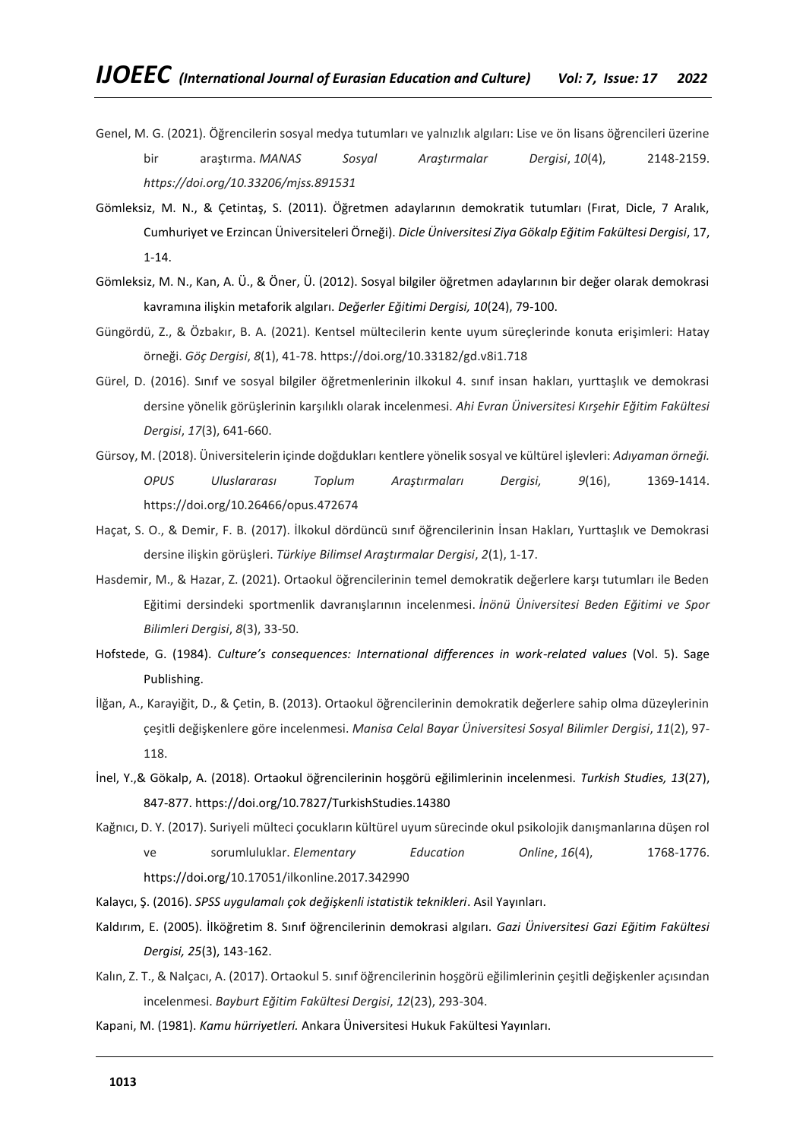- Genel, M. G. (2021). Öğrencilerin sosyal medya tutumları ve yalnızlık algıları: Lise ve ön lisans öğrencileri üzerine bir araştırma. *MANAS Sosyal Araştırmalar Dergisi*, *10*(4), 2148-2159. *https://doi.org/10.33206/mjss.891531*
- Gömleksiz, M. N., & Çetintaş, S. (2011). Öğretmen adaylarının demokratik tutumları (Fırat, Dicle, 7 Aralık, Cumhuriyet ve Erzincan Üniversiteleri Örneği). *Dicle Üniversitesi Ziya Gökalp Eğitim Fakültesi Dergisi*, 17, 1-14.
- Gömleksiz, M. N., Kan, A. Ü., & Öner, Ü. (2012). Sosyal bilgiler öğretmen adaylarının bir değer olarak demokrasi kavramına ilişkin metaforik algıları. *Değerler Eğitimi Dergisi, 10*(24), 79-100.
- Güngördü, Z., & Özbakır, B. A. (2021). Kentsel mültecilerin kente uyum süreçlerinde konuta erişimleri: Hatay örneği. *Göç Dergisi*, *8*(1), 41-78. https://doi.org/10.33182/gd.v8i1.718
- Gürel, D. (2016). Sınıf ve sosyal bilgiler öğretmenlerinin ilkokul 4. sınıf insan hakları, yurttaşlık ve demokrasi dersine yönelik görüşlerinin karşılıklı olarak incelenmesi. *Ahi Evran Üniversitesi Kırşehir Eğitim Fakültesi Dergisi*, *17*(3), 641-660.
- Gürsoy, M. (2018). Üniversitelerin içinde doğdukları kentlere yönelik sosyal ve kültürel işlevleri: *Adıyaman örneği. OPUS Uluslararası Toplum Araştırmaları Dergisi, 9*(16), 1369-1414. https://doi.org/10.26466/opus.472674
- Haçat, S. O., & Demir, F. B. (2017). İlkokul dördüncü sınıf öğrencilerinin İnsan Hakları, Yurttaşlık ve Demokrasi dersine ilişkin görüşleri. *Türkiye Bilimsel Araştırmalar Dergisi*, *2*(1), 1-17.
- Hasdemir, M., & Hazar, Z. (2021). Ortaokul öğrencilerinin temel demokratik değerlere karşı tutumları ile Beden Eğitimi dersindeki sportmenlik davranışlarının incelenmesi. *İnönü Üniversitesi Beden Eğitimi ve Spor Bilimleri Dergisi*, *8*(3), 33-50.
- Hofstede, G. (1984). *Culture's consequences: International differences in work-related values* (Vol. 5). Sage Publishing.
- İlğan, A., Karayiğit, D., & Çetin, B. (2013). Ortaokul öğrencilerinin demokratik değerlere sahip olma düzeylerinin çeşitli değişkenlere göre incelenmesi. *Manisa Celal Bayar Üniversitesi Sosyal Bilimler Dergisi*, *11*(2), 97- 118.
- İnel, Y.,& Gökalp, A. (2018). Ortaokul öğrencilerinin hoşgörü eğilimlerinin incelenmesi. *Turkish Studies, 13*(27), 847-877. https://doi.org/10.7827/TurkishStudies.14380
- Kağnıcı, D. Y. (2017). Suriyeli mülteci çocukların kültürel uyum sürecinde okul psikolojik danışmanlarına düşen rol ve sorumluluklar. *Elementary Education Online*, *16*(4), 1768-1776. https://doi.org/10.17051/ilkonline.2017.342990
- Kalaycı, Ş. (2016). *SPSS uygulamalı çok değişkenli istatistik teknikleri*. Asil Yayınları.
- Kaldırım, E. (2005). İlköğretim 8. Sınıf öğrencilerinin demokrasi algıları. *Gazi Üniversitesi Gazi Eğitim Fakültesi Dergisi, 25*(3), 143-162.
- Kalın, Z. T., & Nalçacı, A. (2017). Ortaokul 5. sınıf öğrencilerinin hoşgörü eğilimlerinin çeşitli değişkenler açısından incelenmesi. *Bayburt Eğitim Fakültesi Dergisi*, *12*(23), 293-304.
- Kapani, M. (1981). *Kamu hürriyetleri.* Ankara Üniversitesi Hukuk Fakültesi Yayınları.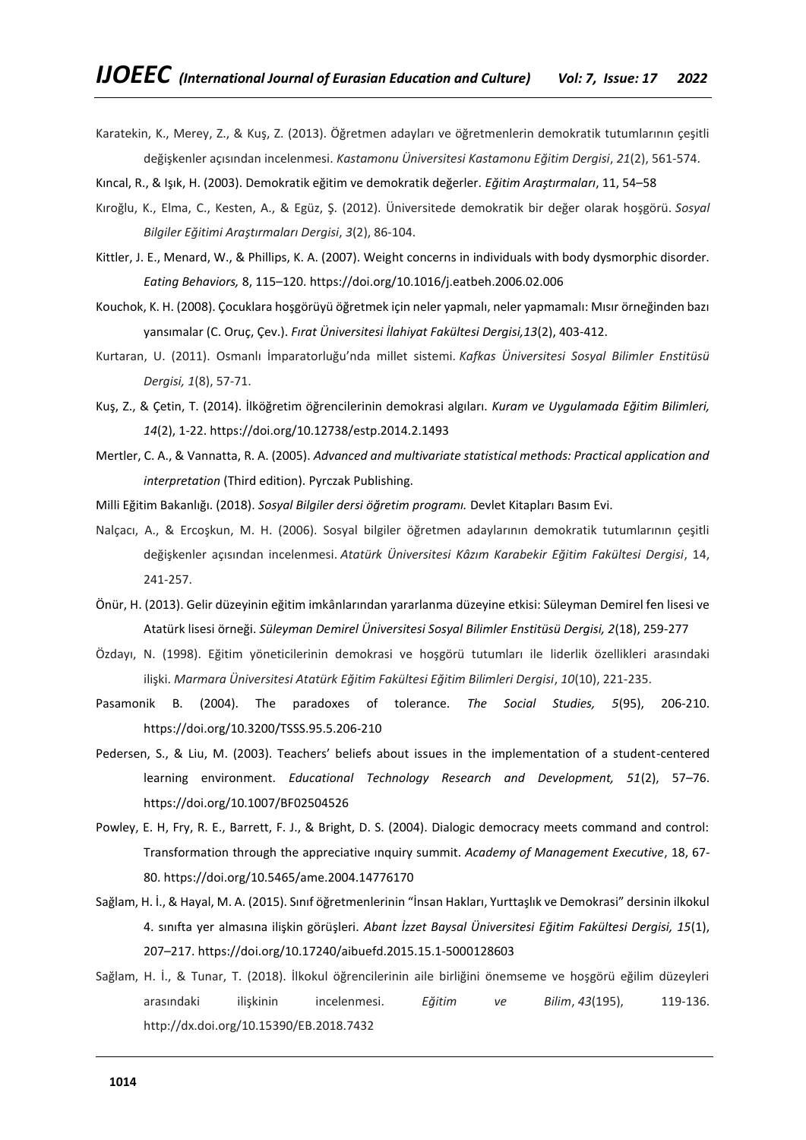Karatekin, K., Merey, Z., & Kuş, Z. (2013). Öğretmen adayları ve öğretmenlerin demokratik tutumlarının çeşitli değişkenler açısından incelenmesi. *Kastamonu Üniversitesi Kastamonu Eğitim Dergisi*, *21*(2), 561-574.

Kıncal, R., & Işık, H. (2003). Demokratik eğitim ve demokratik değerler. *Eğitim Araştırmaları*, 11, 54–58

- Kıroğlu, K., Elma, C., Kesten, A., & Egüz, Ş. (2012). Üniversitede demokratik bir değer olarak hoşgörü. *Sosyal Bilgiler Eğitimi Araştırmaları Dergisi*, *3*(2), 86-104.
- Kittler, J. E., Menard, W., & Phillips, K. A. (2007). Weight concerns in individuals with body dysmorphic disorder. *Eating Behaviors,* 8, 115–120. https://doi.org/10.1016/j.eatbeh.2006.02.006
- Kouchok, K. H. (2008). Çocuklara hoşgörüyü öğretmek için neler yapmalı, neler yapmamalı: Mısır örneğinden bazı yansımalar (C. Oruç, Çev.). *Fırat Üniversitesi İlahiyat Fakültesi Dergisi,13*(2), 403-412.
- Kurtaran, U. (2011). Osmanlı İmparatorluğu'nda millet sistemi. *Kafkas Üniversitesi Sosyal Bilimler Enstitüsü Dergisi, 1*(8), 57-71.
- Kuş, Z., & Çetin, T. (2014). İlköğretim öğrencilerinin demokrasi algıları. *Kuram ve Uygulamada Eğitim Bilimleri, 14*(2), 1-22. https://doi.org/10.12738/estp.2014.2.1493
- Mertler, C. A., & Vannatta, R. A. (2005). *Advanced and multivariate statistical methods: Practical application and interpretation* (Third edition). Pyrczak Publishing.
- Milli Eğitim Bakanlığı. (2018). *Sosyal Bilgiler dersi öğretim programı.* Devlet Kitapları Basım Evi.
- Nalçacı, A., & Ercoşkun, M. H. (2006). Sosyal bilgiler öğretmen adaylarının demokratik tutumlarının çeşitli değişkenler açısından incelenmesi. *Atatürk Üniversitesi Kâzım Karabekir Eğitim Fakültesi Dergisi*, 14, 241-257.
- Önür, H. (2013). Gelir düzeyinin eğitim imkânlarından yararlanma düzeyine etkisi: Süleyman Demirel fen lisesi ve Atatürk lisesi örneği. *Süleyman Demirel Üniversitesi Sosyal Bilimler Enstitüsü Dergisi, 2*(18), 259-277
- Özdayı, N. (1998). Eğitim yöneticilerinin demokrasi ve hoşgörü tutumları ile liderlik özellikleri arasındaki ilişki. *Marmara Üniversitesi Atatürk Eğitim Fakültesi Eğitim Bilimleri Dergisi*, *10*(10), 221-235.
- Pasamonik B. (2004). The paradoxes of tolerance. *The Social Studies, 5*(95), 206-210. https://doi.org/10.3200/TSSS.95.5.206-210
- Pedersen, S., & Liu, M. (2003). Teachers' beliefs about issues in the implementation of a student-centered learning environment. *Educational Technology Research and Development, 51*(2), 57–76. https://doi.org/10.1007/BF02504526
- Powley, E. H, Fry, R. E., Barrett, F. J., & Bright, D. S. (2004). Dialogic democracy meets command and control: Transformation through the appreciative ınquiry summit. *Academy of Management Executive*, 18, 67- 80. https://doi.org/10.5465/ame.2004.14776170
- Sağlam, H. İ., & Hayal, M. A. (2015). Sınıf öğretmenlerinin "İnsan Hakları, Yurttaşlık ve Demokrasi" dersinin ilkokul 4. sınıfta yer almasına ilişkin görüşleri. *Abant İzzet Baysal Üniversitesi Eğitim Fakültesi Dergisi, 15*(1), 207–217. https://doi.org/10.17240/aibuefd.2015.15.1-5000128603
- Sağlam, H. İ., & Tunar, T. (2018). İlkokul öğrencilerinin aile birliğini önemseme ve hoşgörü eğilim düzeyleri arasındaki ilişkinin incelenmesi. *Eğitim ve Bilim*, *43*(195), 119-136. http://dx.doi.org/10.15390/EB.2018.7432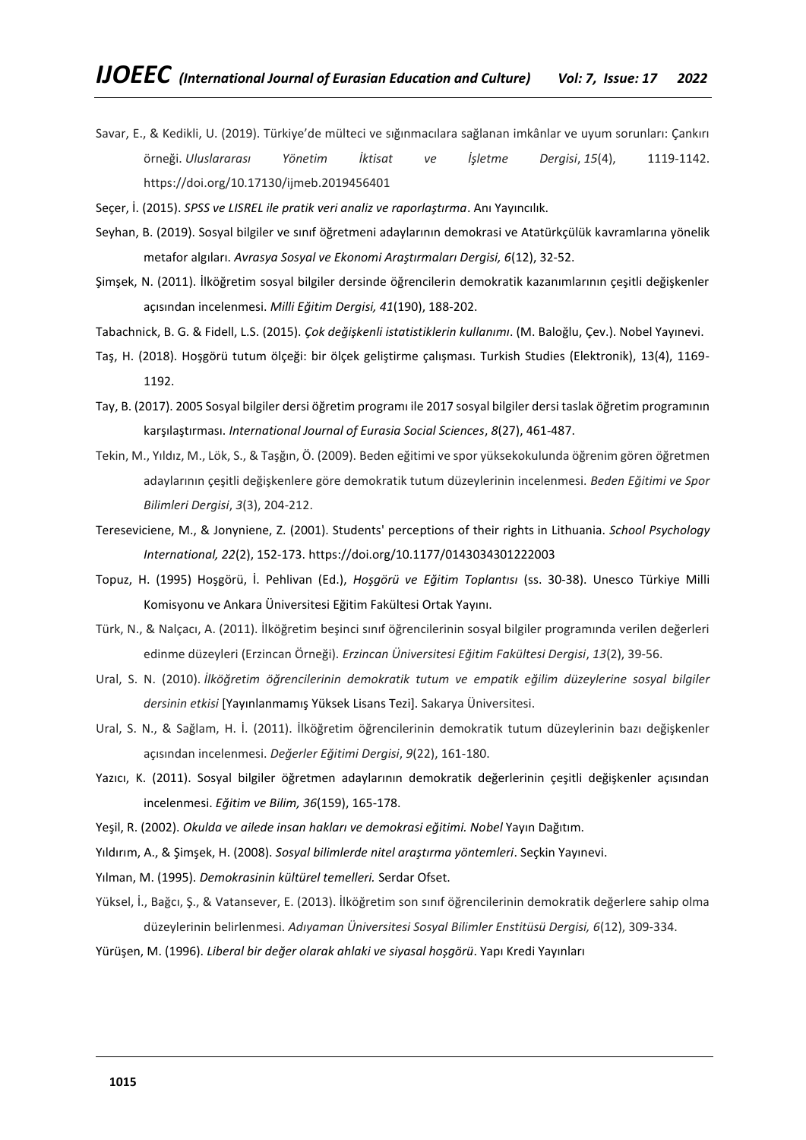- Savar, E., & Kedikli, U. (2019). Türkiye'de mülteci ve sığınmacılara sağlanan imkânlar ve uyum sorunları: Çankırı örneği. *Uluslararası Yönetim İktisat ve İşletme Dergisi*, *15*(4), 1119-1142. https://doi.org/10.17130/ijmeb.2019456401
- Seçer, İ. (2015). *SPSS ve LISREL ile pratik veri analiz ve raporlaştırma*. Anı Yayıncılık.
- Seyhan, B. (2019). Sosyal bilgiler ve sınıf öğretmeni adaylarının demokrasi ve Atatürkçülük kavramlarına yönelik metafor algıları. *Avrasya Sosyal ve Ekonomi Araştırmaları Dergisi, 6*(12), 32-52.
- Şimşek, N. (2011). İlköğretim sosyal bilgiler dersinde öğrencilerin demokratik kazanımlarının çeşitli değişkenler açısından incelenmesi. *Milli Eğitim Dergisi, 41*(190), 188-202.
- Tabachnick, B. G. & Fidell, L.S. (2015). *Çok değişkenli istatistiklerin kullanımı*. (M. Baloğlu, Çev.). Nobel Yayınevi.
- Taş, H. (2018). Hoşgörü tutum ölçeği: bir ölçek geliştirme çalışması. Turkish Studies (Elektronik), 13(4), 1169- 1192.
- Tay, B. (2017). 2005 Sosyal bilgiler dersi öğretim programı ile 2017 sosyal bilgiler dersi taslak öğretim programının karşılaştırması. *International Journal of Eurasia Social Sciences*, *8*(27), 461-487.
- Tekin, M., Yıldız, M., Lök, S., & Taşğın, Ö. (2009). Beden eğitimi ve spor yüksekokulunda öğrenim gören öğretmen adaylarının çeşitli değişkenlere göre demokratik tutum düzeylerinin incelenmesi. *Beden Eğitimi ve Spor Bilimleri Dergisi*, *3*(3), 204-212.
- Tereseviciene, M., & Jonyniene, Z. (2001). Students' perceptions of their rights in Lithuania. *School Psychology International, 22*(2), 152‐173. https://doi.org/10.1177/0143034301222003
- Topuz, H. (1995) Hoşgörü, İ. Pehlivan (Ed.), *Hoşgörü ve Eğitim Toplantısı* (ss. 30-38). Unesco Türkiye Milli Komisyonu ve Ankara Üniversitesi Eğitim Fakültesi Ortak Yayını.
- Türk, N., & Nalçacı, A. (2011). İlköğretim beşinci sınıf öğrencilerinin sosyal bilgiler programında verilen değerleri edinme düzeyleri (Erzincan Örneği). *Erzincan Üniversitesi Eğitim Fakültesi Dergisi*, *13*(2), 39-56.
- Ural, S. N. (2010). *İlköğretim öğrencilerinin demokratik tutum ve empatik eğilim düzeylerine sosyal bilgiler dersinin etkisi* [Yayınlanmamış Yüksek Lisans Tezi]. Sakarya Üniversitesi.
- Ural, S. N., & Sağlam, H. İ. (2011). İlköğretim öğrencilerinin demokratik tutum düzeylerinin bazı değişkenler açısından incelenmesi. *Değerler Eğitimi Dergisi*, *9*(22), 161-180.
- Yazıcı, K. (2011). Sosyal bilgiler öğretmen adaylarının demokratik değerlerinin çeşitli değişkenler açısından incelenmesi. *Eğitim ve Bilim, 36*(159), 165-178.
- Yeşil, R. (2002). *Okulda ve ailede insan hakları ve demokrasi eğitimi. Nobel* Yayın Dağıtım.
- Yıldırım, A., & Şimşek, H. (2008). *Sosyal bilimlerde nitel araştırma yöntemleri*. Seçkin Yayınevi.
- Yılman, M. (1995). *Demokrasinin kültürel temelleri.* Serdar Ofset.
- Yüksel, İ., Bağcı, Ş., & Vatansever, E. (2013). İlköğretim son sınıf öğrencilerinin demokratik değerlere sahip olma düzeylerinin belirlenmesi. *Adıyaman Üniversitesi Sosyal Bilimler Enstitüsü Dergisi, 6*(12), 309-334.
- Yürüşen, M. (1996). *Liberal bir değer olarak ahlaki ve siyasal hoşgörü*. Yapı Kredi Yayınları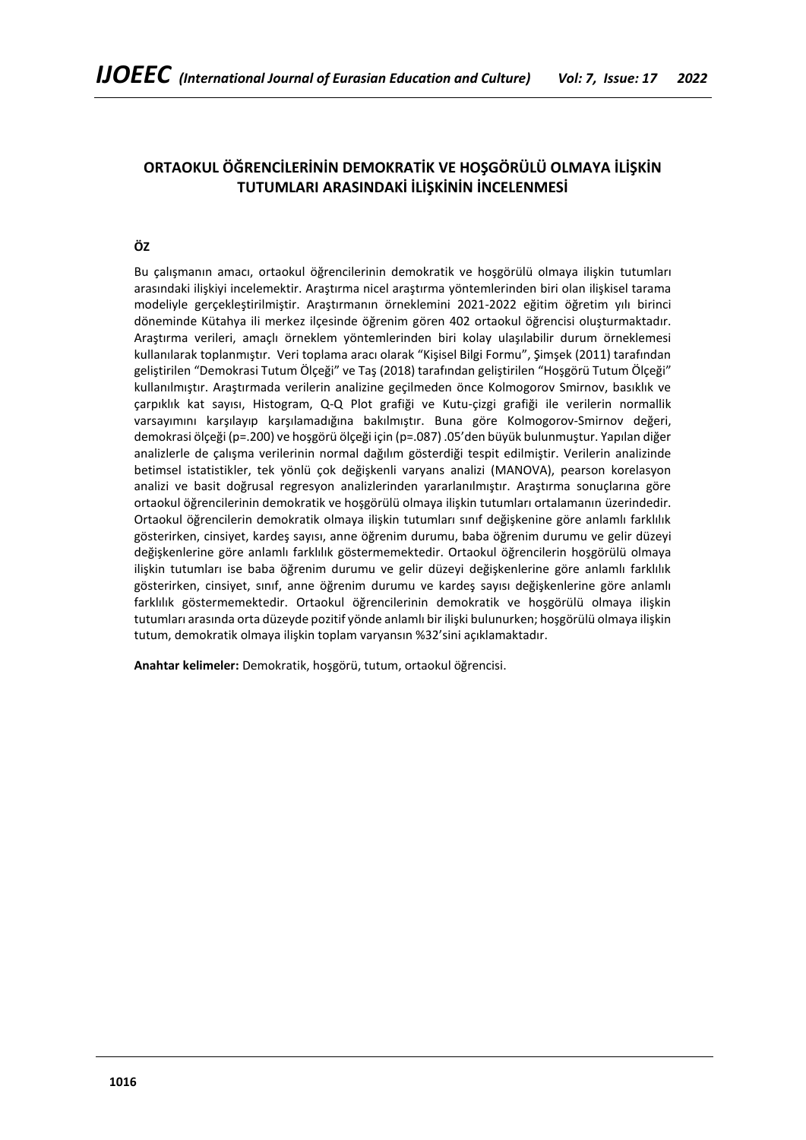# **ORTAOKUL ÖĞRENCİLERİNİN DEMOKRATİK VE HOŞGÖRÜLÜ OLMAYA İLİŞKİN TUTUMLARI ARASINDAKİ İLİŞKİNİN İNCELENMESİ**

## **ÖZ**

Bu çalışmanın amacı, ortaokul öğrencilerinin demokratik ve hoşgörülü olmaya ilişkin tutumları arasındaki ilişkiyi incelemektir. Araştırma nicel araştırma yöntemlerinden biri olan ilişkisel tarama modeliyle gerçekleştirilmiştir. Araştırmanın örneklemini 2021-2022 eğitim öğretim yılı birinci döneminde Kütahya ili merkez ilçesinde öğrenim gören 402 ortaokul öğrencisi oluşturmaktadır. Araştırma verileri, amaçlı örneklem yöntemlerinden biri kolay ulaşılabilir durum örneklemesi kullanılarak toplanmıştır. Veri toplama aracı olarak "Kişisel Bilgi Formu", Şimşek (2011) tarafından geliştirilen "Demokrasi Tutum Ölçeği" ve Taş (2018) tarafından geliştirilen "Hoşgörü Tutum Ölçeği" kullanılmıştır. Araştırmada verilerin analizine geçilmeden önce Kolmogorov Smirnov, basıklık ve çarpıklık kat sayısı, Histogram, Q-Q Plot grafiği ve Kutu-çizgi grafiği ile verilerin normallik varsayımını karşılayıp karşılamadığına bakılmıştır. Buna göre Kolmogorov-Smirnov değeri, demokrasi ölçeği (p=.200) ve hoşgörü ölçeği için (p=.087) .05'den büyük bulunmuştur. Yapılan diğer analizlerle de çalışma verilerinin normal dağılım gösterdiği tespit edilmiştir. Verilerin analizinde betimsel istatistikler, tek yönlü çok değişkenli varyans analizi (MANOVA), pearson korelasyon analizi ve basit doğrusal regresyon analizlerinden yararlanılmıştır. Araştırma sonuçlarına göre ortaokul öğrencilerinin demokratik ve hoşgörülü olmaya ilişkin tutumları ortalamanın üzerindedir. Ortaokul öğrencilerin demokratik olmaya ilişkin tutumları sınıf değişkenine göre anlamlı farklılık gösterirken, cinsiyet, kardeş sayısı, anne öğrenim durumu, baba öğrenim durumu ve gelir düzeyi değişkenlerine göre anlamlı farklılık göstermemektedir. Ortaokul öğrencilerin hoşgörülü olmaya ilişkin tutumları ise baba öğrenim durumu ve gelir düzeyi değişkenlerine göre anlamlı farklılık gösterirken, cinsiyet, sınıf, anne öğrenim durumu ve kardeş sayısı değişkenlerine göre anlamlı farklılık göstermemektedir. Ortaokul öğrencilerinin demokratik ve hoşgörülü olmaya ilişkin tutumları arasında orta düzeyde pozitif yönde anlamlı bir ilişki bulunurken; hoşgörülü olmaya ilişkin tutum, demokratik olmaya ilişkin toplam varyansın %32'sini açıklamaktadır.

**Anahtar kelimeler:** Demokratik, hoşgörü, tutum, ortaokul öğrencisi.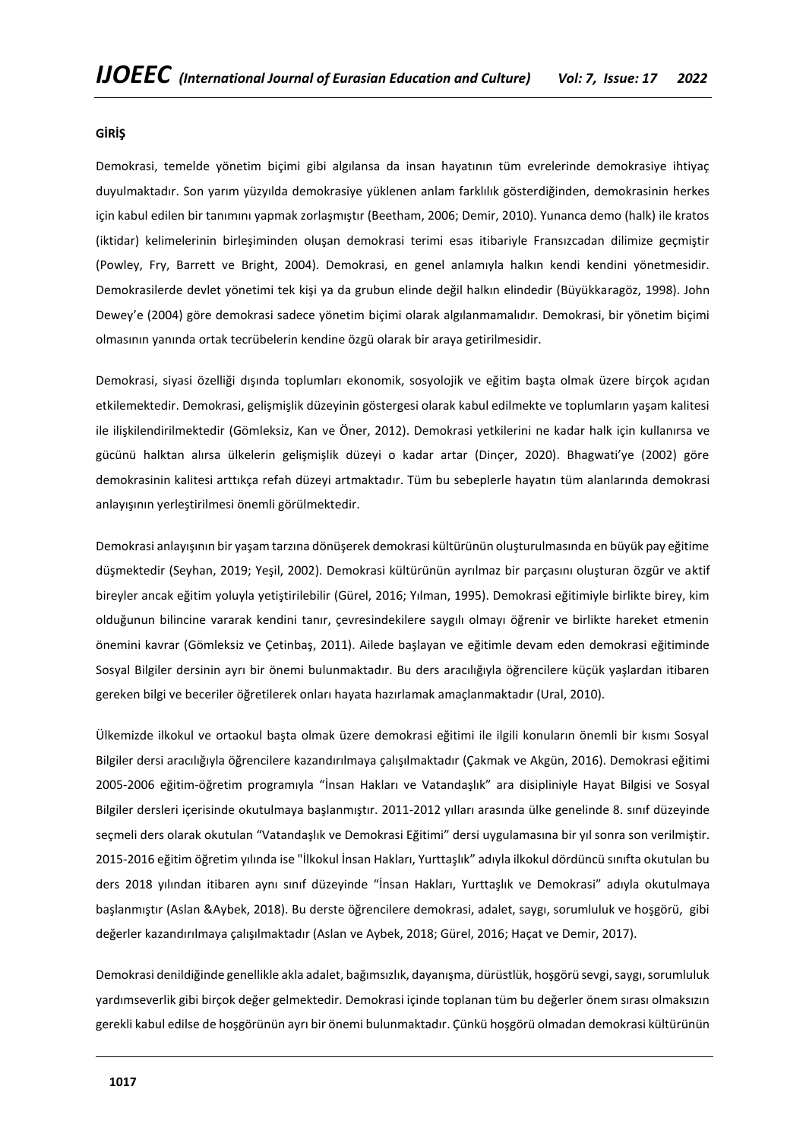### **GİRİŞ**

Demokrasi, temelde yönetim biçimi gibi algılansa da insan hayatının tüm evrelerinde demokrasiye ihtiyaç duyulmaktadır. Son yarım yüzyılda demokrasiye yüklenen anlam farklılık gösterdiğinden, demokrasinin herkes için kabul edilen bir tanımını yapmak zorlaşmıştır (Beetham, 2006; Demir, 2010). Yunanca demo (halk) ile kratos (iktidar) kelimelerinin birleşiminden oluşan demokrasi terimi esas itibariyle Fransızcadan dilimize geçmiştir (Powley, Fry, Barrett ve Bright, 2004). Demokrasi, en genel anlamıyla halkın kendi kendini yönetmesidir. Demokrasilerde devlet yönetimi tek kişi ya da grubun elinde değil halkın elindedir (Büyükkaragöz, 1998). John Dewey'e (2004) göre demokrasi sadece yönetim biçimi olarak algılanmamalıdır. Demokrasi, bir yönetim biçimi olmasının yanında ortak tecrübelerin kendine özgü olarak bir araya getirilmesidir.

Demokrasi, siyasi özelliği dışında toplumları ekonomik, sosyolojik ve eğitim başta olmak üzere birçok açıdan etkilemektedir. Demokrasi, gelişmişlik düzeyinin göstergesi olarak kabul edilmekte ve toplumların yaşam kalitesi ile ilişkilendirilmektedir (Gömleksiz, Kan ve Öner, 2012). Demokrasi yetkilerini ne kadar halk için kullanırsa ve gücünü halktan alırsa ülkelerin gelişmişlik düzeyi o kadar artar (Dinçer, 2020). Bhagwati'ye (2002) göre demokrasinin kalitesi arttıkça refah düzeyi artmaktadır. Tüm bu sebeplerle hayatın tüm alanlarında demokrasi anlayışının yerleştirilmesi önemli görülmektedir.

Demokrasi anlayışının bir yaşam tarzına dönüşerek demokrasi kültürünün oluşturulmasında en büyük pay eğitime düşmektedir (Seyhan, 2019; Yeşil, 2002). Demokrasi kültürünün ayrılmaz bir parçasını oluşturan özgür ve aktif bireyler ancak eğitim yoluyla yetiştirilebilir (Gürel, 2016; Yılman, 1995). Demokrasi eğitimiyle birlikte birey, kim olduğunun bilincine vararak kendini tanır, çevresindekilere saygılı olmayı öğrenir ve birlikte hareket etmenin önemini kavrar (Gömleksiz ve Çetinbaş, 2011). Ailede başlayan ve eğitimle devam eden demokrasi eğitiminde Sosyal Bilgiler dersinin ayrı bir önemi bulunmaktadır. Bu ders aracılığıyla öğrencilere küçük yaşlardan itibaren gereken bilgi ve beceriler öğretilerek onları hayata hazırlamak amaçlanmaktadır (Ural, 2010).

Ülkemizde ilkokul ve ortaokul başta olmak üzere demokrasi eğitimi ile ilgili konuların önemli bir kısmı Sosyal Bilgiler dersi aracılığıyla öğrencilere kazandırılmaya çalışılmaktadır (Çakmak ve Akgün, 2016). Demokrasi eğitimi 2005-2006 eğitim-öğretim programıyla "İnsan Hakları ve Vatandaşlık" ara disipliniyle Hayat Bilgisi ve Sosyal Bilgiler dersleri içerisinde okutulmaya başlanmıştır. 2011-2012 yılları arasında ülke genelinde 8. sınıf düzeyinde seçmeli ders olarak okutulan "Vatandaşlık ve Demokrasi Eğitimi" dersi uygulamasına bir yıl sonra son verilmiştir. 2015-2016 eğitim öğretim yılında ise "İlkokul İnsan Hakları, Yurttaşlık" adıyla ilkokul dördüncü sınıfta okutulan bu ders 2018 yılından itibaren aynı sınıf düzeyinde "İnsan Hakları, Yurttaşlık ve Demokrasi" adıyla okutulmaya başlanmıştır (Aslan &Aybek, 2018). Bu derste öğrencilere demokrasi, adalet, saygı, sorumluluk ve hoşgörü, gibi değerler kazandırılmaya çalışılmaktadır (Aslan ve Aybek, 2018; Gürel, 2016; Haçat ve Demir, 2017).

Demokrasi denildiğinde genellikle akla adalet, bağımsızlık, dayanışma, dürüstlük, hoşgörü sevgi, saygı, sorumluluk yardımseverlik gibi birçok değer gelmektedir. Demokrasi içinde toplanan tüm bu değerler önem sırası olmaksızın gerekli kabul edilse de hoşgörünün ayrı bir önemi bulunmaktadır. Çünkü hoşgörü olmadan demokrasi kültürünün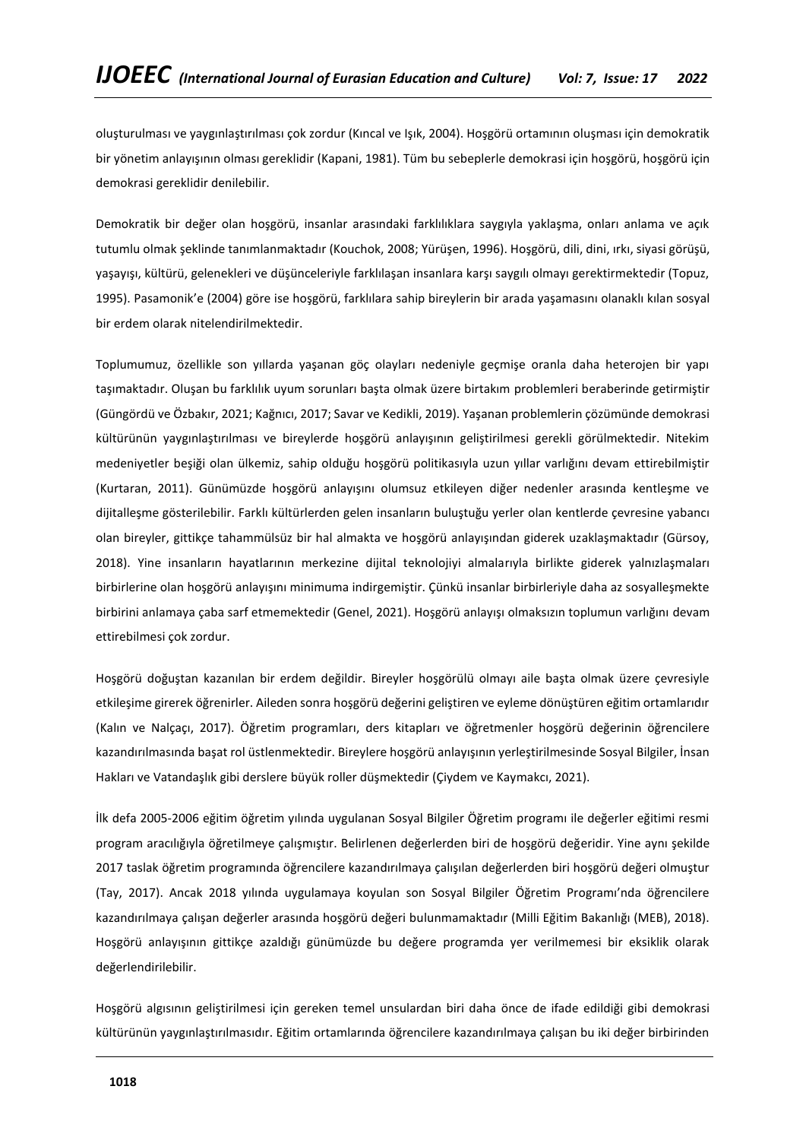oluşturulması ve yaygınlaştırılması çok zordur (Kıncal ve Işık, 2004). Hoşgörü ortamının oluşması için demokratik bir yönetim anlayışının olması gereklidir (Kapani, 1981). Tüm bu sebeplerle demokrasi için hoşgörü, hoşgörü için demokrasi gereklidir denilebilir.

Demokratik bir değer olan hoşgörü, insanlar arasındaki farklılıklara saygıyla yaklaşma, onları anlama ve açık tutumlu olmak şeklinde tanımlanmaktadır (Kouchok, 2008; Yürüşen, 1996). Hoşgörü, dili, dini, ırkı, siyasi görüşü, yaşayışı, kültürü, gelenekleri ve düşünceleriyle farklılaşan insanlara karşı saygılı olmayı gerektirmektedir (Topuz, 1995). Pasamonik'e (2004) göre ise hoşgörü, farklılara sahip bireylerin bir arada yaşamasını olanaklı kılan sosyal bir erdem olarak nitelendirilmektedir.

Toplumumuz, özellikle son yıllarda yaşanan göç olayları nedeniyle geçmişe oranla daha heterojen bir yapı taşımaktadır. Oluşan bu farklılık uyum sorunları başta olmak üzere birtakım problemleri beraberinde getirmiştir (Güngördü ve Özbakır, 2021; Kağnıcı, 2017; Savar ve Kedikli, 2019). Yaşanan problemlerin çözümünde demokrasi kültürünün yaygınlaştırılması ve bireylerde hoşgörü anlayışının geliştirilmesi gerekli görülmektedir. Nitekim medeniyetler beşiği olan ülkemiz, sahip olduğu hoşgörü politikasıyla uzun yıllar varlığını devam ettirebilmiştir (Kurtaran, 2011). Günümüzde hoşgörü anlayışını olumsuz etkileyen diğer nedenler arasında kentleşme ve dijitalleşme gösterilebilir. Farklı kültürlerden gelen insanların buluştuğu yerler olan kentlerde çevresine yabancı olan bireyler, gittikçe tahammülsüz bir hal almakta ve hoşgörü anlayışından giderek uzaklaşmaktadır (Gürsoy, 2018). Yine insanların hayatlarının merkezine dijital teknolojiyi almalarıyla birlikte giderek yalnızlaşmaları birbirlerine olan hoşgörü anlayışını minimuma indirgemiştir. Çünkü insanlar birbirleriyle daha az sosyalleşmekte birbirini anlamaya çaba sarf etmemektedir (Genel, 2021). Hoşgörü anlayışı olmaksızın toplumun varlığını devam ettirebilmesi çok zordur.

Hoşgörü doğuştan kazanılan bir erdem değildir. Bireyler hoşgörülü olmayı aile başta olmak üzere çevresiyle etkileşime girerek öğrenirler. Aileden sonra hoşgörü değerini geliştiren ve eyleme dönüştüren eğitim ortamlarıdır (Kalın ve Nalçaçı, 2017). Öğretim programları, ders kitapları ve öğretmenler hoşgörü değerinin öğrencilere kazandırılmasında başat rol üstlenmektedir. Bireylere hoşgörü anlayışının yerleştirilmesinde Sosyal Bilgiler, İnsan Hakları ve Vatandaşlık gibi derslere büyük roller düşmektedir (Çiydem ve Kaymakcı, 2021).

İlk defa 2005-2006 eğitim öğretim yılında uygulanan Sosyal Bilgiler Öğretim programı ile değerler eğitimi resmi program aracılığıyla öğretilmeye çalışmıştır. Belirlenen değerlerden biri de hoşgörü değeridir. Yine aynı şekilde 2017 taslak öğretim programında öğrencilere kazandırılmaya çalışılan değerlerden biri hoşgörü değeri olmuştur (Tay, 2017). Ancak 2018 yılında uygulamaya koyulan son Sosyal Bilgiler Öğretim Programı'nda öğrencilere kazandırılmaya çalışan değerler arasında hoşgörü değeri bulunmamaktadır (Milli Eğitim Bakanlığı (MEB), 2018). Hoşgörü anlayışının gittikçe azaldığı günümüzde bu değere programda yer verilmemesi bir eksiklik olarak değerlendirilebilir.

Hoşgörü algısının geliştirilmesi için gereken temel unsulardan biri daha önce de ifade edildiği gibi demokrasi kültürünün yaygınlaştırılmasıdır. Eğitim ortamlarında öğrencilere kazandırılmaya çalışan bu iki değer birbirinden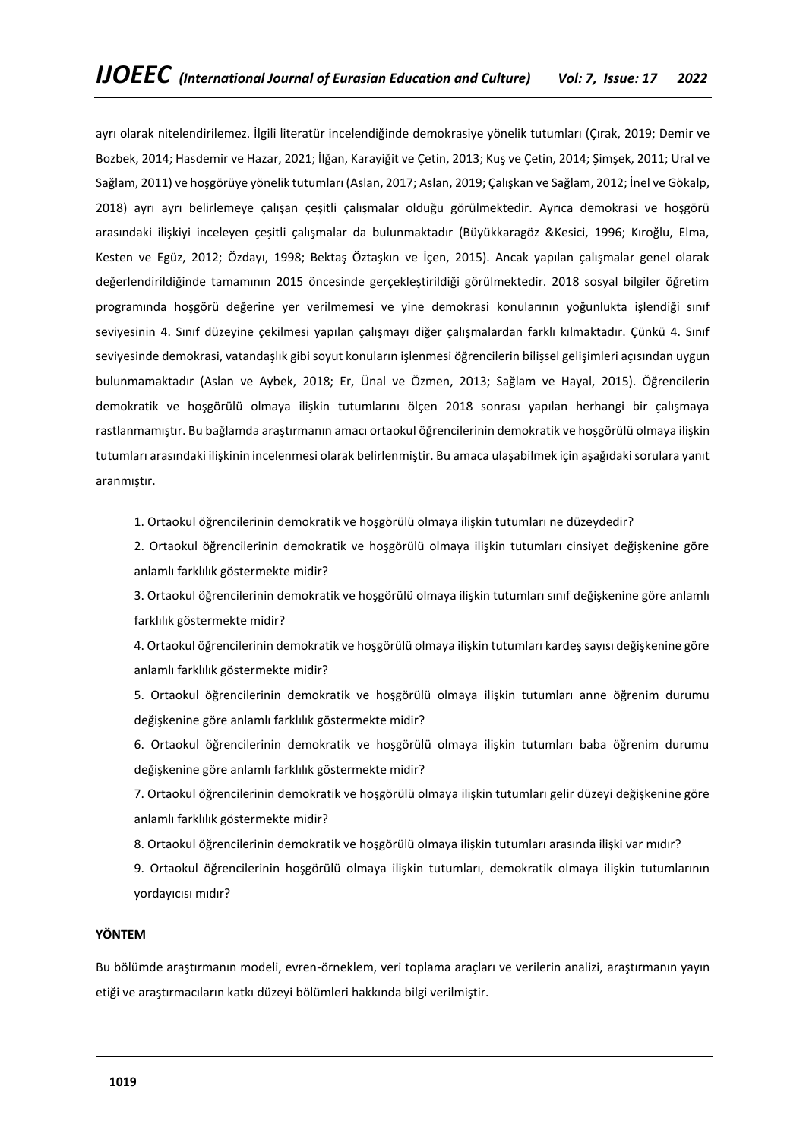ayrı olarak nitelendirilemez. İlgili literatür incelendiğinde demokrasiye yönelik tutumları (Çırak, 2019; Demir ve Bozbek, 2014; Hasdemir ve Hazar, 2021; İlğan, Karayiğit ve Çetin, 2013; Kuş ve Çetin, 2014; Şimşek, 2011; Ural ve Sağlam, 2011) ve hoşgörüye yönelik tutumları (Aslan, 2017; Aslan, 2019; Çalışkan ve Sağlam, 2012; İnel ve Gökalp, 2018) ayrı ayrı belirlemeye çalışan çeşitli çalışmalar olduğu görülmektedir. Ayrıca demokrasi ve hoşgörü arasındaki ilişkiyi inceleyen çeşitli çalışmalar da bulunmaktadır (Büyükkaragöz &Kesici, 1996; Kıroğlu, Elma, Kesten ve Egüz, 2012; Özdayı, 1998; Bektaş Öztaşkın ve İçen, 2015). Ancak yapılan çalışmalar genel olarak değerlendirildiğinde tamamının 2015 öncesinde gerçekleştirildiği görülmektedir. 2018 sosyal bilgiler öğretim programında hoşgörü değerine yer verilmemesi ve yine demokrasi konularının yoğunlukta işlendiği sınıf seviyesinin 4. Sınıf düzeyine çekilmesi yapılan çalışmayı diğer çalışmalardan farklı kılmaktadır. Çünkü 4. Sınıf seviyesinde demokrasi, vatandaşlık gibi soyut konuların işlenmesi öğrencilerin bilişsel gelişimleri açısından uygun bulunmamaktadır (Aslan ve Aybek, 2018; Er, Ünal ve Özmen, 2013; Sağlam ve Hayal, 2015). Öğrencilerin demokratik ve hoşgörülü olmaya ilişkin tutumlarını ölçen 2018 sonrası yapılan herhangi bir çalışmaya rastlanmamıştır. Bu bağlamda araştırmanın amacı ortaokul öğrencilerinin demokratik ve hoşgörülü olmaya ilişkin tutumları arasındaki ilişkinin incelenmesi olarak belirlenmiştir. Bu amaca ulaşabilmek için aşağıdaki sorulara yanıt aranmıştır.

1. Ortaokul öğrencilerinin demokratik ve hoşgörülü olmaya ilişkin tutumları ne düzeydedir?

2. Ortaokul öğrencilerinin demokratik ve hoşgörülü olmaya ilişkin tutumları cinsiyet değişkenine göre anlamlı farklılık göstermekte midir?

3. Ortaokul öğrencilerinin demokratik ve hoşgörülü olmaya ilişkin tutumları sınıf değişkenine göre anlamlı farklılık göstermekte midir?

4. Ortaokul öğrencilerinin demokratik ve hoşgörülü olmaya ilişkin tutumları kardeş sayısı değişkenine göre anlamlı farklılık göstermekte midir?

5. Ortaokul öğrencilerinin demokratik ve hoşgörülü olmaya ilişkin tutumları anne öğrenim durumu değişkenine göre anlamlı farklılık göstermekte midir?

6. Ortaokul öğrencilerinin demokratik ve hoşgörülü olmaya ilişkin tutumları baba öğrenim durumu değişkenine göre anlamlı farklılık göstermekte midir?

7. Ortaokul öğrencilerinin demokratik ve hoşgörülü olmaya ilişkin tutumları gelir düzeyi değişkenine göre anlamlı farklılık göstermekte midir?

8. Ortaokul öğrencilerinin demokratik ve hoşgörülü olmaya ilişkin tutumları arasında ilişki var mıdır?

9. Ortaokul öğrencilerinin hoşgörülü olmaya ilişkin tutumları, demokratik olmaya ilişkin tutumlarının yordayıcısı mıdır?

## **YÖNTEM**

Bu bölümde araştırmanın modeli, evren-örneklem, veri toplama araçları ve verilerin analizi, araştırmanın yayın etiği ve araştırmacıların katkı düzeyi bölümleri hakkında bilgi verilmiştir.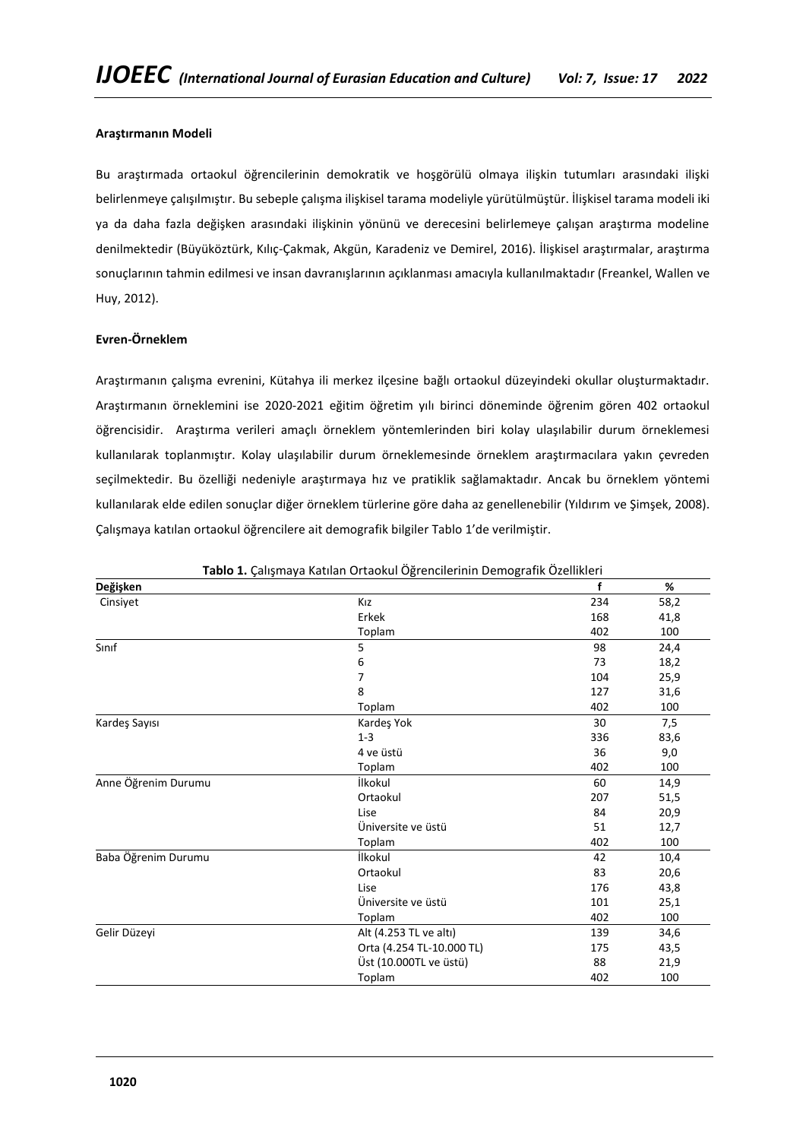## **Araştırmanın Modeli**

Bu araştırmada ortaokul öğrencilerinin demokratik ve hoşgörülü olmaya ilişkin tutumları arasındaki ilişki belirlenmeye çalışılmıştır. Bu sebeple çalışma ilişkisel tarama modeliyle yürütülmüştür. İlişkisel tarama modeli iki ya da daha fazla değişken arasındaki ilişkinin yönünü ve derecesini belirlemeye çalışan araştırma modeline denilmektedir (Büyüköztürk, Kılıç-Çakmak, Akgün, Karadeniz ve Demirel, 2016). İlişkisel araştırmalar, araştırma sonuçlarının tahmin edilmesi ve insan davranışlarının açıklanması amacıyla kullanılmaktadır (Freankel, Wallen ve Huy, 2012).

## **Evren-Örneklem**

Araştırmanın çalışma evrenini, Kütahya ili merkez ilçesine bağlı ortaokul düzeyindeki okullar oluşturmaktadır. Araştırmanın örneklemini ise 2020-2021 eğitim öğretim yılı birinci döneminde öğrenim gören 402 ortaokul öğrencisidir. Araştırma verileri amaçlı örneklem yöntemlerinden biri kolay ulaşılabilir durum örneklemesi kullanılarak toplanmıştır. Kolay ulaşılabilir durum örneklemesinde örneklem araştırmacılara yakın çevreden seçilmektedir. Bu özelliği nedeniyle araştırmaya hız ve pratiklik sağlamaktadır. Ancak bu örneklem yöntemi kullanılarak elde edilen sonuçlar diğer örneklem türlerine göre daha az genellenebilir (Yıldırım ve Şimşek, 2008). Çalışmaya katılan ortaokul öğrencilere ait demografik bilgiler Tablo 1'de verilmiştir.

| Değişken            |                           | f   | %    |
|---------------------|---------------------------|-----|------|
| Cinsiyet            | Kız                       | 234 | 58,2 |
|                     | Erkek                     | 168 | 41,8 |
|                     | Toplam                    | 402 | 100  |
| Sınıf               | 5                         | 98  | 24,4 |
|                     | 6                         | 73  | 18,2 |
|                     | 7                         | 104 | 25,9 |
|                     | 8                         | 127 | 31,6 |
|                     | Toplam                    | 402 | 100  |
| Kardeş Sayısı       | Kardeş Yok                | 30  | 7,5  |
|                     | $1 - 3$                   | 336 | 83,6 |
|                     | 4 ve üstü                 | 36  | 9,0  |
|                     | Toplam                    | 402 | 100  |
| Anne Öğrenim Durumu | <b>İlkokul</b>            | 60  | 14,9 |
|                     | Ortaokul                  | 207 | 51,5 |
|                     | Lise                      | 84  | 20,9 |
|                     | Üniversite ve üstü        | 51  | 12,7 |
|                     | Toplam                    | 402 | 100  |
| Baba Öğrenim Durumu | <b>İlkokul</b>            | 42  | 10,4 |
|                     | Ortaokul                  | 83  | 20,6 |
|                     | Lise                      | 176 | 43,8 |
|                     | Üniversite ve üstü        | 101 | 25,1 |
|                     | Toplam                    | 402 | 100  |
| Gelir Düzeyi        | Alt (4.253 TL ve altı)    | 139 | 34,6 |
|                     | Orta (4.254 TL-10.000 TL) | 175 | 43,5 |
|                     | Üst (10.000TL ve üstü)    | 88  | 21,9 |
|                     | Toplam                    | 402 | 100  |
|                     |                           |     |      |

**Tablo 1.** Çalışmaya Katılan Ortaokul Öğrencilerinin Demografik Özellikleri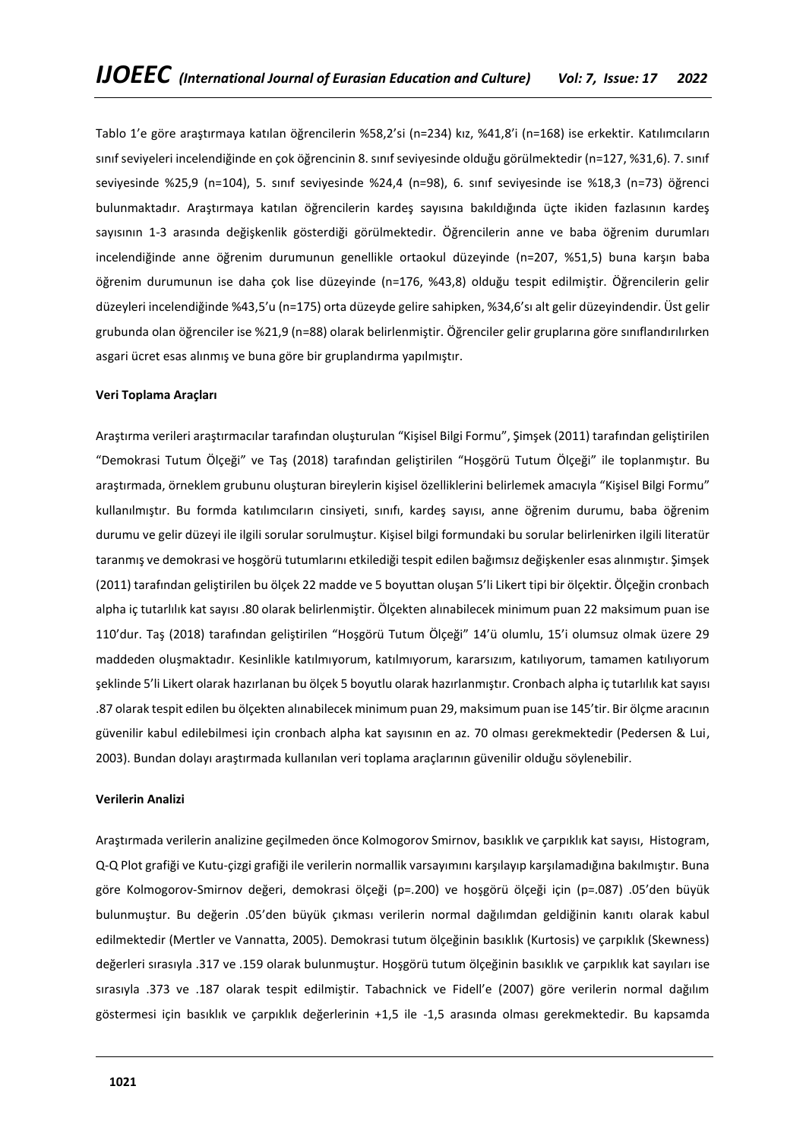Tablo 1'e göre araştırmaya katılan öğrencilerin %58,2'si (n=234) kız, %41,8'i (n=168) ise erkektir. Katılımcıların sınıf seviyeleri incelendiğinde en çok öğrencinin 8. sınıf seviyesinde olduğu görülmektedir (n=127, %31,6). 7. sınıf seviyesinde %25,9 (n=104), 5. sınıf seviyesinde %24,4 (n=98), 6. sınıf seviyesinde ise %18,3 (n=73) öğrenci bulunmaktadır. Araştırmaya katılan öğrencilerin kardeş sayısına bakıldığında üçte ikiden fazlasının kardeş sayısının 1-3 arasında değişkenlik gösterdiği görülmektedir. Öğrencilerin anne ve baba öğrenim durumları incelendiğinde anne öğrenim durumunun genellikle ortaokul düzeyinde (n=207, %51,5) buna karşın baba öğrenim durumunun ise daha çok lise düzeyinde (n=176, %43,8) olduğu tespit edilmiştir. Öğrencilerin gelir düzeyleri incelendiğinde %43,5'u (n=175) orta düzeyde gelire sahipken, %34,6'sı alt gelir düzeyindendir. Üst gelir grubunda olan öğrenciler ise %21,9 (n=88) olarak belirlenmiştir. Öğrenciler gelir gruplarına göre sınıflandırılırken asgari ücret esas alınmış ve buna göre bir gruplandırma yapılmıştır.

### **Veri Toplama Araçları**

Araştırma verileri araştırmacılar tarafından oluşturulan "Kişisel Bilgi Formu", Şimşek (2011) tarafından geliştirilen "Demokrasi Tutum Ölçeği" ve Taş (2018) tarafından geliştirilen "Hoşgörü Tutum Ölçeği" ile toplanmıştır. Bu araştırmada, örneklem grubunu oluşturan bireylerin kişisel özelliklerini belirlemek amacıyla "Kişisel Bilgi Formu" kullanılmıştır. Bu formda katılımcıların cinsiyeti, sınıfı, kardeş sayısı, anne öğrenim durumu, baba öğrenim durumu ve gelir düzeyi ile ilgili sorular sorulmuştur. Kişisel bilgi formundaki bu sorular belirlenirken ilgili literatür taranmış ve demokrasi ve hoşgörü tutumlarını etkilediği tespit edilen bağımsız değişkenler esas alınmıştır. Şimşek (2011) tarafından geliştirilen bu ölçek 22 madde ve 5 boyuttan oluşan 5'li Likert tipi bir ölçektir. Ölçeğin cronbach alpha iç tutarlılık kat sayısı .80 olarak belirlenmiştir. Ölçekten alınabilecek minimum puan 22 maksimum puan ise 110'dur. Taş (2018) tarafından geliştirilen "Hoşgörü Tutum Ölçeği" 14'ü olumlu, 15'i olumsuz olmak üzere 29 maddeden oluşmaktadır. Kesinlikle katılmıyorum, katılmıyorum, kararsızım, katılıyorum, tamamen katılıyorum şeklinde 5'li Likert olarak hazırlanan bu ölçek 5 boyutlu olarak hazırlanmıştır. Cronbach alpha iç tutarlılık kat sayısı .87 olarak tespit edilen bu ölçekten alınabilecek minimum puan 29, maksimum puan ise 145'tir. Bir ölçme aracının güvenilir kabul edilebilmesi için cronbach alpha kat sayısının en az. 70 olması gerekmektedir (Pedersen & Lui, 2003). Bundan dolayı araştırmada kullanılan veri toplama araçlarının güvenilir olduğu söylenebilir.

#### **Verilerin Analizi**

Araştırmada verilerin analizine geçilmeden önce Kolmogorov Smirnov, basıklık ve çarpıklık kat sayısı, Histogram, Q-Q Plot grafiği ve Kutu-çizgi grafiği ile verilerin normallik varsayımını karşılayıp karşılamadığına bakılmıştır. Buna göre Kolmogorov-Smirnov değeri, demokrasi ölçeği (p=.200) ve hoşgörü ölçeği için (p=.087) .05'den büyük bulunmuştur. Bu değerin .05'den büyük çıkması verilerin normal dağılımdan geldiğinin kanıtı olarak kabul edilmektedir (Mertler ve Vannatta, 2005). Demokrasi tutum ölçeğinin basıklık (Kurtosis) ve çarpıklık (Skewness) değerleri sırasıyla .317 ve .159 olarak bulunmuştur. Hoşgörü tutum ölçeğinin basıklık ve çarpıklık kat sayıları ise sırasıyla .373 ve .187 olarak tespit edilmiştir. Tabachnick ve Fidell'e (2007) göre verilerin normal dağılım göstermesi için basıklık ve çarpıklık değerlerinin +1,5 ile -1,5 arasında olması gerekmektedir. Bu kapsamda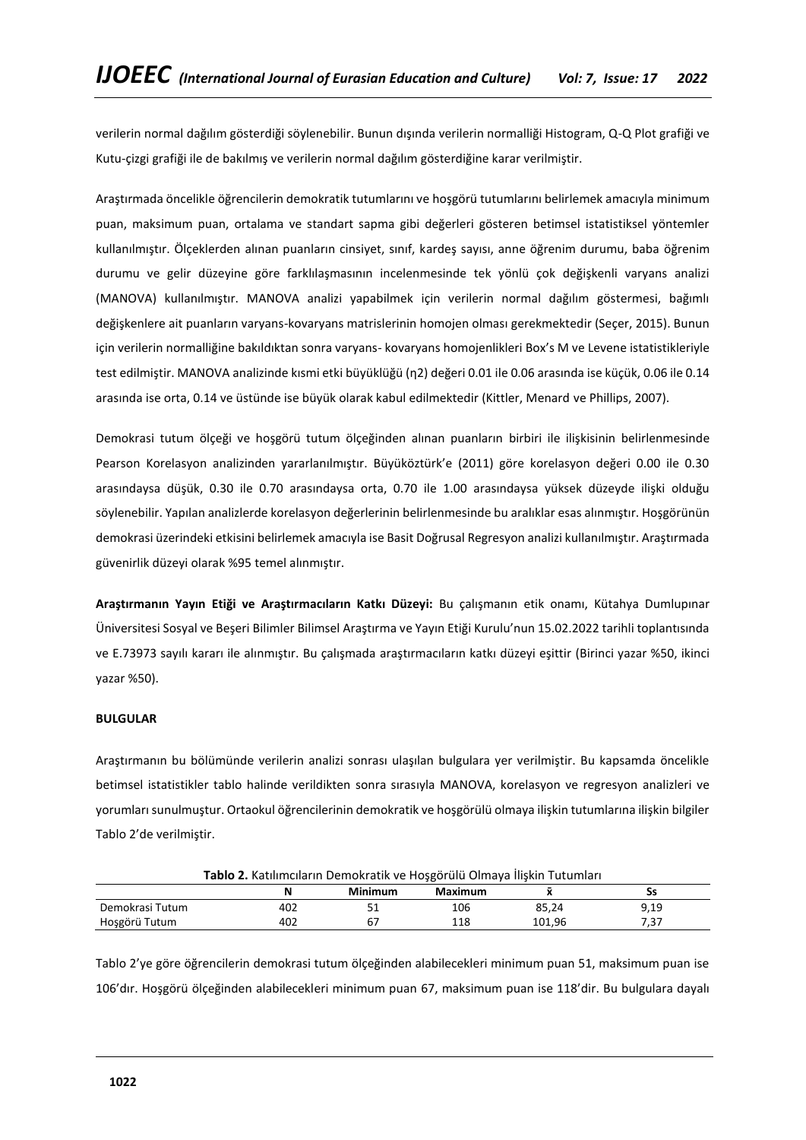verilerin normal dağılım gösterdiği söylenebilir. Bunun dışında verilerin normalliği Histogram, Q-Q Plot grafiği ve Kutu-çizgi grafiği ile de bakılmış ve verilerin normal dağılım gösterdiğine karar verilmiştir.

Araştırmada öncelikle öğrencilerin demokratik tutumlarını ve hoşgörü tutumlarını belirlemek amacıyla minimum puan, maksimum puan, ortalama ve standart sapma gibi değerleri gösteren betimsel istatistiksel yöntemler kullanılmıştır. Ölçeklerden alınan puanların cinsiyet, sınıf, kardeş sayısı, anne öğrenim durumu, baba öğrenim durumu ve gelir düzeyine göre farklılaşmasının incelenmesinde tek yönlü çok değişkenli varyans analizi (MANOVA) kullanılmıştır. MANOVA analizi yapabilmek için verilerin normal dağılım göstermesi, bağımlı değişkenlere ait puanların varyans-kovaryans matrislerinin homojen olması gerekmektedir (Seçer, 2015). Bunun için verilerin normalliğine bakıldıktan sonra varyans- kovaryans homojenlikleri Box's M ve Levene istatistikleriyle test edilmiştir. MANOVA analizinde kısmi etki büyüklüğü (ƞ2) değeri 0.01 ile 0.06 arasında ise küçük, 0.06 ile 0.14 arasında ise orta, 0.14 ve üstünde ise büyük olarak kabul edilmektedir (Kittler, Menard ve Phillips, 2007).

Demokrasi tutum ölçeği ve hoşgörü tutum ölçeğinden alınan puanların birbiri ile ilişkisinin belirlenmesinde Pearson Korelasyon analizinden yararlanılmıştır. Büyüköztürk'e (2011) göre korelasyon değeri 0.00 ile 0.30 arasındaysa düşük, 0.30 ile 0.70 arasındaysa orta, 0.70 ile 1.00 arasındaysa yüksek düzeyde ilişki olduğu söylenebilir. Yapılan analizlerde korelasyon değerlerinin belirlenmesinde bu aralıklar esas alınmıştır. Hoşgörünün demokrasi üzerindeki etkisini belirlemek amacıyla ise Basit Doğrusal Regresyon analizi kullanılmıştır. Araştırmada güvenirlik düzeyi olarak %95 temel alınmıştır.

**Araştırmanın Yayın Etiği ve Araştırmacıların Katkı Düzeyi:** Bu çalışmanın etik onamı, Kütahya Dumlupınar Üniversitesi Sosyal ve Beşeri Bilimler Bilimsel Araştırma ve Yayın Etiği Kurulu'nun 15.02.2022 tarihli toplantısında ve E.73973 sayılı kararı ile alınmıştır. Bu çalışmada araştırmacıların katkı düzeyi eşittir (Birinci yazar %50, ikinci yazar %50).

## **BULGULAR**

Araştırmanın bu bölümünde verilerin analizi sonrası ulaşılan bulgulara yer verilmiştir. Bu kapsamda öncelikle betimsel istatistikler tablo halinde verildikten sonra sırasıyla MANOVA, korelasyon ve regresyon analizleri ve yorumları sunulmuştur. Ortaokul öğrencilerinin demokratik ve hoşgörülü olmaya ilişkin tutumlarına ilişkin bilgiler Tablo 2'de verilmiştir.

|                 | Tablo 2. Katılımcıların Demokratik ve Hoşgörülü Olmaya İlişkin Tutumları |                |         |        |      |  |  |  |
|-----------------|--------------------------------------------------------------------------|----------------|---------|--------|------|--|--|--|
|                 |                                                                          | <b>Minimum</b> | Maximum |        |      |  |  |  |
| Demokrasi Tutum | 402                                                                      |                | 106     | 85.24  | 9,19 |  |  |  |
| Hoşgörü Tutum   | 402                                                                      | -67            | 118     | 101.96 | 7.37 |  |  |  |

Tablo 2'ye göre öğrencilerin demokrasi tutum ölçeğinden alabilecekleri minimum puan 51, maksimum puan ise 106'dır. Hoşgörü ölçeğinden alabilecekleri minimum puan 67, maksimum puan ise 118'dir. Bu bulgulara dayalı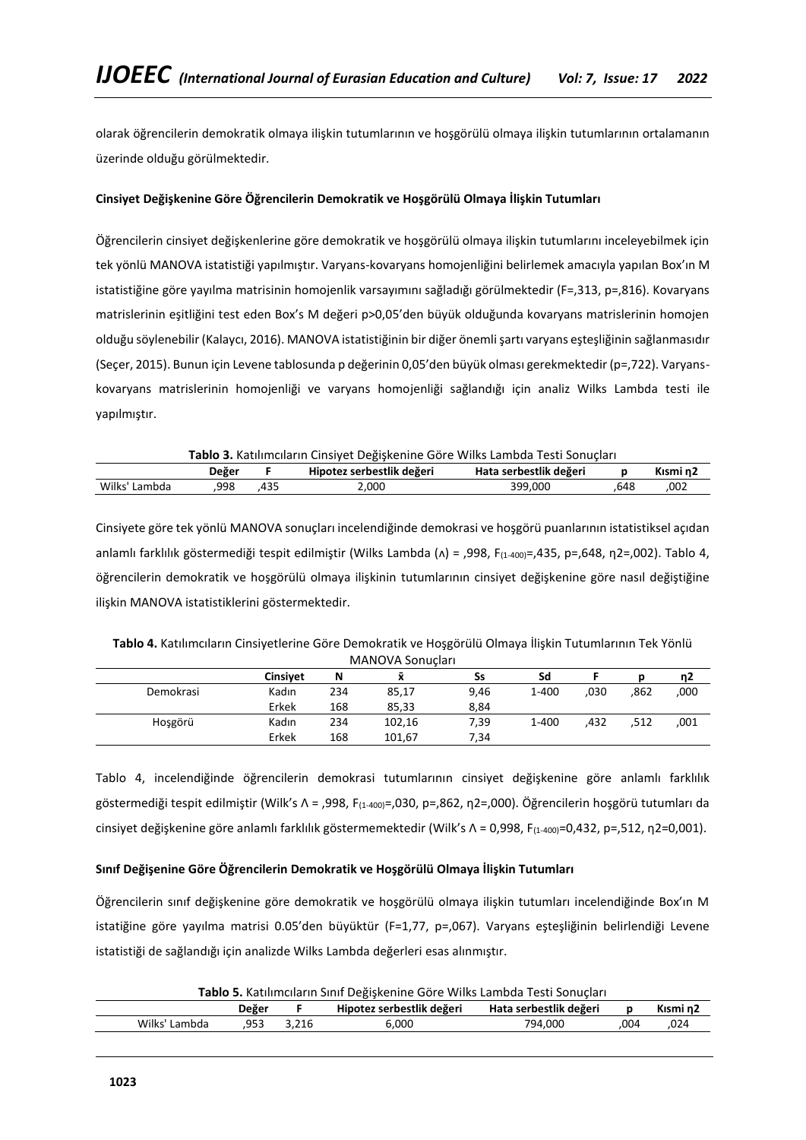olarak öğrencilerin demokratik olmaya ilişkin tutumlarının ve hoşgörülü olmaya ilişkin tutumlarının ortalamanın üzerinde olduğu görülmektedir.

## **Cinsiyet Değişkenine Göre Öğrencilerin Demokratik ve Hoşgörülü Olmaya İlişkin Tutumları**

Öğrencilerin cinsiyet değişkenlerine göre demokratik ve hoşgörülü olmaya ilişkin tutumlarını inceleyebilmek için tek yönlü MANOVA istatistiği yapılmıştır. Varyans-kovaryans homojenliğini belirlemek amacıyla yapılan Box'ın M istatistiğine göre yayılma matrisinin homojenlik varsayımını sağladığı görülmektedir (F=,313, p=,816). Kovaryans matrislerinin eşitliğini test eden Box's M değeri p>0,05'den büyük olduğunda kovaryans matrislerinin homojen olduğu söylenebilir (Kalaycı, 2016). MANOVA istatistiğinin bir diğer önemli şartı varyans eşteşliğinin sağlanmasıdır (Seçer, 2015). Bunun için Levene tablosunda p değerinin 0,05'den büyük olması gerekmektedir (p=,722). Varyanskovaryans matrislerinin homojenliği ve varyans homojenliği sağlandığı için analiz Wilks Lambda testi ile yapılmıştır.

**Tablo 3.** Katılımcıların Cinsiyet Değişkenine Göre Wilks Lambda Testi Sonuçları

|                  | Değer |     | Hipotez serbestlik değeri | Hata serbestlik değeri | n    | n.<br>Kısmi |
|------------------|-------|-----|---------------------------|------------------------|------|-------------|
| Wilks'<br>Lambda | 998.  | ر ب | 2.000                     | 9.000 لوبي             | .648 | 002         |

Cinsiyete göre tek yönlü MANOVA sonuçları incelendiğinde demokrasi ve hoşgörü puanlarının istatistiksel açıdan anlamlı farklılık göstermediği tespit edilmiştir (Wilks Lambda (Λ) = ,998, F(1-400)=,435, p=,648, η2=,002). Tablo 4, öğrencilerin demokratik ve hoşgörülü olmaya ilişkinin tutumlarının cinsiyet değişkenine göre nasıl değiştiğine ilişkin MANOVA istatistiklerini göstermektedir.

**Tablo 4.** Katılımcıların Cinsiyetlerine Göre Demokratik ve Hoşgörülü Olmaya İlişkin Tutumlarının Tek Yönlü MANOVA Sonuçları

|           | <b>Cinsivet</b> | Ν   |        | Ss   | Sd    |      |      | η2   |
|-----------|-----------------|-----|--------|------|-------|------|------|------|
| Demokrasi | Kadın           | 234 | 85,17  | 9,46 | 1-400 | .030 | .862 | ,000 |
|           | Erkek           | 168 | 85,33  | 8,84 |       |      |      |      |
| Hoşgörü   | Kadın           | 234 | 102,16 | 7,39 | 1-400 | ,432 | ,512 | .001 |
|           | Erkek           | 168 | 101.67 | 7,34 |       |      |      |      |

Tablo 4, incelendiğinde öğrencilerin demokrasi tutumlarının cinsiyet değişkenine göre anlamlı farklılık göstermediği tespit edilmiştir (Wilk's Λ = ,998, F(1-400)=,030, p=,862, η2=,000). Öğrencilerin hoşgörü tutumları da cinsiyet değişkenine göre anlamlı farklılık göstermemektedir (Wilk's Λ = 0,998, F<sub>(1-400</sub>=0,432, p=,512, η2=0,001).

## **Sınıf Değişenine Göre Öğrencilerin Demokratik ve Hoşgörülü Olmaya İlişkin Tutumları**

Öğrencilerin sınıf değişkenine göre demokratik ve hoşgörülü olmaya ilişkin tutumları incelendiğinde Box'ın M istatiğine göre yayılma matrisi 0.05'den büyüktür (F=1,77, p=,067). Varyans eşteşliğinin belirlendiği Levene istatistiği de sağlandığı için analizde Wilks Lambda değerleri esas alınmıştır.

**Tablo 5.** Katılımcıların Sınıf Değişkenine Göre Wilks Lambda Testi Sonuçları

|               |       |       | <b>10010 3:</b> Rathmond in Simil Degratering Objections Editional Testi Sondçian |                        |     |          |
|---------------|-------|-------|-----------------------------------------------------------------------------------|------------------------|-----|----------|
|               | Değer |       | Hipotez serbestlik değeri                                                         | Hata serbestlik değeri |     | Kısmi n2 |
| Wilks' Lambda | 953   | 3.216 | 6.000                                                                             | 794.000                | 004 | 024      |
|               |       |       |                                                                                   |                        |     |          |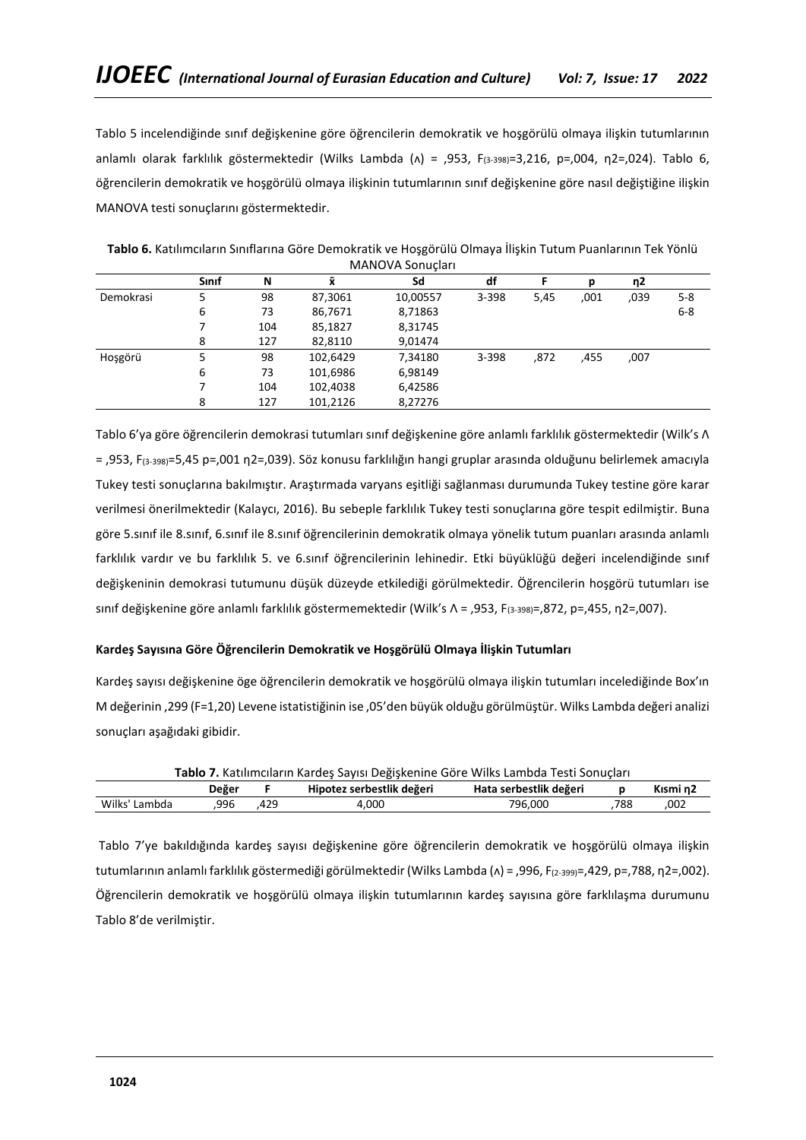Tablo 5 incelendiğinde sınıf değişkenine göre öğrencilerin demokratik ve hoşgörülü olmaya ilişkin tutumlarının anlamlı olarak farklılık göstermektedir (Wilks Lambda ( $\Lambda$ ) = ,953, F(3-398)=3,216, p=,004, n2=,024). Tablo 6, öğrencilerin demokratik ve hoşgörülü olmaya ilişkinin tutumlarının sınıf değişkenine göre nasıl değiştiğine ilişkin MANOVA testi sonuçlarını göstermektedir.

|           | Sinif | N   | хī       | Sd       | df        |      | р    | η2   |         |
|-----------|-------|-----|----------|----------|-----------|------|------|------|---------|
| Demokrasi |       | 98  | 87,3061  | 10,00557 | $3 - 398$ | 5,45 | ,001 | ,039 | $5 - 8$ |
|           | 6     | 73  | 86,7671  | 8,71863  |           |      |      |      | $6-8$   |
|           |       | 104 | 85,1827  | 8,31745  |           |      |      |      |         |
|           | 8     | 127 | 82,8110  | 9,01474  |           |      |      |      |         |
| Hoşgörü   |       | 98  | 102,6429 | 7,34180  | $3 - 398$ | ,872 | ,455 | ,007 |         |
|           | 6     | 73  | 101,6986 | 6,98149  |           |      |      |      |         |
|           |       | 104 | 102,4038 | 6,42586  |           |      |      |      |         |
|           | 8     | 127 | 101.2126 | 8,27276  |           |      |      |      |         |

**Tablo 6.** Katılımcıların Sınıflarına Göre Demokratik ve Hoşgörülü Olmaya İlişkin Tutum Puanlarının Tek Yönlü MANOVA Sonuçları

Tablo 6'ya göre öğrencilerin demokrasi tutumları sınıf değişkenine göre anlamlı farklılık göstermektedir (Wilk's Λ = ,953, F(3-398)=5,45 p=,001 η2=,039). Söz konusu farklılığın hangi gruplar arasında olduğunu belirlemek amacıyla Tukey testi sonuçlarına bakılmıştır. Araştırmada varyans eşitliği sağlanması durumunda Tukey testine göre karar verilmesi önerilmektedir (Kalaycı, 2016). Bu sebeple farklılık Tukey testi sonuçlarına göre tespit edilmiştir. Buna göre 5.sınıf ile 8.sınıf, 6.sınıf ile 8.sınıf öğrencilerinin demokratik olmaya yönelik tutum puanları arasında anlamlı farklılık vardır ve bu farklılık 5. ve 6.sınıf öğrencilerinin lehinedir. Etki büyüklüğü değeri incelendiğinde sınıf değişkeninin demokrasi tutumunu düşük düzeyde etkilediği görülmektedir. Öğrencilerin hoşgörü tutumları ise sınıf değişkenine göre anlamlı farklılık göstermemektedir (Wilk's Λ = ,953, F(3-398)=,872, p=,455, η2=,007).

## **Kardeş Sayısına Göre Öğrencilerin Demokratik ve Hoşgörülü Olmaya İlişkin Tutumları**

Kardeş sayısı değişkenine öge öğrencilerin demokratik ve hoşgörülü olmaya ilişkin tutumları incelediğinde Box'ın M değerinin ,299 (F=1,20) Levene istatistiğinin ise ,05'den büyük olduğu görülmüştür. Wilks Lambda değeri analizi sonuçları aşağıdaki gibidir.

| Tablo 7. Katılımcıların Kardeş Sayısı Değişkenine Göre Wilks Lambda Testi Sonuçları |       |  |      |                           |                        |     |          |  |  |
|-------------------------------------------------------------------------------------|-------|--|------|---------------------------|------------------------|-----|----------|--|--|
|                                                                                     | Değer |  |      | Hipotez serbestlik değeri | Hata serbestlik değeri |     | Kısmi n2 |  |  |
| Wilks' Lambda                                                                       | .996  |  | .429 | 4.000                     | 796.000                | 788 | .002     |  |  |

Tablo 7'ye bakıldığında kardeş sayısı değişkenine göre öğrencilerin demokratik ve hoşgörülü olmaya ilişkin tutumlarının anlamlı farklılık göstermediği görülmektedir (Wilks Lambda (Λ) = ,996, F<sub>(2-399)</sub>=,429, p=,788, η2=,002). Öğrencilerin demokratik ve hoşgörülü olmaya ilişkin tutumlarının kardeş sayısına göre farklılaşma durumunu Tablo 8'de verilmiştir.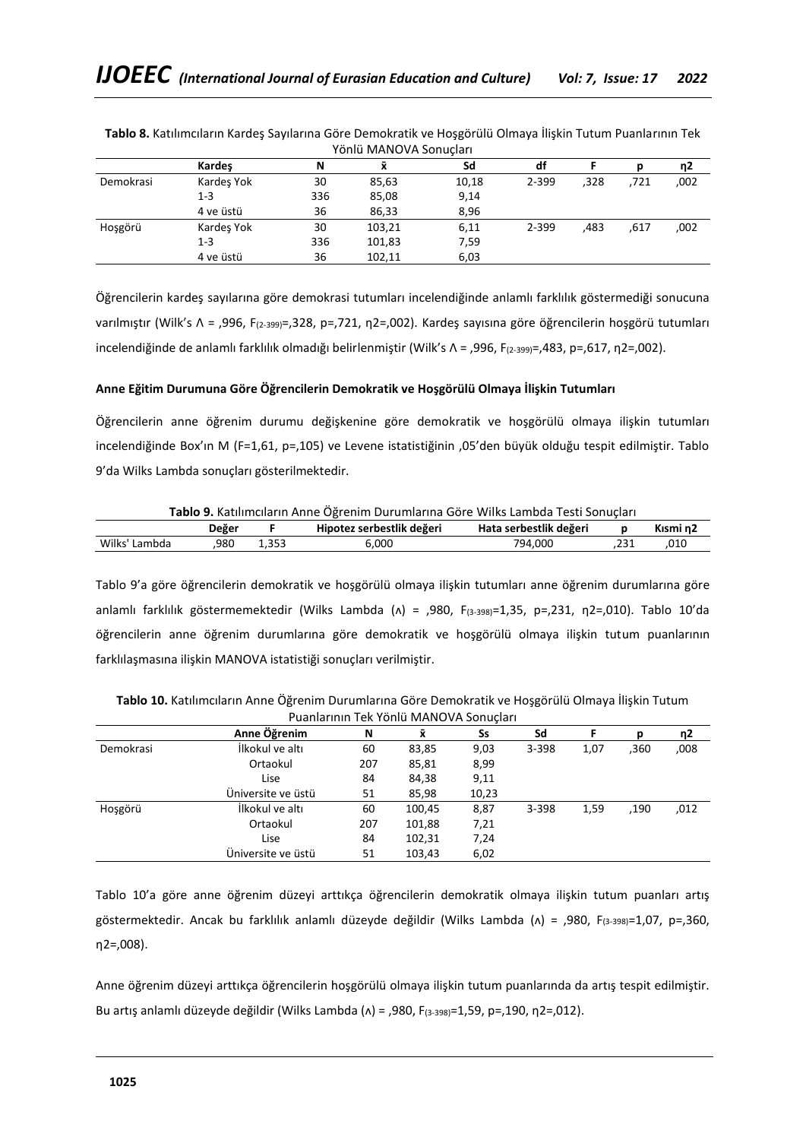|           | Kardes     | N   |        | Sd    | df    |      | D    | η2   |
|-----------|------------|-----|--------|-------|-------|------|------|------|
| Demokrasi | Kardeş Yok | 30  | 85,63  | 10,18 | 2-399 | ,328 | ,721 | ,002 |
|           | $1 - 3$    | 336 | 85,08  | 9,14  |       |      |      |      |
|           | 4 ve üstü  | 36  | 86,33  | 8,96  |       |      |      |      |
| Hoşgörü   | Kardeş Yok | 30  | 103,21 | 6,11  | 2-399 | ,483 | .617 | ,002 |
|           | $1 - 3$    | 336 | 101,83 | 7,59  |       |      |      |      |
|           | 4 ve üstü  | 36  | 102,11 | 6,03  |       |      |      |      |
|           |            |     |        |       |       |      |      |      |

**Tablo 8.** Katılımcıların Kardeş Sayılarına Göre Demokratik ve Hoşgörülü Olmaya İlişkin Tutum Puanlarının Tek Yönlü MANOVA Sonuçları

Öğrencilerin kardeş sayılarına göre demokrasi tutumları incelendiğinde anlamlı farklılık göstermediği sonucuna varılmıştır (Wilk's Λ = ,996, F(2-399)=,328, p=,721, η2=,002). Kardeş sayısına göre öğrencilerin hoşgörü tutumları incelendiğinde de anlamlı farklılık olmadığı belirlenmiştir (Wilk's Λ = ,996, F<sub>(2-399)</sub>=,483, p=,617, η2=,002).

## **Anne Eğitim Durumuna Göre Öğrencilerin Demokratik ve Hoşgörülü Olmaya İlişkin Tutumları**

Öğrencilerin anne öğrenim durumu değişkenine göre demokratik ve hoşgörülü olmaya ilişkin tutumları incelendiğinde Box'ın M (F=1,61, p=,105) ve Levene istatistiğinin ,05'den büyük olduğu tespit edilmiştir. Tablo 9'da Wilks Lambda sonuçları gösterilmektedir.

| Tablo 9. Katılımcıların Anne Öğrenim Durumlarına Göre Wilks Lambda Testi Sonuçları |  |
|------------------------------------------------------------------------------------|--|
|------------------------------------------------------------------------------------|--|

|                 | Değer |            | Hipotez serbestlik değeri | Hata serbestlik değeri |              | Kısmi<br>ةn ٰ |  |  |
|-----------------|-------|------------|---------------------------|------------------------|--------------|---------------|--|--|
| Wilks<br>Lambda | .980  | 353<br>ر ر | 000.دَ                    | 794.000                | าาง<br>⊥ ت∠. | 010.          |  |  |

Tablo 9'a göre öğrencilerin demokratik ve hoşgörülü olmaya ilişkin tutumları anne öğrenim durumlarına göre anlamlı farklılık göstermemektedir (Wilks Lambda ( $\Lambda$ ) = ,980, F<sub>(3-398)</sub>=1,35, p=,231, η2=,010). Tablo 10'da öğrencilerin anne öğrenim durumlarına göre demokratik ve hoşgörülü olmaya ilişkin tutum puanlarının farklılaşmasına ilişkin MANOVA istatistiği sonuçları verilmiştir.

|           | Anne Öğrenim       | N   | <b>x</b> | Ss    | Sd    |      | D    | η2   |
|-----------|--------------------|-----|----------|-------|-------|------|------|------|
| Demokrasi | İlkokul ve altı    | 60  | 83,85    | 9,03  | 3-398 | 1,07 | ,360 | ,008 |
|           | Ortaokul           | 207 | 85,81    | 8,99  |       |      |      |      |
|           | Lise               | 84  | 84,38    | 9,11  |       |      |      |      |
|           | Üniversite ve üstü | 51  | 85,98    | 10,23 |       |      |      |      |
| Hoşgörü   | İlkokul ve altı    | 60  | 100,45   | 8,87  | 3-398 | 1,59 | ,190 | ,012 |
|           | Ortaokul           | 207 | 101,88   | 7,21  |       |      |      |      |
|           | Lise               | 84  | 102,31   | 7,24  |       |      |      |      |
|           | Üniversite ve üstü | 51  | 103,43   | 6,02  |       |      |      |      |

**Tablo 10.** Katılımcıların Anne Öğrenim Durumlarına Göre Demokratik ve Hoşgörülü Olmaya İlişkin Tutum Puanlarının Tek Yönlü MANOVA Sonuçları

Tablo 10'a göre anne öğrenim düzeyi arttıkça öğrencilerin demokratik olmaya ilişkin tutum puanları artış göstermektedir. Ancak bu farklılık anlamlı düzeyde değildir (Wilks Lambda (ʌ) = ,980, F(3-398)=1,07, p=,360, η2=,008).

Anne öğrenim düzeyi arttıkça öğrencilerin hoşgörülü olmaya ilişkin tutum puanlarında da artış tespit edilmiştir. Bu artış anlamlı düzeyde değildir (Wilks Lambda (Λ) = ,980, F(3-398)=1,59, p=,190, η2=,012).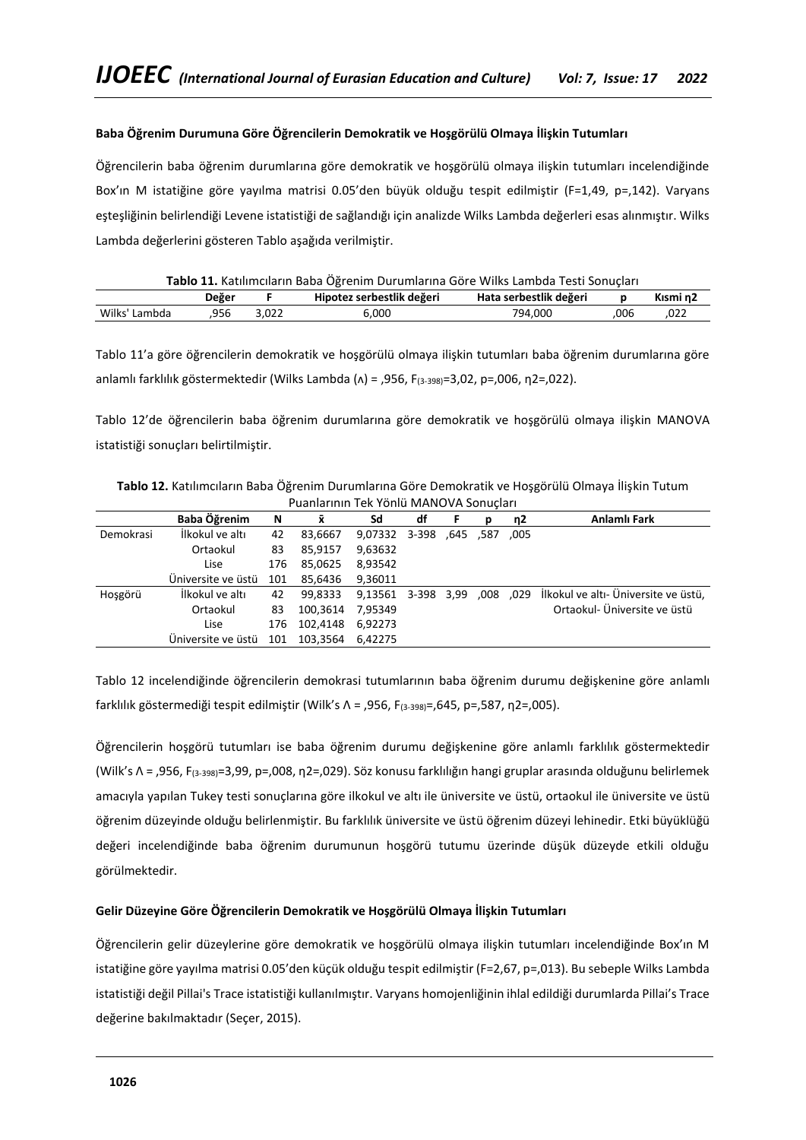## **Baba Öğrenim Durumuna Göre Öğrencilerin Demokratik ve Hoşgörülü Olmaya İlişkin Tutumları**

Öğrencilerin baba öğrenim durumlarına göre demokratik ve hoşgörülü olmaya ilişkin tutumları incelendiğinde Box'ın M istatiğine göre yayılma matrisi 0.05'den büyük olduğu tespit edilmiştir (F=1,49, p=,142). Varyans eşteşliğinin belirlendiği Levene istatistiği de sağlandığı için analizde Wilks Lambda değerleri esas alınmıştır. Wilks Lambda değerlerini gösteren Tablo aşağıda verilmiştir.

| Tablo 11. Katılımcıların Baba Öğrenim Durumlarına Göre Wilks Lambda Testi Sonuçları |     |       |       |         |      |     |  |  |  |
|-------------------------------------------------------------------------------------|-----|-------|-------|---------|------|-----|--|--|--|
| Hata serbestlik değeri<br>Değer<br>Hipotez serbestlik değeri<br>Kısmi n2            |     |       |       |         |      |     |  |  |  |
| Wilks' Lambda                                                                       | 956 | 3.022 | 6.000 | 794.000 | 006. | 022 |  |  |  |

Tablo 11'a göre öğrencilerin demokratik ve hoşgörülü olmaya ilişkin tutumları baba öğrenim durumlarına göre anlamlı farklılık göstermektedir (Wilks Lambda ( $\Lambda$ ) = ,956, F(3-398)=3,02, p=,006, η2=,022).

Tablo 12'de öğrencilerin baba öğrenim durumlarına göre demokratik ve hoşgörülü olmaya ilişkin MANOVA istatistiği sonuçları belirtilmiştir.

**Tablo 12.** Katılımcıların Baba Öğrenim Durumlarına Göre Demokratik ve Hoşgörülü Olmaya İlişkin Tutum Puanlarının Tek Yönlü MANOVA Sonuçları

|           | Baba Öğrenim       | N   | x        | Sd                      | df | F | D | η2        | Anlamlı Fark                         |
|-----------|--------------------|-----|----------|-------------------------|----|---|---|-----------|--------------------------------------|
| Demokrasi | İlkokul ve altı    | 42  | 83,6667  | 9,07332 3-398 ,645 ,587 |    |   |   | .005      |                                      |
|           | Ortaokul           | 83  | 85,9157  | 9,63632                 |    |   |   |           |                                      |
|           | Lise               | 176 | 85,0625  | 8,93542                 |    |   |   |           |                                      |
|           | Üniversite ve üstü | 101 | 85,6436  | 9,36011                 |    |   |   |           |                                      |
| Hoşgörü   | İlkokul ve altı    | 42  | 99.8333  | 9,13561 3-398 3,99      |    |   |   | ,008 ,029 | İlkokul ve altı- Üniversite ve üstü, |
|           | Ortaokul           | 83  | 100.3614 | 7.95349                 |    |   |   |           | Ortaokul- Üniversite ve üstü         |
|           | Lise               | 176 | 102.4148 | 6.92273                 |    |   |   |           |                                      |
|           | Üniversite ve üstü | 101 | 103.3564 | 6.42275                 |    |   |   |           |                                      |

Tablo 12 incelendiğinde öğrencilerin demokrasi tutumlarının baba öğrenim durumu değişkenine göre anlamlı farklılık göstermediği tespit edilmiştir (Wilk's Λ = ,956, F(3-398)=,645, p=,587, η2=,005).

Öğrencilerin hoşgörü tutumları ise baba öğrenim durumu değişkenine göre anlamlı farklılık göstermektedir (Wilk's Λ = ,956, F(3-398)=3,99, p=,008, η2=,029). Söz konusu farklılığın hangi gruplar arasında olduğunu belirlemek amacıyla yapılan Tukey testi sonuçlarına göre ilkokul ve altı ile üniversite ve üstü, ortaokul ile üniversite ve üstü öğrenim düzeyinde olduğu belirlenmiştir. Bu farklılık üniversite ve üstü öğrenim düzeyi lehinedir. Etki büyüklüğü değeri incelendiğinde baba öğrenim durumunun hoşgörü tutumu üzerinde düşük düzeyde etkili olduğu görülmektedir.

## **Gelir Düzeyine Göre Öğrencilerin Demokratik ve Hoşgörülü Olmaya İlişkin Tutumları**

Öğrencilerin gelir düzeylerine göre demokratik ve hoşgörülü olmaya ilişkin tutumları incelendiğinde Box'ın M istatiğine göre yayılma matrisi 0.05'den küçük olduğu tespit edilmiştir (F=2,67, p=,013). Bu sebeple Wilks Lambda istatistiği değil Pillai's Trace istatistiği kullanılmıştır. Varyans homojenliğinin ihlal edildiği durumlarda Pillai's Trace değerine bakılmaktadır (Seçer, 2015).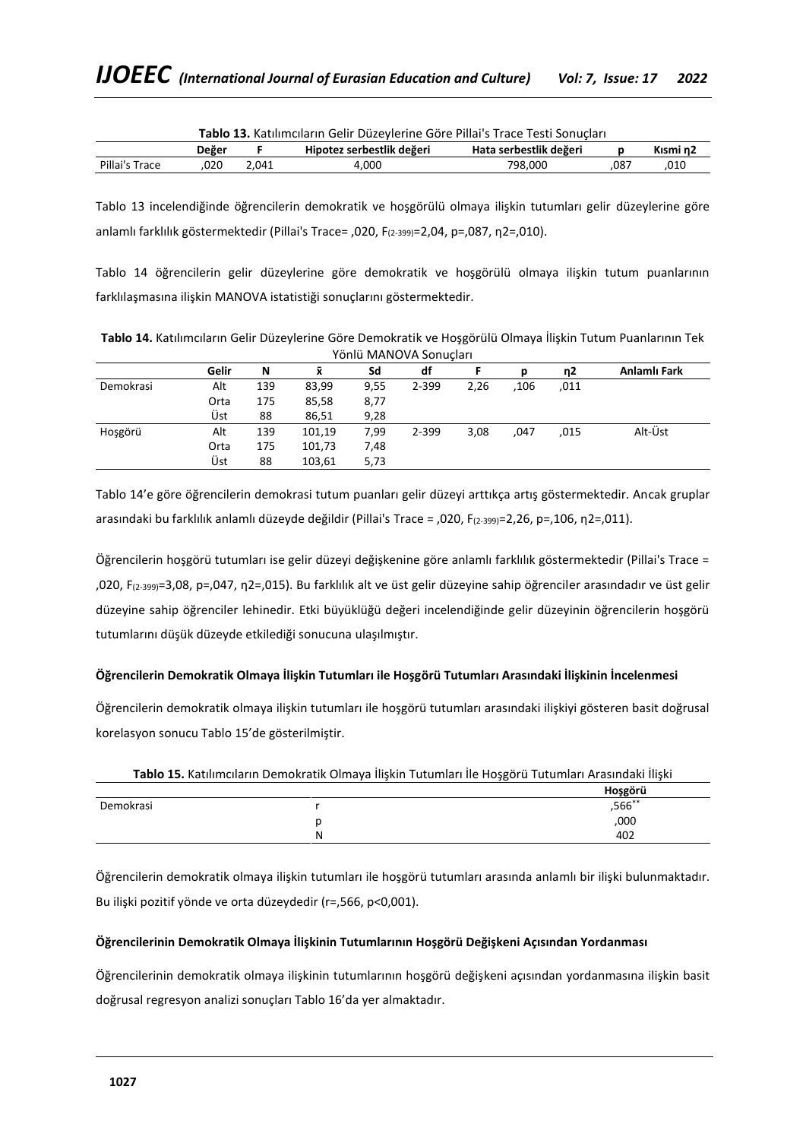| Tablo 13. Katılımcıların Gelir Düzevlerine Göre Pillai's Trace Testi Sonucları |       |       |                           |                        |      |          |  |  |  |
|--------------------------------------------------------------------------------|-------|-------|---------------------------|------------------------|------|----------|--|--|--|
|                                                                                | Değer |       | Hipotez serbestlik değeri | Hata serbestlik değeri |      | Kısmi n2 |  |  |  |
| Pillai's Trace                                                                 | 020   | 2.041 | 4.000                     | 798.000                | .087 | .010     |  |  |  |

Tablo 13 incelendiğinde öğrencilerin demokratik ve hoşgörülü olmaya ilişkin tutumları gelir düzeylerine göre anlamlı farklılık göstermektedir (Pillai's Trace= ,020, F(2-399)=2,04, p=,087, η2=,010).

Tablo 14 öğrencilerin gelir düzeylerine göre demokratik ve hoşgörülü olmaya ilişkin tutum puanlarının farklılaşmasına ilişkin MANOVA istatistiği sonuçlarını göstermektedir.

**Tablo 14.** Katılımcıların Gelir Düzeylerine Göre Demokratik ve Hoşgörülü Olmaya İlişkin Tutum Puanlarının Tek Yönlü MANOVA Sonuçları

| Gelir | N   | x      | Sd   | df    |      | р    | η2   | Anlamlı Fark |  |  |  |  |
|-------|-----|--------|------|-------|------|------|------|--------------|--|--|--|--|
| Alt   | 139 | 83,99  | 9,55 | 2-399 | 2,26 | .106 | ,011 |              |  |  |  |  |
| Orta  | 175 | 85,58  | 8,77 |       |      |      |      |              |  |  |  |  |
| Üst   | 88  | 86,51  | 9,28 |       |      |      |      |              |  |  |  |  |
| Alt   | 139 | 101,19 | 7,99 | 2-399 | 3,08 | .047 | ,015 | Alt-Üst      |  |  |  |  |
| Orta  | 175 | 101,73 | 7,48 |       |      |      |      |              |  |  |  |  |
| Üst   | 88  | 103,61 | 5,73 |       |      |      |      |              |  |  |  |  |
|       |     |        |      |       |      |      |      |              |  |  |  |  |

Tablo 14'e göre öğrencilerin demokrasi tutum puanları gelir düzeyi arttıkça artış göstermektedir. Ancak gruplar arasındaki bu farklılık anlamlı düzeyde değildir (Pillai's Trace = ,020, F(2-399)=2,26, p=,106, η2=,011).

Öğrencilerin hoşgörü tutumları ise gelir düzeyi değişkenine göre anlamlı farklılık göstermektedir (Pillai's Trace = ,020, F(2-399)=3,08, p=,047, η2=,015). Bu farklılık alt ve üst gelir düzeyine sahip öğrenciler arasındadır ve üst gelir düzeyine sahip öğrenciler lehinedir. Etki büyüklüğü değeri incelendiğinde gelir düzeyinin öğrencilerin hoşgörü tutumlarını düşük düzeyde etkilediği sonucuna ulaşılmıştır.

## **Öğrencilerin Demokratik Olmaya İlişkin Tutumları ile Hoşgörü Tutumları Arasındaki İlişkinin İncelenmesi**

Öğrencilerin demokratik olmaya ilişkin tutumları ile hoşgörü tutumları arasındaki ilişkiyi gösteren basit doğrusal korelasyon sonucu Tablo 15'de gösterilmiştir.

|           |   | Hoşgörü |
|-----------|---|---------|
| Demokrasi |   | ,566**  |
|           |   | ,000    |
|           | N | 402     |

| Tablo 15. Katılımcıların Demokratik Olmaya İlişkin Tutumları İle Hoşgörü Tutumları Arasındaki İlişki |  |  |
|------------------------------------------------------------------------------------------------------|--|--|
|                                                                                                      |  |  |

Öğrencilerin demokratik olmaya ilişkin tutumları ile hoşgörü tutumları arasında anlamlı bir ilişki bulunmaktadır. Bu ilişki pozitif yönde ve orta düzeydedir (r=,566, p<0,001).

## **Öğrencilerinin Demokratik Olmaya İlişkinin Tutumlarının Hoşgörü Değişkeni Açısından Yordanması**

Öğrencilerinin demokratik olmaya ilişkinin tutumlarının hoşgörü değişkeni açısından yordanmasına ilişkin basit doğrusal regresyon analizi sonuçları Tablo 16'da yer almaktadır.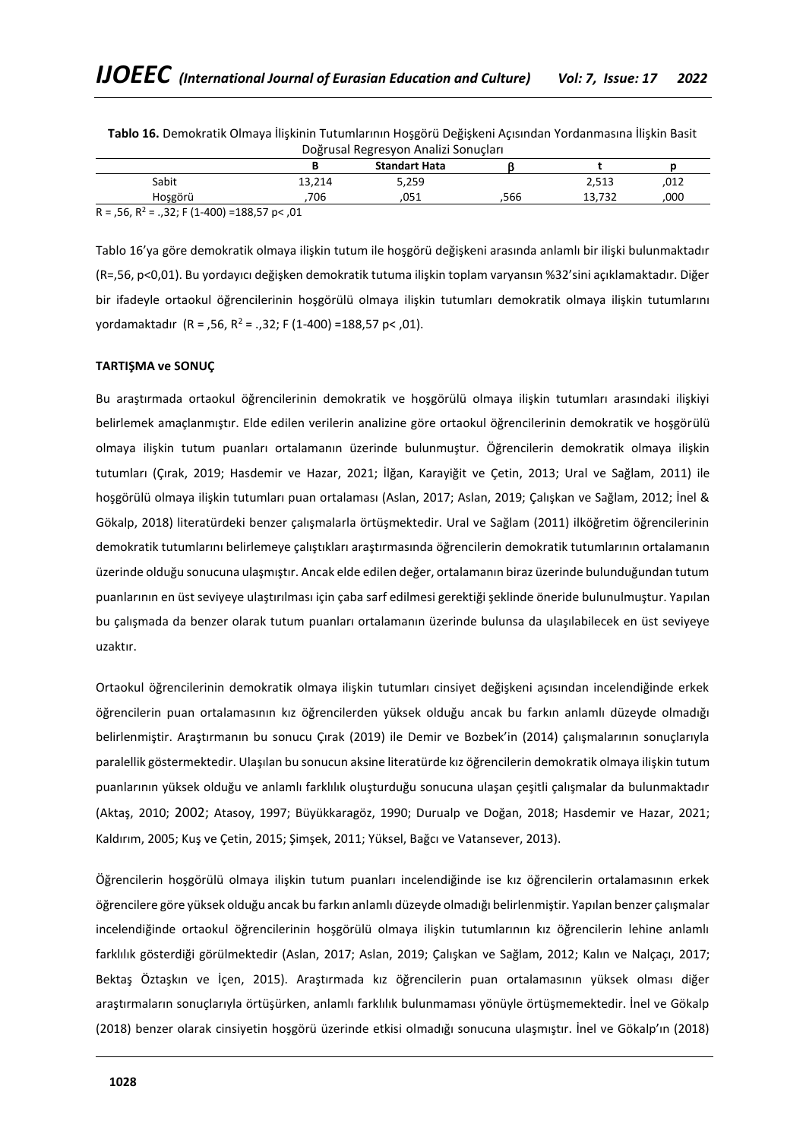| Tablo 16. Demokratik Olmaya İlişkinin Tutumlarının Hoşgörü Değişkeni Açısından Yordanmasına İlişkin Basit |                      |  |  |  |  |
|-----------------------------------------------------------------------------------------------------------|----------------------|--|--|--|--|
| Doğrusal Regresyon Analizi Sonuçları                                                                      |                      |  |  |  |  |
|                                                                                                           | <b>Standart Hata</b> |  |  |  |  |

|        |                           |                   | Standart Hata |      |                          |      |  |
|--------|---------------------------|-------------------|---------------|------|--------------------------|------|--|
|        | Sabit                     | 13,214            | 5,259         |      | <b>CITAC</b><br>د 1 در 2 | ,012 |  |
|        | Hoşgörü                   | 706               | ,051          | 566, | っっっ<br>$\sim$<br>13.73Z  | ,000 |  |
| $\sim$ | $F^{\prime}$ $D^{\prime}$ | 22.54440014005704 |               |      |                          |      |  |

 $R = 0.56$ ,  $R^2 = 0.32$ ; F (1-400) = 188, 57 p < 0.01

Tablo 16'ya göre demokratik olmaya ilişkin tutum ile hoşgörü değişkeni arasında anlamlı bir ilişki bulunmaktadır (R=,56, p<0,01). Bu yordayıcı değişken demokratik tutuma ilişkin toplam varyansın %32'sini açıklamaktadır. Diğer bir ifadeyle ortaokul öğrencilerinin hoşgörülü olmaya ilişkin tutumları demokratik olmaya ilişkin tutumlarını yordamaktadır (R = ,56, R<sup>2</sup> = .,32; F (1-400) =188,57 p< ,01).

## **TARTIŞMA ve SONUÇ**

Bu araştırmada ortaokul öğrencilerinin demokratik ve hoşgörülü olmaya ilişkin tutumları arasındaki ilişkiyi belirlemek amaçlanmıştır. Elde edilen verilerin analizine göre ortaokul öğrencilerinin demokratik ve hoşgörülü olmaya ilişkin tutum puanları ortalamanın üzerinde bulunmuştur. Öğrencilerin demokratik olmaya ilişkin tutumları (Çırak, 2019; Hasdemir ve Hazar, 2021; İlğan, Karayiğit ve Çetin, 2013; Ural ve Sağlam, 2011) ile hoşgörülü olmaya ilişkin tutumları puan ortalaması (Aslan, 2017; Aslan, 2019; Çalışkan ve Sağlam, 2012; İnel & Gökalp, 2018) literatürdeki benzer çalışmalarla örtüşmektedir. Ural ve Sağlam (2011) ilköğretim öğrencilerinin demokratik tutumlarını belirlemeye çalıştıkları araştırmasında öğrencilerin demokratik tutumlarının ortalamanın üzerinde olduğu sonucuna ulaşmıştır. Ancak elde edilen değer, ortalamanın biraz üzerinde bulunduğundan tutum puanlarının en üst seviyeye ulaştırılması için çaba sarf edilmesi gerektiği şeklinde öneride bulunulmuştur. Yapılan bu çalışmada da benzer olarak tutum puanları ortalamanın üzerinde bulunsa da ulaşılabilecek en üst seviyeye uzaktır.

Ortaokul öğrencilerinin demokratik olmaya ilişkin tutumları cinsiyet değişkeni açısından incelendiğinde erkek öğrencilerin puan ortalamasının kız öğrencilerden yüksek olduğu ancak bu farkın anlamlı düzeyde olmadığı belirlenmiştir. Araştırmanın bu sonucu Çırak (2019) ile Demir ve Bozbek'in (2014) çalışmalarının sonuçlarıyla paralellik göstermektedir. Ulaşılan bu sonucun aksine literatürde kız öğrencilerin demokratik olmaya ilişkin tutum puanlarının yüksek olduğu ve anlamlı farklılık oluşturduğu sonucuna ulaşan çeşitli çalışmalar da bulunmaktadır (Aktaş, 2010; 2002; Atasoy, 1997; Büyükkaragöz, 1990; Durualp ve Doğan, 2018; Hasdemir ve Hazar, 2021; Kaldırım, 2005; Kuş ve Çetin, 2015; Şimşek, 2011; Yüksel, Bağcı ve Vatansever, 2013).

Öğrencilerin hoşgörülü olmaya ilişkin tutum puanları incelendiğinde ise kız öğrencilerin ortalamasının erkek öğrencilere göre yüksek olduğu ancak bu farkın anlamlı düzeyde olmadığı belirlenmiştir. Yapılan benzer çalışmalar incelendiğinde ortaokul öğrencilerinin hoşgörülü olmaya ilişkin tutumlarının kız öğrencilerin lehine anlamlı farklılık gösterdiği görülmektedir (Aslan, 2017; Aslan, 2019; Çalışkan ve Sağlam, 2012; Kalın ve Nalçaçı, 2017; Bektaş Öztaşkın ve İçen, 2015). Araştırmada kız öğrencilerin puan ortalamasının yüksek olması diğer araştırmaların sonuçlarıyla örtüşürken, anlamlı farklılık bulunmaması yönüyle örtüşmemektedir. İnel ve Gökalp (2018) benzer olarak cinsiyetin hoşgörü üzerinde etkisi olmadığı sonucuna ulaşmıştır. İnel ve Gökalp'ın (2018)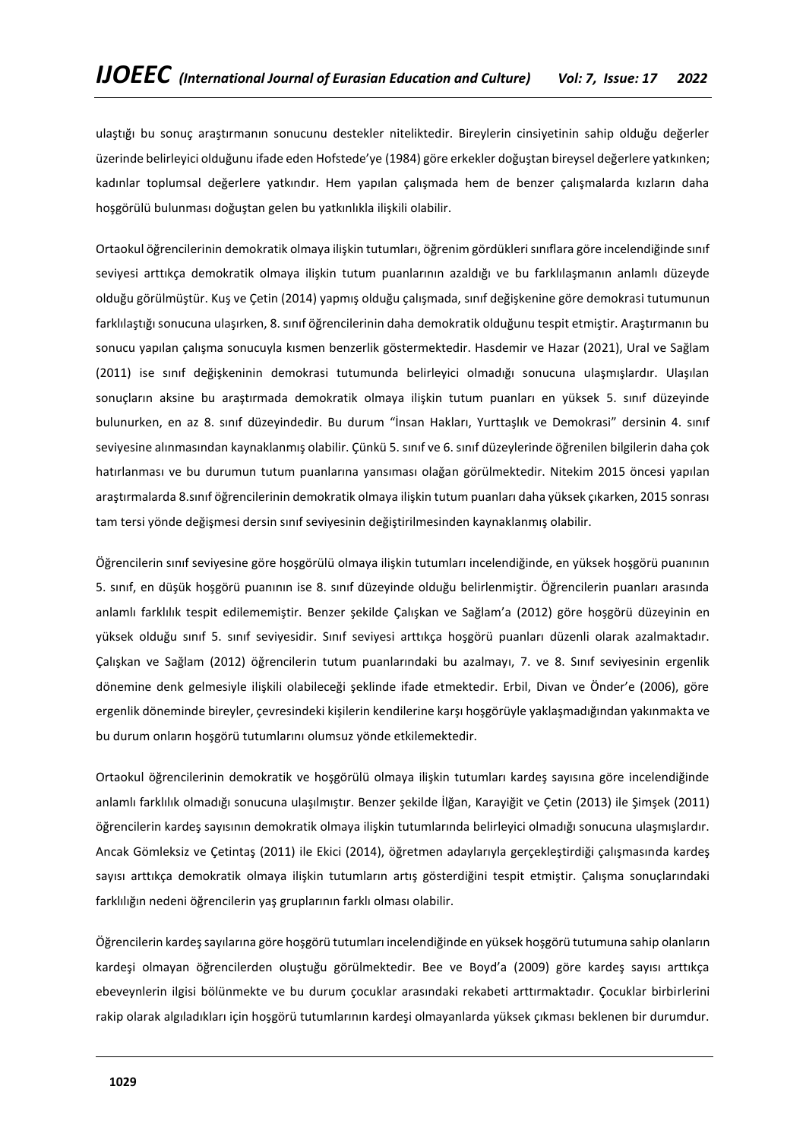ulaştığı bu sonuç araştırmanın sonucunu destekler niteliktedir. Bireylerin cinsiyetinin sahip olduğu değerler üzerinde belirleyici olduğunu ifade eden Hofstede'ye (1984) göre erkekler doğuştan bireysel değerlere yatkınken; kadınlar toplumsal değerlere yatkındır. Hem yapılan çalışmada hem de benzer çalışmalarda kızların daha hoşgörülü bulunması doğuştan gelen bu yatkınlıkla ilişkili olabilir.

Ortaokul öğrencilerinin demokratik olmaya ilişkin tutumları, öğrenim gördükleri sınıflara göre incelendiğinde sınıf seviyesi arttıkça demokratik olmaya ilişkin tutum puanlarının azaldığı ve bu farklılaşmanın anlamlı düzeyde olduğu görülmüştür. Kuş ve Çetin (2014) yapmış olduğu çalışmada, sınıf değişkenine göre demokrasi tutumunun farklılaştığı sonucuna ulaşırken, 8. sınıf öğrencilerinin daha demokratik olduğunu tespit etmiştir. Araştırmanın bu sonucu yapılan çalışma sonucuyla kısmen benzerlik göstermektedir. Hasdemir ve Hazar (2021), Ural ve Sağlam (2011) ise sınıf değişkeninin demokrasi tutumunda belirleyici olmadığı sonucuna ulaşmışlardır. Ulaşılan sonuçların aksine bu araştırmada demokratik olmaya ilişkin tutum puanları en yüksek 5. sınıf düzeyinde bulunurken, en az 8. sınıf düzeyindedir. Bu durum "İnsan Hakları, Yurttaşlık ve Demokrasi" dersinin 4. sınıf seviyesine alınmasından kaynaklanmış olabilir. Çünkü 5. sınıf ve 6. sınıf düzeylerinde öğrenilen bilgilerin daha çok hatırlanması ve bu durumun tutum puanlarına yansıması olağan görülmektedir. Nitekim 2015 öncesi yapılan araştırmalarda 8.sınıf öğrencilerinin demokratik olmaya ilişkin tutum puanları daha yüksek çıkarken, 2015 sonrası tam tersi yönde değişmesi dersin sınıf seviyesinin değiştirilmesinden kaynaklanmış olabilir.

Öğrencilerin sınıf seviyesine göre hoşgörülü olmaya ilişkin tutumları incelendiğinde, en yüksek hoşgörü puanının 5. sınıf, en düşük hoşgörü puanının ise 8. sınıf düzeyinde olduğu belirlenmiştir. Öğrencilerin puanları arasında anlamlı farklılık tespit edilememiştir. Benzer şekilde Çalışkan ve Sağlam'a (2012) göre hoşgörü düzeyinin en yüksek olduğu sınıf 5. sınıf seviyesidir. Sınıf seviyesi arttıkça hoşgörü puanları düzenli olarak azalmaktadır. Çalışkan ve Sağlam (2012) öğrencilerin tutum puanlarındaki bu azalmayı, 7. ve 8. Sınıf seviyesinin ergenlik dönemine denk gelmesiyle ilişkili olabileceği şeklinde ifade etmektedir. Erbil, Divan ve Önder'e (2006), göre ergenlik döneminde bireyler, çevresindeki kişilerin kendilerine karşı hoşgörüyle yaklaşmadığından yakınmakta ve bu durum onların hoşgörü tutumlarını olumsuz yönde etkilemektedir.

Ortaokul öğrencilerinin demokratik ve hoşgörülü olmaya ilişkin tutumları kardeş sayısına göre incelendiğinde anlamlı farklılık olmadığı sonucuna ulaşılmıştır. Benzer şekilde İlğan, Karayiğit ve Çetin (2013) ile Şimşek (2011) öğrencilerin kardeş sayısının demokratik olmaya ilişkin tutumlarında belirleyici olmadığı sonucuna ulaşmışlardır. Ancak Gömleksiz ve Çetintaş (2011) ile Ekici (2014), öğretmen adaylarıyla gerçekleştirdiği çalışmasında kardeş sayısı arttıkça demokratik olmaya ilişkin tutumların artış gösterdiğini tespit etmiştir. Çalışma sonuçlarındaki farklılığın nedeni öğrencilerin yaş gruplarının farklı olması olabilir.

Öğrencilerin kardeş sayılarına göre hoşgörü tutumları incelendiğinde en yüksek hoşgörü tutumuna sahip olanların kardeşi olmayan öğrencilerden oluştuğu görülmektedir. Bee ve Boyd'a (2009) göre kardeş sayısı arttıkça ebeveynlerin ilgisi bölünmekte ve bu durum çocuklar arasındaki rekabeti arttırmaktadır. Çocuklar birbirlerini rakip olarak algıladıkları için hoşgörü tutumlarının kardeşi olmayanlarda yüksek çıkması beklenen bir durumdur.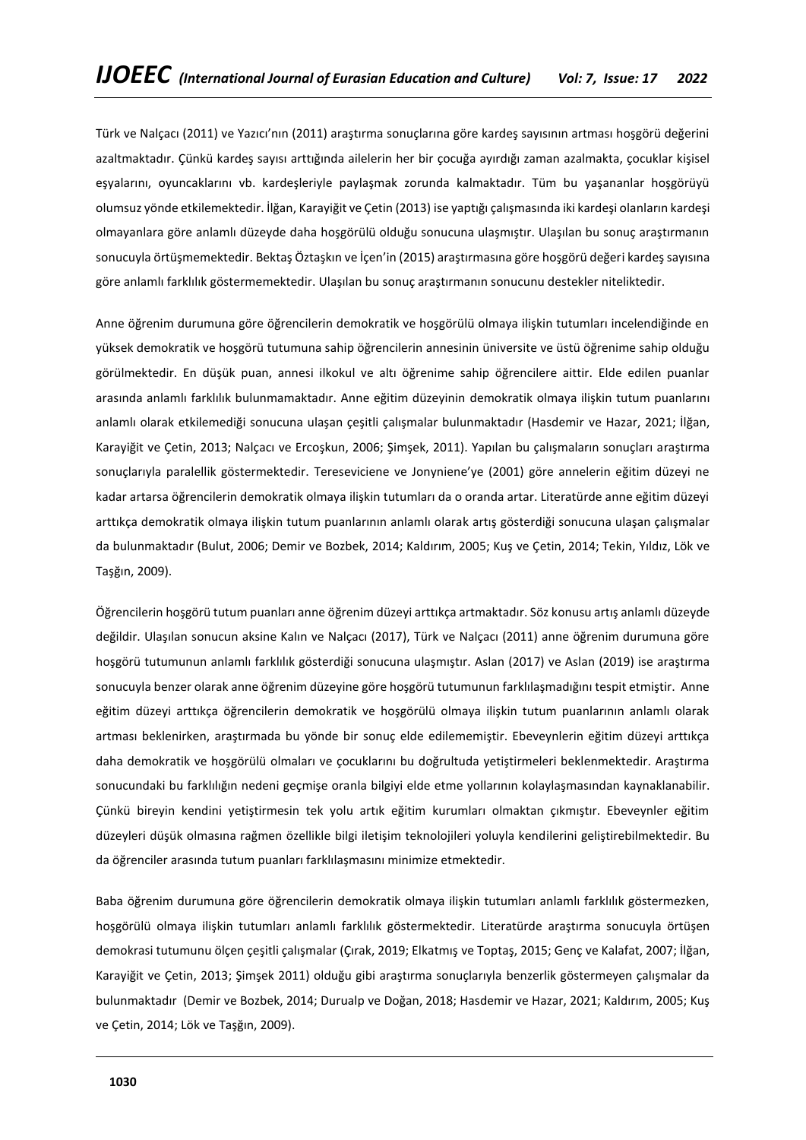Türk ve Nalçacı (2011) ve Yazıcı'nın (2011) araştırma sonuçlarına göre kardeş sayısının artması hoşgörü değerini azaltmaktadır. Çünkü kardeş sayısı arttığında ailelerin her bir çocuğa ayırdığı zaman azalmakta, çocuklar kişisel eşyalarını, oyuncaklarını vb. kardeşleriyle paylaşmak zorunda kalmaktadır. Tüm bu yaşananlar hoşgörüyü olumsuz yönde etkilemektedir. İlğan, Karayiğit ve Çetin (2013) ise yaptığı çalışmasında iki kardeşi olanların kardeşi olmayanlara göre anlamlı düzeyde daha hoşgörülü olduğu sonucuna ulaşmıştır. Ulaşılan bu sonuç araştırmanın sonucuyla örtüşmemektedir. Bektaş Öztaşkın ve İçen'in (2015) araştırmasına göre hoşgörü değeri kardeş sayısına göre anlamlı farklılık göstermemektedir. Ulaşılan bu sonuç araştırmanın sonucunu destekler niteliktedir.

Anne öğrenim durumuna göre öğrencilerin demokratik ve hoşgörülü olmaya ilişkin tutumları incelendiğinde en yüksek demokratik ve hoşgörü tutumuna sahip öğrencilerin annesinin üniversite ve üstü öğrenime sahip olduğu görülmektedir. En düşük puan, annesi ilkokul ve altı öğrenime sahip öğrencilere aittir. Elde edilen puanlar arasında anlamlı farklılık bulunmamaktadır. Anne eğitim düzeyinin demokratik olmaya ilişkin tutum puanlarını anlamlı olarak etkilemediği sonucuna ulaşan çeşitli çalışmalar bulunmaktadır (Hasdemir ve Hazar, 2021; İlğan, Karayiğit ve Çetin, 2013; Nalçacı ve Ercoşkun, 2006; Şimşek, 2011). Yapılan bu çalışmaların sonuçları araştırma sonuçlarıyla paralellik göstermektedir. Tereseviciene ve Jonyniene'ye (2001) göre annelerin eğitim düzeyi ne kadar artarsa öğrencilerin demokratik olmaya ilişkin tutumları da o oranda artar. Literatürde anne eğitim düzeyi arttıkça demokratik olmaya ilişkin tutum puanlarının anlamlı olarak artış gösterdiği sonucuna ulaşan çalışmalar da bulunmaktadır (Bulut, 2006; Demir ve Bozbek, 2014; Kaldırım, 2005; Kuş ve Çetin, 2014; Tekin, Yıldız, Lök ve Taşğın, 2009).

Öğrencilerin hoşgörü tutum puanları anne öğrenim düzeyi arttıkça artmaktadır. Söz konusu artış anlamlı düzeyde değildir. Ulaşılan sonucun aksine Kalın ve Nalçacı (2017), Türk ve Nalçacı (2011) anne öğrenim durumuna göre hoşgörü tutumunun anlamlı farklılık gösterdiği sonucuna ulaşmıştır. Aslan (2017) ve Aslan (2019) ise araştırma sonucuyla benzer olarak anne öğrenim düzeyine göre hoşgörü tutumunun farklılaşmadığını tespit etmiştir. Anne eğitim düzeyi arttıkça öğrencilerin demokratik ve hoşgörülü olmaya ilişkin tutum puanlarının anlamlı olarak artması beklenirken, araştırmada bu yönde bir sonuç elde edilememiştir. Ebeveynlerin eğitim düzeyi arttıkça daha demokratik ve hoşgörülü olmaları ve çocuklarını bu doğrultuda yetiştirmeleri beklenmektedir. Araştırma sonucundaki bu farklılığın nedeni geçmişe oranla bilgiyi elde etme yollarının kolaylaşmasından kaynaklanabilir. Çünkü bireyin kendini yetiştirmesin tek yolu artık eğitim kurumları olmaktan çıkmıştır. Ebeveynler eğitim düzeyleri düşük olmasına rağmen özellikle bilgi iletişim teknolojileri yoluyla kendilerini geliştirebilmektedir. Bu da öğrenciler arasında tutum puanları farklılaşmasını minimize etmektedir.

Baba öğrenim durumuna göre öğrencilerin demokratik olmaya ilişkin tutumları anlamlı farklılık göstermezken, hoşgörülü olmaya ilişkin tutumları anlamlı farklılık göstermektedir. Literatürde araştırma sonucuyla örtüşen demokrasi tutumunu ölçen çeşitli çalışmalar (Çırak, 2019; Elkatmış ve Toptaş, 2015; Genç ve Kalafat, 2007; İlğan, Karayiğit ve Çetin, 2013; Şimşek 2011) olduğu gibi araştırma sonuçlarıyla benzerlik göstermeyen çalışmalar da bulunmaktadır (Demir ve Bozbek, 2014; Durualp ve Doğan, 2018; Hasdemir ve Hazar, 2021; Kaldırım, 2005; Kuş ve Çetin, 2014; Lök ve Taşğın, 2009).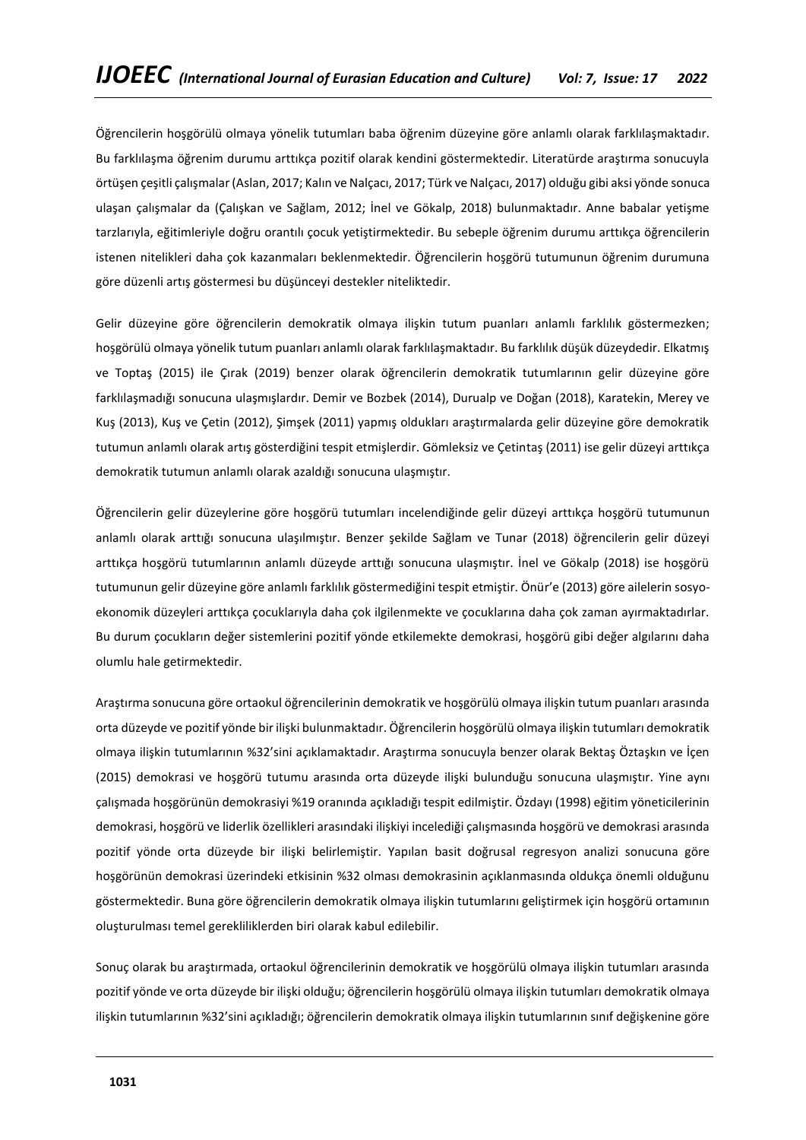Öğrencilerin hoşgörülü olmaya yönelik tutumları baba öğrenim düzeyine göre anlamlı olarak farklılaşmaktadır. Bu farklılaşma öğrenim durumu arttıkça pozitif olarak kendini göstermektedir. Literatürde araştırma sonucuyla örtüşen çeşitli çalışmalar (Aslan, 2017; Kalın ve Nalçacı, 2017; Türk ve Nalçacı, 2017) olduğu gibi aksi yönde sonuca ulaşan çalışmalar da (Çalışkan ve Sağlam, 2012; İnel ve Gökalp, 2018) bulunmaktadır. Anne babalar yetişme tarzlarıyla, eğitimleriyle doğru orantılı çocuk yetiştirmektedir. Bu sebeple öğrenim durumu arttıkça öğrencilerin istenen nitelikleri daha çok kazanmaları beklenmektedir. Öğrencilerin hoşgörü tutumunun öğrenim durumuna göre düzenli artış göstermesi bu düşünceyi destekler niteliktedir.

Gelir düzeyine göre öğrencilerin demokratik olmaya ilişkin tutum puanları anlamlı farklılık göstermezken; hoşgörülü olmaya yönelik tutum puanları anlamlı olarak farklılaşmaktadır. Bu farklılık düşük düzeydedir. Elkatmış ve Toptaş (2015) ile Çırak (2019) benzer olarak öğrencilerin demokratik tutumlarının gelir düzeyine göre farklılaşmadığı sonucuna ulaşmışlardır. Demir ve Bozbek (2014), Durualp ve Doğan (2018), Karatekin, Merey ve Kuş (2013), Kuş ve Çetin (2012), Şimşek (2011) yapmış oldukları araştırmalarda gelir düzeyine göre demokratik tutumun anlamlı olarak artış gösterdiğini tespit etmişlerdir. Gömleksiz ve Çetintaş (2011) ise gelir düzeyi arttıkça demokratik tutumun anlamlı olarak azaldığı sonucuna ulaşmıştır.

Öğrencilerin gelir düzeylerine göre hoşgörü tutumları incelendiğinde gelir düzeyi arttıkça hoşgörü tutumunun anlamlı olarak arttığı sonucuna ulaşılmıştır. Benzer şekilde Sağlam ve Tunar (2018) öğrencilerin gelir düzeyi arttıkça hoşgörü tutumlarının anlamlı düzeyde arttığı sonucuna ulaşmıştır. İnel ve Gökalp (2018) ise hoşgörü tutumunun gelir düzeyine göre anlamlı farklılık göstermediğini tespit etmiştir. Önür'e (2013) göre ailelerin sosyoekonomik düzeyleri arttıkça çocuklarıyla daha çok ilgilenmekte ve çocuklarına daha çok zaman ayırmaktadırlar. Bu durum çocukların değer sistemlerini pozitif yönde etkilemekte demokrasi, hoşgörü gibi değer algılarını daha olumlu hale getirmektedir.

Araştırma sonucuna göre ortaokul öğrencilerinin demokratik ve hoşgörülü olmaya ilişkin tutum puanları arasında orta düzeyde ve pozitif yönde bir ilişki bulunmaktadır. Öğrencilerin hoşgörülü olmaya ilişkin tutumları demokratik olmaya ilişkin tutumlarının %32'sini açıklamaktadır. Araştırma sonucuyla benzer olarak Bektaş Öztaşkın ve İçen (2015) demokrasi ve hoşgörü tutumu arasında orta düzeyde ilişki bulunduğu sonucuna ulaşmıştır. Yine aynı çalışmada hoşgörünün demokrasiyi %19 oranında açıkladığı tespit edilmiştir. Özdayı (1998) eğitim yöneticilerinin demokrasi, hoşgörü ve liderlik özellikleri arasındaki ilişkiyi incelediği çalışmasında hoşgörü ve demokrasi arasında pozitif yönde orta düzeyde bir ilişki belirlemiştir. Yapılan basit doğrusal regresyon analizi sonucuna göre hoşgörünün demokrasi üzerindeki etkisinin %32 olması demokrasinin açıklanmasında oldukça önemli olduğunu göstermektedir. Buna göre öğrencilerin demokratik olmaya ilişkin tutumlarını geliştirmek için hoşgörü ortamının oluşturulması temel gerekliliklerden biri olarak kabul edilebilir.

Sonuç olarak bu araştırmada, ortaokul öğrencilerinin demokratik ve hoşgörülü olmaya ilişkin tutumları arasında pozitif yönde ve orta düzeyde bir ilişki olduğu; öğrencilerin hoşgörülü olmaya ilişkin tutumları demokratik olmaya ilişkin tutumlarının %32'sini açıkladığı; öğrencilerin demokratik olmaya ilişkin tutumlarının sınıf değişkenine göre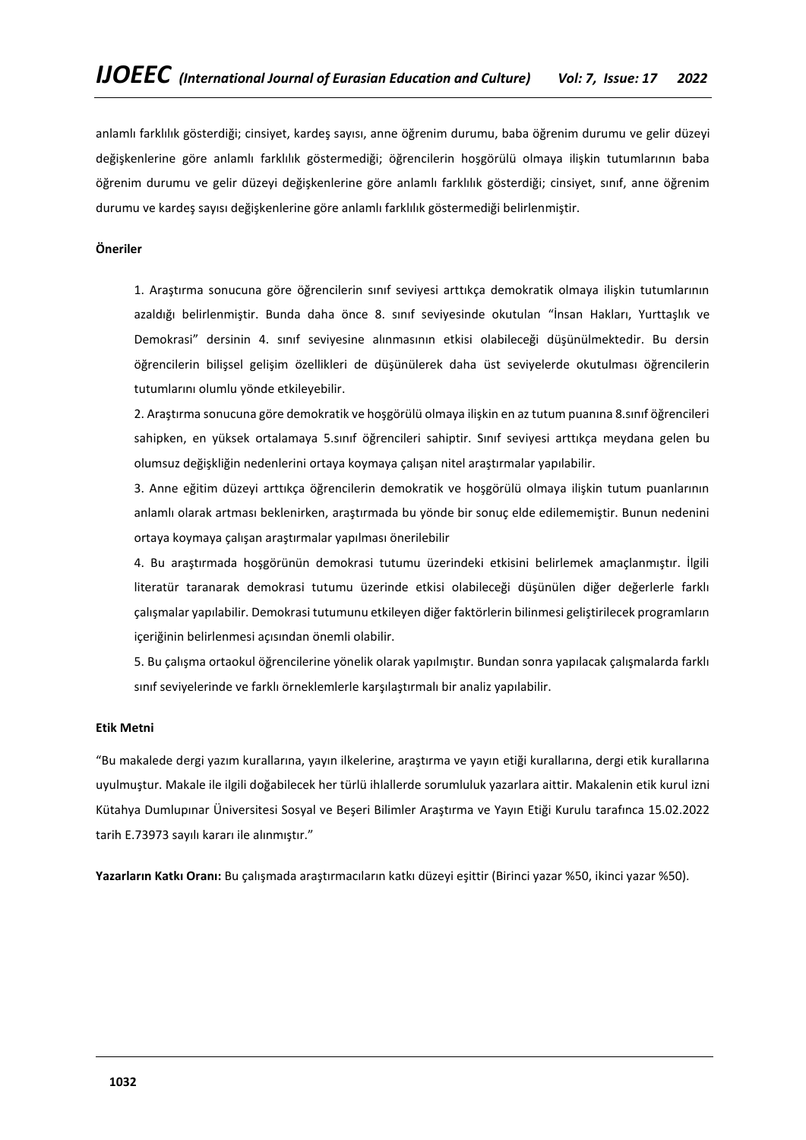anlamlı farklılık gösterdiği; cinsiyet, kardeş sayısı, anne öğrenim durumu, baba öğrenim durumu ve gelir düzeyi değişkenlerine göre anlamlı farklılık göstermediği; öğrencilerin hoşgörülü olmaya ilişkin tutumlarının baba öğrenim durumu ve gelir düzeyi değişkenlerine göre anlamlı farklılık gösterdiği; cinsiyet, sınıf, anne öğrenim durumu ve kardeş sayısı değişkenlerine göre anlamlı farklılık göstermediği belirlenmiştir.

## **Öneriler**

1. Araştırma sonucuna göre öğrencilerin sınıf seviyesi arttıkça demokratik olmaya ilişkin tutumlarının azaldığı belirlenmiştir. Bunda daha önce 8. sınıf seviyesinde okutulan "İnsan Hakları, Yurttaşlık ve Demokrasi" dersinin 4. sınıf seviyesine alınmasının etkisi olabileceği düşünülmektedir. Bu dersin öğrencilerin bilişsel gelişim özellikleri de düşünülerek daha üst seviyelerde okutulması öğrencilerin tutumlarını olumlu yönde etkileyebilir.

2. Araştırma sonucuna göre demokratik ve hoşgörülü olmaya ilişkin en az tutum puanına 8.sınıf öğrencileri sahipken, en yüksek ortalamaya 5.sınıf öğrencileri sahiptir. Sınıf seviyesi arttıkça meydana gelen bu olumsuz değişkliğin nedenlerini ortaya koymaya çalışan nitel araştırmalar yapılabilir.

3. Anne eğitim düzeyi arttıkça öğrencilerin demokratik ve hoşgörülü olmaya ilişkin tutum puanlarının anlamlı olarak artması beklenirken, araştırmada bu yönde bir sonuç elde edilememiştir. Bunun nedenini ortaya koymaya çalışan araştırmalar yapılması önerilebilir

4. Bu araştırmada hoşgörünün demokrasi tutumu üzerindeki etkisini belirlemek amaçlanmıştır. İlgili literatür taranarak demokrasi tutumu üzerinde etkisi olabileceği düşünülen diğer değerlerle farklı çalışmalar yapılabilir. Demokrasi tutumunu etkileyen diğer faktörlerin bilinmesi geliştirilecek programların içeriğinin belirlenmesi açısından önemli olabilir.

5. Bu çalışma ortaokul öğrencilerine yönelik olarak yapılmıştır. Bundan sonra yapılacak çalışmalarda farklı sınıf seviyelerinde ve farklı örneklemlerle karşılaştırmalı bir analiz yapılabilir.

## **Etik Metni**

"Bu makalede dergi yazım kurallarına, yayın ilkelerine, araştırma ve yayın etiği kurallarına, dergi etik kurallarına uyulmuştur. Makale ile ilgili doğabilecek her türlü ihlallerde sorumluluk yazarlara aittir. Makalenin etik kurul izni Kütahya Dumlupınar Üniversitesi Sosyal ve Beşeri Bilimler Araştırma ve Yayın Etiği Kurulu tarafınca 15.02.2022 tarih E.73973 sayılı kararı ile alınmıştır."

**Yazarların Katkı Oranı:** Bu çalışmada araştırmacıların katkı düzeyi eşittir (Birinci yazar %50, ikinci yazar %50).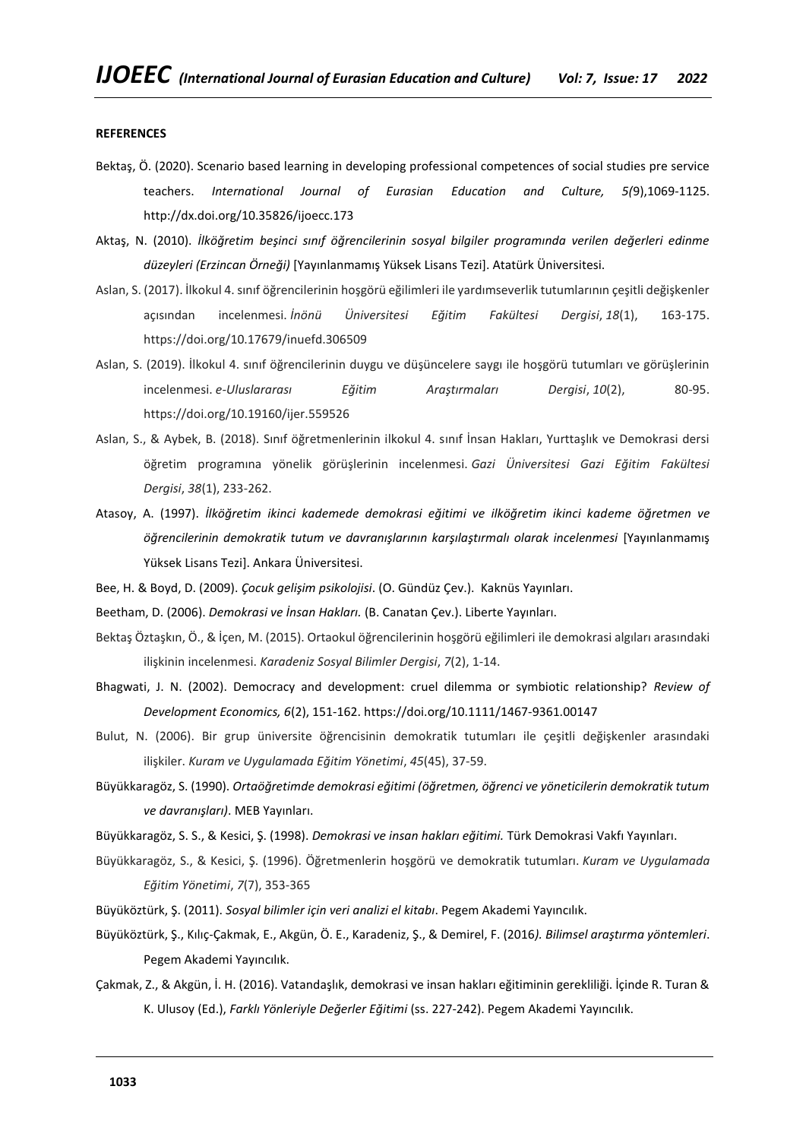#### **REFERENCES**

- Bektaş, Ö. (2020). Scenario based learning in developing professional competences of social studies pre service teachers. *International Journal of Eurasian Education and Culture, 5(*9),1069-1125. <http://dx.doi.org/10.35826/ijoecc.173>
- Aktaş, N. (2010). *İlköğretim beşinci sınıf öğrencilerinin sosyal bilgiler programında verilen değerleri edinme düzeyleri (Erzincan Örneği)* [Yayınlanmamış Yüksek Lisans Tezi]. Atatürk Üniversitesi.
- Aslan, S. (2017). İlkokul 4. sınıf öğrencilerinin hoşgörü eğilimleri ile yardımseverlik tutumlarının çeşitli değişkenler açısından incelenmesi. *İnönü Üniversitesi Eğitim Fakültesi Dergisi*, *18*(1), 163-175. https://doi.org/10.17679/inuefd.306509
- Aslan, S. (2019). İlkokul 4. sınıf öğrencilerinin duygu ve düşüncelere saygı ile hoşgörü tutumları ve görüşlerinin incelenmesi. *e-Uluslararası Eğitim Araştırmaları Dergisi*, *10*(2), 80-95. https://doi.org/10.19160/ijer.559526
- Aslan, S., & Aybek, B. (2018). Sınıf öğretmenlerinin ilkokul 4. sınıf İnsan Hakları, Yurttaşlık ve Demokrasi dersi öğretim programına yönelik görüşlerinin incelenmesi. *Gazi Üniversitesi Gazi Eğitim Fakültesi Dergisi*, *38*(1), 233-262.
- Atasoy, A. (1997). *İlköğretim ikinci kademede demokrasi eğitimi ve ilköğretim ikinci kademe öğretmen ve öğrencilerinin demokratik tutum ve davranışlarının karşılaştırmalı olarak incelenmesi* [Yayınlanmamış Yüksek Lisans Tezi]. Ankara Üniversitesi.
- Bee, H. & Boyd, D. (2009). *Çocuk gelişim psikolojisi*. (O. Gündüz Çev.). Kaknüs Yayınları.
- Beetham, D. (2006). *Demokrasi ve İnsan Hakları.* (B. Canatan Çev.). Liberte Yayınları.
- Bektaş Öztaşkın, Ö., & İçen, M. (2015). Ortaokul öğrencilerinin hoşgörü eğilimleri ile demokrasi algıları arasındaki ilişkinin incelenmesi. *Karadeniz Sosyal Bilimler Dergisi*, *7*(2), 1-14.
- Bhagwati, J. N. (2002). Democracy and development: cruel dilemma or symbiotic relationship? *Review of Development Economics, 6*(2), 151-162. https://doi.org/10.1111/1467-9361.00147
- Bulut, N. (2006). Bir grup üniversite öğrencisinin demokratik tutumları ile çeşitli değişkenler arasındaki ilişkiler. *Kuram ve Uygulamada Eğitim Yönetimi*, *45*(45), 37-59.
- Büyükkaragöz, S. (1990). *Ortaöğretimde demokrasi eğitimi (öğretmen, öğrenci ve yöneticilerin demokratik tutum ve davranışları)*. MEB Yayınları.
- Büyükkaragöz, S. S., & Kesici, Ş. (1998). *Demokrasi ve insan hakları eğitimi.* Türk Demokrasi Vakfı Yayınları.
- Büyükkaragöz, S., & Kesici, Ş. (1996). Öğretmenlerin hoşgörü ve demokratik tutumları. *Kuram ve Uygulamada Eğitim Yönetimi*, *7*(7), 353-365
- Büyüköztürk, Ş. (2011). *Sosyal bilimler için veri analizi el kitabı*. Pegem Akademi Yayıncılık.
- Büyüköztürk, Ş., Kılıç-Çakmak, E., Akgün, Ö. E., Karadeniz, Ş., & Demirel, F. (2016*). Bilimsel araştırma yöntemleri*. Pegem Akademi Yayıncılık.
- Çakmak, Z., & Akgün, İ. H. (2016). Vatandaşlık, demokrasi ve insan hakları eğitiminin gerekliliği. İçinde R. Turan & K. Ulusoy (Ed.), *Farklı Yönleriyle Değerler Eğitimi* (ss. 227-242). Pegem Akademi Yayıncılık.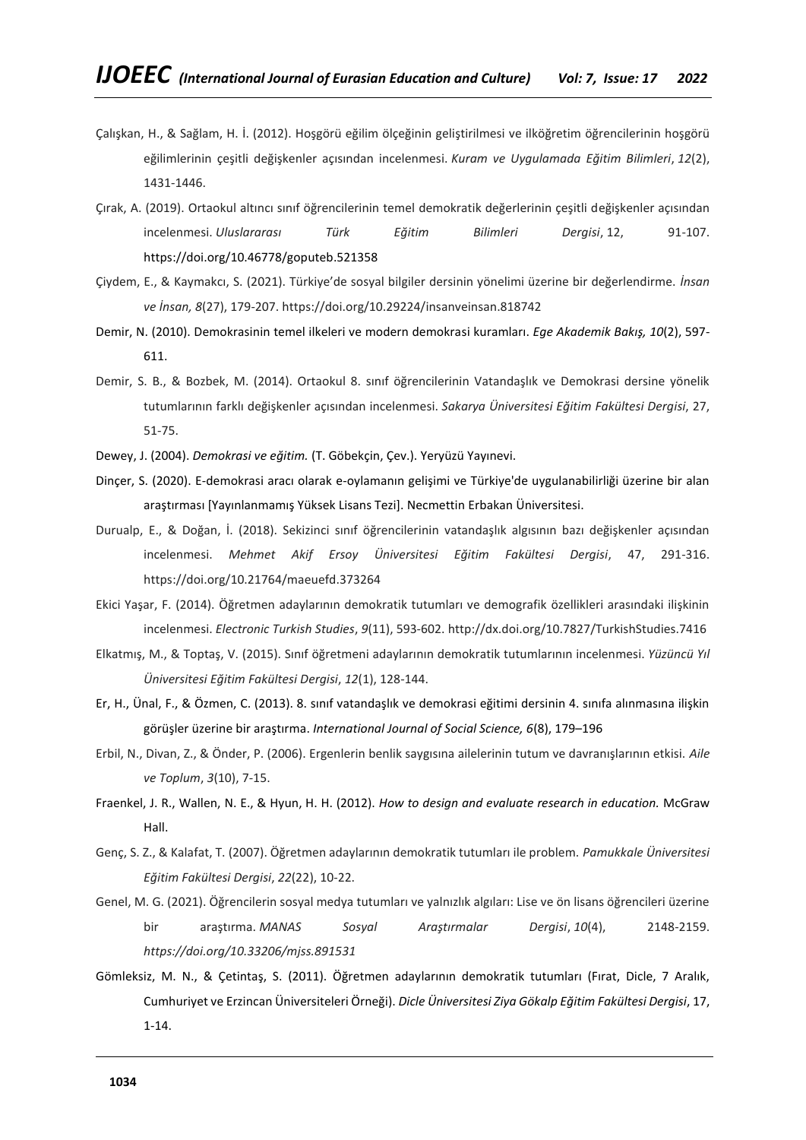- Çalışkan, H., & Sağlam, H. İ. (2012). Hoşgörü eğilim ölçeğinin geliştirilmesi ve ilköğretim öğrencilerinin hoşgörü eğilimlerinin çeşitli değişkenler açısından incelenmesi. *Kuram ve Uygulamada Eğitim Bilimleri*, *12*(2), 1431-1446.
- Çırak, A. (2019). Ortaokul altıncı sınıf öğrencilerinin temel demokratik değerlerinin çeşitli değişkenler açısından incelenmesi. *Uluslararası Türk Eğitim Bilimleri Dergisi*, 12, 91-107. <https://doi.org/10.46778/goputeb.521358>
- Çiydem, E., & Kaymakcı, S. (2021). Türkiye'de sosyal bilgiler dersinin yönelimi üzerine bir değerlendirme. *İnsan ve İnsan, 8*(27), 179-207. https://doi.org/10.29224/insanveinsan.818742
- Demir, N. (2010). Demokrasinin temel ilkeleri ve modern demokrasi kuramları. *Ege Akademik Bakış, 10*(2), 597- 611.
- Demir, S. B., & Bozbek, M. (2014). Ortaokul 8. sınıf öğrencilerinin Vatandaşlık ve Demokrasi dersine yönelik tutumlarının farklı değişkenler açısından incelenmesi. *Sakarya Üniversitesi Eğitim Fakültesi Dergisi*, 27, 51-75.
- Dewey, J. (2004). *Demokrasi ve eğitim.* (T. Göbekçin, Çev.). Yeryüzü Yayınevi.
- Dinçer, S. (2020). E-demokrasi aracı olarak e-oylamanın gelişimi ve Türkiye'de uygulanabilirliği üzerine bir alan araştırması [Yayınlanmamış Yüksek Lisans Tezi]. Necmettin Erbakan Üniversitesi.
- Durualp, E., & Doğan, İ. (2018). Sekizinci sınıf öğrencilerinin vatandaşlık algısının bazı değişkenler açısından incelenmesi. *Mehmet Akif Ersoy Üniversitesi Eğitim Fakültesi Dergisi*, 47, 291-316. https://doi.org/10.21764/maeuefd.373264
- Ekici Yaşar, F. (2014). Öğretmen adaylarının demokratik tutumları ve demografik özellikleri arasındaki ilişkinin incelenmesi. *Electronic Turkish Studies*, *9*(11), 593-602. http://dx.doi.org/10.7827/TurkishStudies.7416
- Elkatmış, M., & Toptaş, V. (2015). Sınıf öğretmeni adaylarının demokratik tutumlarının incelenmesi. *Yüzüncü Yıl Üniversitesi Eğitim Fakültesi Dergisi*, *12*(1), 128-144.
- Er, H., Ünal, F., & Özmen, C. (2013). 8. sınıf vatandaşlık ve demokrasi eğitimi dersinin 4. sınıfa alınmasına ilişkin görüşler üzerine bir araştırma. *International Journal of Social Science, 6*(8), 179–196
- Erbil, N., Divan, Z., & Önder, P. (2006). Ergenlerin benlik saygısına ailelerinin tutum ve davranışlarının etkisi. *Aile ve Toplum*, *3*(10), 7-15.
- Fraenkel, J. R., Wallen, N. E., & Hyun, H. H. (2012). *How to design and evaluate research in education.* McGraw Hall.
- Genç, S. Z., & Kalafat, T. (2007). Öğretmen adaylarının demokratik tutumları ile problem. *Pamukkale Üniversitesi Eğitim Fakültesi Dergisi*, *22*(22), 10-22.
- Genel, M. G. (2021). Öğrencilerin sosyal medya tutumları ve yalnızlık algıları: Lise ve ön lisans öğrencileri üzerine bir araştırma. *MANAS Sosyal Araştırmalar Dergisi*, *10*(4), 2148-2159. *https://doi.org/10.33206/mjss.891531*
- Gömleksiz, M. N., & Çetintaş, S. (2011). Öğretmen adaylarının demokratik tutumları (Fırat, Dicle, 7 Aralık, Cumhuriyet ve Erzincan Üniversiteleri Örneği). *Dicle Üniversitesi Ziya Gökalp Eğitim Fakültesi Dergisi*, 17, 1-14.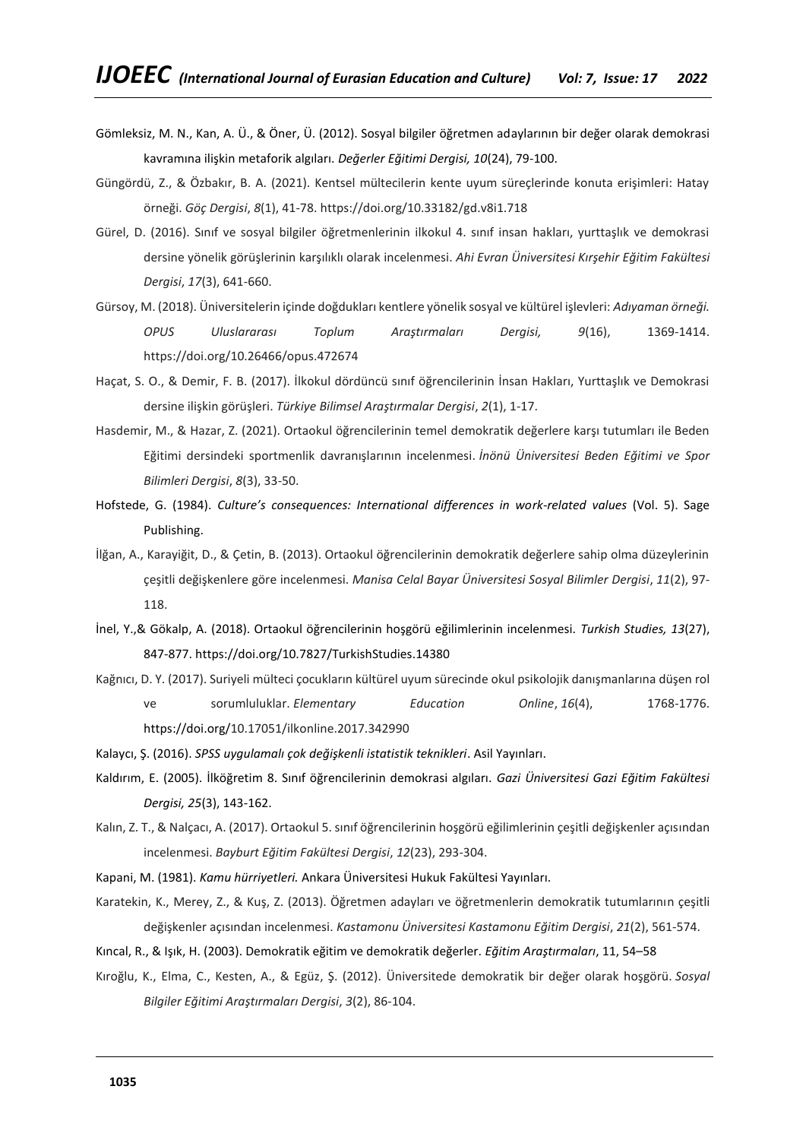- Gömleksiz, M. N., Kan, A. Ü., & Öner, Ü. (2012). Sosyal bilgiler öğretmen adaylarının bir değer olarak demokrasi kavramına ilişkin metaforik algıları. *Değerler Eğitimi Dergisi, 10*(24), 79-100.
- Güngördü, Z., & Özbakır, B. A. (2021). Kentsel mültecilerin kente uyum süreçlerinde konuta erişimleri: Hatay örneği. *Göç Dergisi*, *8*(1), 41-78. https://doi.org/10.33182/gd.v8i1.718
- Gürel, D. (2016). Sınıf ve sosyal bilgiler öğretmenlerinin ilkokul 4. sınıf insan hakları, yurttaşlık ve demokrasi dersine yönelik görüşlerinin karşılıklı olarak incelenmesi. *Ahi Evran Üniversitesi Kırşehir Eğitim Fakültesi Dergisi*, *17*(3), 641-660.
- Gürsoy, M. (2018). Üniversitelerin içinde doğdukları kentlere yönelik sosyal ve kültürel işlevleri: *Adıyaman örneği. OPUS Uluslararası Toplum Araştırmaları Dergisi, 9*(16), 1369-1414. https://doi.org/10.26466/opus.472674
- Haçat, S. O., & Demir, F. B. (2017). İlkokul dördüncü sınıf öğrencilerinin İnsan Hakları, Yurttaşlık ve Demokrasi dersine ilişkin görüşleri. *Türkiye Bilimsel Araştırmalar Dergisi*, *2*(1), 1-17.
- Hasdemir, M., & Hazar, Z. (2021). Ortaokul öğrencilerinin temel demokratik değerlere karşı tutumları ile Beden Eğitimi dersindeki sportmenlik davranışlarının incelenmesi. *İnönü Üniversitesi Beden Eğitimi ve Spor Bilimleri Dergisi*, *8*(3), 33-50.
- Hofstede, G. (1984). *Culture's consequences: International differences in work-related values* (Vol. 5). Sage Publishing.
- İlğan, A., Karayiğit, D., & Çetin, B. (2013). Ortaokul öğrencilerinin demokratik değerlere sahip olma düzeylerinin çeşitli değişkenlere göre incelenmesi. *Manisa Celal Bayar Üniversitesi Sosyal Bilimler Dergisi*, *11*(2), 97- 118.
- İnel, Y.,& Gökalp, A. (2018). Ortaokul öğrencilerinin hoşgörü eğilimlerinin incelenmesi. *Turkish Studies, 13*(27), 847-877. https://doi.org/10.7827/TurkishStudies.14380
- Kağnıcı, D. Y. (2017). Suriyeli mülteci çocukların kültürel uyum sürecinde okul psikolojik danışmanlarına düşen rol ve sorumluluklar. *Elementary Education Online*, *16*(4), 1768-1776. https://doi.org/10.17051/ilkonline.2017.342990
- Kalaycı, Ş. (2016). *SPSS uygulamalı çok değişkenli istatistik teknikleri*. Asil Yayınları.
- Kaldırım, E. (2005). İlköğretim 8. Sınıf öğrencilerinin demokrasi algıları. *Gazi Üniversitesi Gazi Eğitim Fakültesi Dergisi, 25*(3), 143-162.
- Kalın, Z. T., & Nalçacı, A. (2017). Ortaokul 5. sınıf öğrencilerinin hoşgörü eğilimlerinin çeşitli değişkenler açısından incelenmesi. *Bayburt Eğitim Fakültesi Dergisi*, *12*(23), 293-304.
- Kapani, M. (1981). *Kamu hürriyetleri.* Ankara Üniversitesi Hukuk Fakültesi Yayınları.
- Karatekin, K., Merey, Z., & Kuş, Z. (2013). Öğretmen adayları ve öğretmenlerin demokratik tutumlarının çeşitli değişkenler açısından incelenmesi. *Kastamonu Üniversitesi Kastamonu Eğitim Dergisi*, *21*(2), 561-574.
- Kıncal, R., & Işık, H. (2003). Demokratik eğitim ve demokratik değerler. *Eğitim Araştırmaları*, 11, 54–58
- Kıroğlu, K., Elma, C., Kesten, A., & Egüz, Ş. (2012). Üniversitede demokratik bir değer olarak hoşgörü. *Sosyal Bilgiler Eğitimi Araştırmaları Dergisi*, *3*(2), 86-104.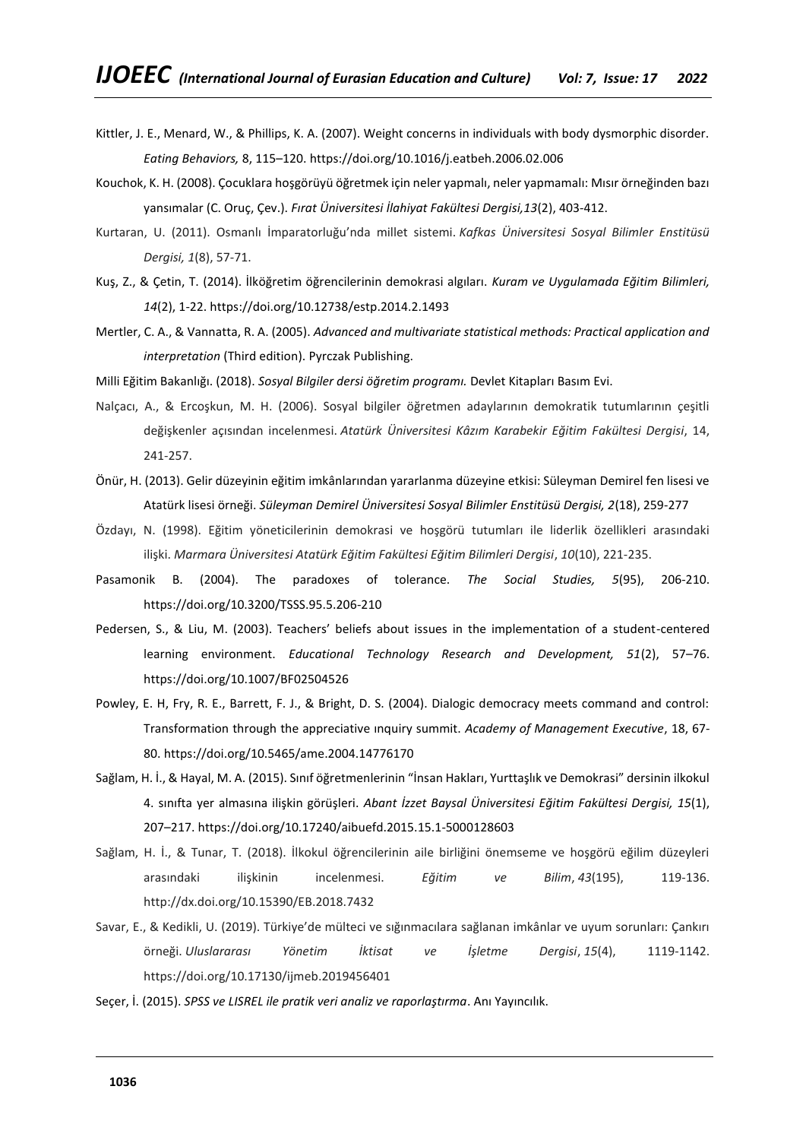- Kittler, J. E., Menard, W., & Phillips, K. A. (2007). Weight concerns in individuals with body dysmorphic disorder. *Eating Behaviors,* 8, 115–120. https://doi.org/10.1016/j.eatbeh.2006.02.006
- Kouchok, K. H. (2008). Çocuklara hoşgörüyü öğretmek için neler yapmalı, neler yapmamalı: Mısır örneğinden bazı yansımalar (C. Oruç, Çev.). *Fırat Üniversitesi İlahiyat Fakültesi Dergisi,13*(2), 403-412.
- Kurtaran, U. (2011). Osmanlı İmparatorluğu'nda millet sistemi. *Kafkas Üniversitesi Sosyal Bilimler Enstitüsü Dergisi, 1*(8), 57-71.
- Kuş, Z., & Çetin, T. (2014). İlköğretim öğrencilerinin demokrasi algıları. *Kuram ve Uygulamada Eğitim Bilimleri, 14*(2), 1-22. https://doi.org/10.12738/estp.2014.2.1493
- Mertler, C. A., & Vannatta, R. A. (2005). *Advanced and multivariate statistical methods: Practical application and interpretation* (Third edition). Pyrczak Publishing.

Milli Eğitim Bakanlığı. (2018). *Sosyal Bilgiler dersi öğretim programı.* Devlet Kitapları Basım Evi.

- Nalçacı, A., & Ercoşkun, M. H. (2006). Sosyal bilgiler öğretmen adaylarının demokratik tutumlarının çeşitli değişkenler açısından incelenmesi. *Atatürk Üniversitesi Kâzım Karabekir Eğitim Fakültesi Dergisi*, 14, 241-257.
- Önür, H. (2013). Gelir düzeyinin eğitim imkânlarından yararlanma düzeyine etkisi: Süleyman Demirel fen lisesi ve Atatürk lisesi örneği. *Süleyman Demirel Üniversitesi Sosyal Bilimler Enstitüsü Dergisi, 2*(18), 259-277
- Özdayı, N. (1998). Eğitim yöneticilerinin demokrasi ve hoşgörü tutumları ile liderlik özellikleri arasındaki ilişki. *Marmara Üniversitesi Atatürk Eğitim Fakültesi Eğitim Bilimleri Dergisi*, *10*(10), 221-235.
- Pasamonik B. (2004). The paradoxes of tolerance. *The Social Studies, 5*(95), 206-210. https://doi.org/10.3200/TSSS.95.5.206-210
- Pedersen, S., & Liu, M. (2003). Teachers' beliefs about issues in the implementation of a student-centered learning environment. *Educational Technology Research and Development, 51*(2), 57–76. https://doi.org/10.1007/BF02504526
- Powley, E. H, Fry, R. E., Barrett, F. J., & Bright, D. S. (2004). Dialogic democracy meets command and control: Transformation through the appreciative ınquiry summit. *Academy of Management Executive*, 18, 67- 80. https://doi.org/10.5465/ame.2004.14776170
- Sağlam, H. İ., & Hayal, M. A. (2015). Sınıf öğretmenlerinin "İnsan Hakları, Yurttaşlık ve Demokrasi" dersinin ilkokul 4. sınıfta yer almasına ilişkin görüşleri. *Abant İzzet Baysal Üniversitesi Eğitim Fakültesi Dergisi, 15*(1), 207–217. https://doi.org/10.17240/aibuefd.2015.15.1-5000128603
- Sağlam, H. İ., & Tunar, T. (2018). İlkokul öğrencilerinin aile birliğini önemseme ve hoşgörü eğilim düzeyleri arasındaki ilişkinin incelenmesi. *Eğitim ve Bilim*, *43*(195), 119-136. http://dx.doi.org/10.15390/EB.2018.7432
- Savar, E., & Kedikli, U. (2019). Türkiye'de mülteci ve sığınmacılara sağlanan imkânlar ve uyum sorunları: Çankırı örneği. *Uluslararası Yönetim İktisat ve İşletme Dergisi*, *15*(4), 1119-1142. https://doi.org/10.17130/ijmeb.2019456401
- Seçer, İ. (2015). *SPSS ve LISREL ile pratik veri analiz ve raporlaştırma*. Anı Yayıncılık.